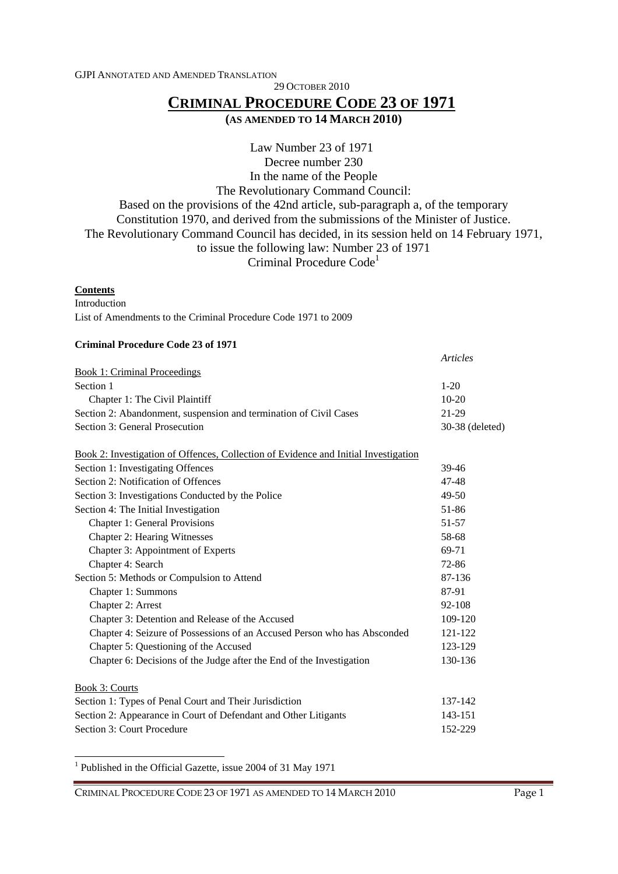GJPI ANNOTATED AND AMENDED TRANSLATION

29 OCTOBER 2010

# **CRIMINAL PROCEDURE CODE 23 OF 1971**

**(AS AMENDED TO 14 MARCH 2010)**

Law Number 23 of 1971 Decree number 230 In the name of the People The Revolutionary Command Council: Based on the provisions of the 42nd article, sub-paragraph a, of the temporary Constitution 1970, and derived from the submissions of the Minister of Justice. The Revolutionary Command Council has decided, in its session held on 14 February 1971, to issue the following law: Number 23 of 1971 Criminal Procedure Code<sup>1</sup>

### **Contents**

Introduction

 $\overline{a}$ 

List of Amendments to the Criminal Procedure Code 1971 to 2009

#### **Criminal Procedure Code 23 of 1971**

| <b>Book 1: Criminal Proceedings</b>                                                 |                 |
|-------------------------------------------------------------------------------------|-----------------|
| Section 1                                                                           | $1-20$          |
| Chapter 1: The Civil Plaintiff                                                      | $10-20$         |
| Section 2: Abandonment, suspension and termination of Civil Cases                   | 21-29           |
| Section 3: General Prosecution                                                      | 30-38 (deleted) |
| Book 2: Investigation of Offences, Collection of Evidence and Initial Investigation |                 |
| Section 1: Investigating Offences                                                   | 39-46           |
| Section 2: Notification of Offences                                                 | 47-48           |
| Section 3: Investigations Conducted by the Police                                   | $49-50$         |
| Section 4: The Initial Investigation                                                | 51-86           |
| <b>Chapter 1: General Provisions</b>                                                | $51 - 57$       |
| <b>Chapter 2: Hearing Witnesses</b>                                                 | 58-68           |
| Chapter 3: Appointment of Experts                                                   | 69-71           |
| Chapter 4: Search                                                                   | 72-86           |
| Section 5: Methods or Compulsion to Attend                                          | 87-136          |
| Chapter 1: Summons                                                                  | 87-91           |
| Chapter 2: Arrest                                                                   | 92-108          |
| Chapter 3: Detention and Release of the Accused                                     | 109-120         |
| Chapter 4: Seizure of Possessions of an Accused Person who has Absconded            | 121-122         |
| Chapter 5: Questioning of the Accused                                               | 123-129         |
| Chapter 6: Decisions of the Judge after the End of the Investigation                | 130-136         |
| Book 3: Courts                                                                      |                 |
| Section 1: Types of Penal Court and Their Jurisdiction                              | 137-142         |
| Section 2: Appearance in Court of Defendant and Other Litigants                     | 143-151         |
| Section 3: Court Procedure                                                          | 152-229         |

<sup>1</sup> Published in the Official Gazette, issue 2004 of 31 May 1971

CRIMINAL PROCEDURE CODE 23 OF 1971 AS AMENDED TO 14 MARCH 2010 Page 1

*Articles*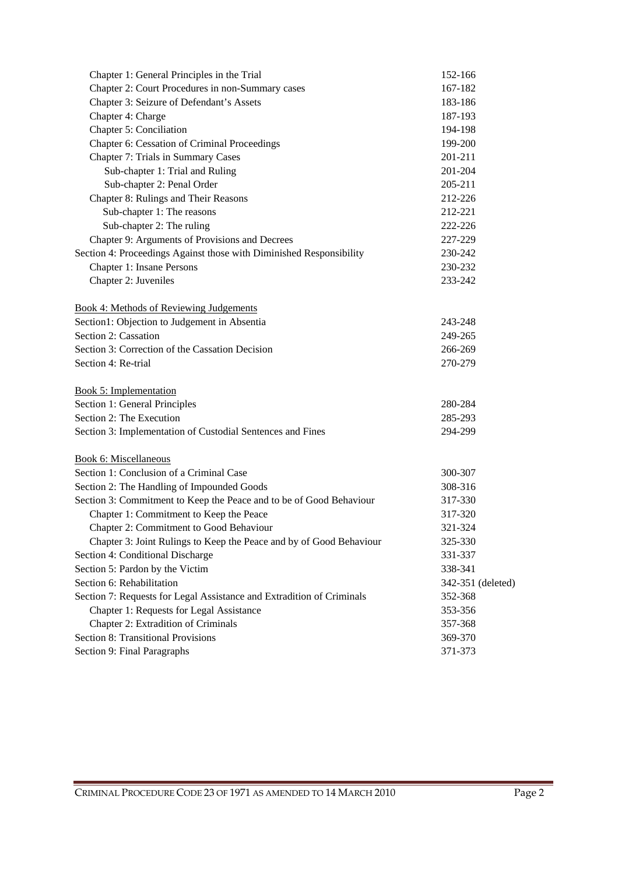| Chapter 1: General Principles in the Trial                            | 152-166           |
|-----------------------------------------------------------------------|-------------------|
| Chapter 2: Court Procedures in non-Summary cases                      | 167-182           |
| Chapter 3: Seizure of Defendant's Assets                              | 183-186           |
| Chapter 4: Charge                                                     | 187-193           |
| Chapter 5: Conciliation                                               | 194-198           |
| Chapter 6: Cessation of Criminal Proceedings                          | 199-200           |
| Chapter 7: Trials in Summary Cases                                    | 201-211           |
| Sub-chapter 1: Trial and Ruling                                       | 201-204           |
| Sub-chapter 2: Penal Order                                            | 205-211           |
| Chapter 8: Rulings and Their Reasons                                  | 212-226           |
| Sub-chapter 1: The reasons                                            | 212-221           |
| Sub-chapter 2: The ruling                                             | 222-226           |
| Chapter 9: Arguments of Provisions and Decrees                        | 227-229           |
| Section 4: Proceedings Against those with Diminished Responsibility   | 230-242           |
| Chapter 1: Insane Persons                                             | 230-232           |
| Chapter 2: Juveniles                                                  | 233-242           |
|                                                                       |                   |
| <b>Book 4: Methods of Reviewing Judgements</b>                        |                   |
| Section1: Objection to Judgement in Absentia                          | 243-248           |
| Section 2: Cassation                                                  | 249-265           |
| Section 3: Correction of the Cassation Decision                       | 266-269           |
| Section 4: Re-trial                                                   | 270-279           |
| <b>Book 5: Implementation</b>                                         |                   |
| Section 1: General Principles                                         | 280-284           |
| Section 2: The Execution                                              | 285-293           |
| Section 3: Implementation of Custodial Sentences and Fines            | 294-299           |
| <b>Book 6: Miscellaneous</b>                                          |                   |
| Section 1: Conclusion of a Criminal Case                              | 300-307           |
| Section 2: The Handling of Impounded Goods                            | 308-316           |
| Section 3: Commitment to Keep the Peace and to be of Good Behaviour   | 317-330           |
| Chapter 1: Commitment to Keep the Peace                               | 317-320           |
| Chapter 2: Commitment to Good Behaviour                               | 321-324           |
| Chapter 3: Joint Rulings to Keep the Peace and by of Good Behaviour   | 325-330           |
| Section 4: Conditional Discharge                                      | 331-337           |
| Section 5: Pardon by the Victim                                       | 338-341           |
| Section 6: Rehabilitation                                             | 342-351 (deleted) |
| Section 7: Requests for Legal Assistance and Extradition of Criminals | 352-368           |
| Chapter 1: Requests for Legal Assistance                              | 353-356           |
| Chapter 2: Extradition of Criminals                                   | 357-368           |
| <b>Section 8: Transitional Provisions</b>                             | 369-370           |
| Section 9: Final Paragraphs                                           | 371-373           |
|                                                                       |                   |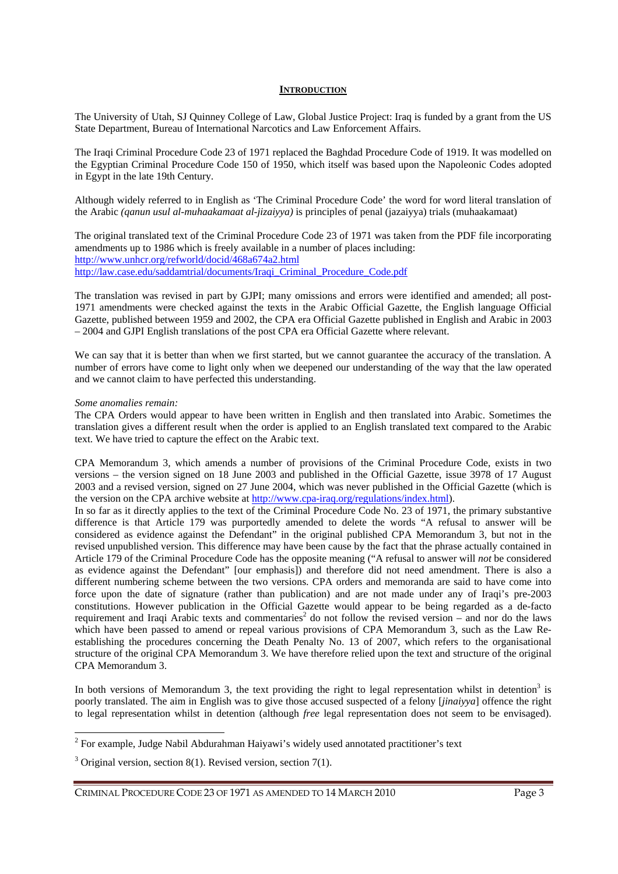#### **INTRODUCTION**

The University of Utah, SJ Quinney College of Law, Global Justice Project: Iraq is funded by a grant from the US State Department, Bureau of International Narcotics and Law Enforcement Affairs.

The Iraqi Criminal Procedure Code 23 of 1971 replaced the Baghdad Procedure Code of 1919. It was modelled on the Egyptian Criminal Procedure Code 150 of 1950, which itself was based upon the Napoleonic Codes adopted in Egypt in the late 19th Century.

Although widely referred to in English as 'The Criminal Procedure Code' the word for word literal translation of the Arabic *(qanun usul al-muhaakamaat al-jizaiyya)* is principles of penal (jazaiyya) trials (muhaakamaat)

The original translated text of the Criminal Procedure Code 23 of 1971 was taken from the PDF file incorporating amendments up to 1986 which is freely available in a number of places including: http://www.unhcr.org/refworld/docid/468a674a2.html http://law.case.edu/saddamtrial/documents/Iraqi\_Criminal\_Procedure\_Code.pdf

The translation was revised in part by GJPI; many omissions and errors were identified and amended; all post-1971 amendments were checked against the texts in the Arabic Official Gazette, the English language Official Gazette, published between 1959 and 2002, the CPA era Official Gazette published in English and Arabic in 2003 – 2004 and GJPI English translations of the post CPA era Official Gazette where relevant.

We can say that it is better than when we first started, but we cannot guarantee the accuracy of the translation. A number of errors have come to light only when we deepened our understanding of the way that the law operated and we cannot claim to have perfected this understanding.

#### *Some anomalies remain:*

 $\overline{a}$ 

The CPA Orders would appear to have been written in English and then translated into Arabic. Sometimes the translation gives a different result when the order is applied to an English translated text compared to the Arabic text. We have tried to capture the effect on the Arabic text.

CPA Memorandum 3, which amends a number of provisions of the Criminal Procedure Code, exists in two versions – the version signed on 18 June 2003 and published in the Official Gazette, issue 3978 of 17 August 2003 and a revised version, signed on 27 June 2004, which was never published in the Official Gazette (which is the version on the CPA archive website at http://www.cpa-iraq.org/regulations/index.html).

In so far as it directly applies to the text of the Criminal Procedure Code No. 23 of 1971, the primary substantive difference is that Article 179 was purportedly amended to delete the words "A refusal to answer will be considered as evidence against the Defendant" in the original published CPA Memorandum 3, but not in the revised unpublished version. This difference may have been cause by the fact that the phrase actually contained in Article 179 of the Criminal Procedure Code has the opposite meaning ("A refusal to answer will *not* be considered as evidence against the Defendant" [our emphasis]) and therefore did not need amendment. There is also a different numbering scheme between the two versions. CPA orders and memoranda are said to have come into force upon the date of signature (rather than publication) and are not made under any of Iraqi's pre-2003 constitutions. However publication in the Official Gazette would appear to be being regarded as a de-facto requirement and Iraqi Arabic texts and commentaries<sup>2</sup> do not follow the revised version – and nor do the laws which have been passed to amend or repeal various provisions of CPA Memorandum 3, such as the Law Reestablishing the procedures concerning the Death Penalty No. 13 of 2007, which refers to the organisational structure of the original CPA Memorandum 3. We have therefore relied upon the text and structure of the original CPA Memorandum 3.

In both versions of Memorandum 3, the text providing the right to legal representation whilst in detention<sup>3</sup> is poorly translated. The aim in English was to give those accused suspected of a felony [*jinaiyya*] offence the right to legal representation whilst in detention (although *free* legal representation does not seem to be envisaged).

 $2^{2}$  For example, Judge Nabil Abdurahman Haiyawi's widely used annotated practitioner's text

 $3$  Original version, section 8(1). Revised version, section 7(1).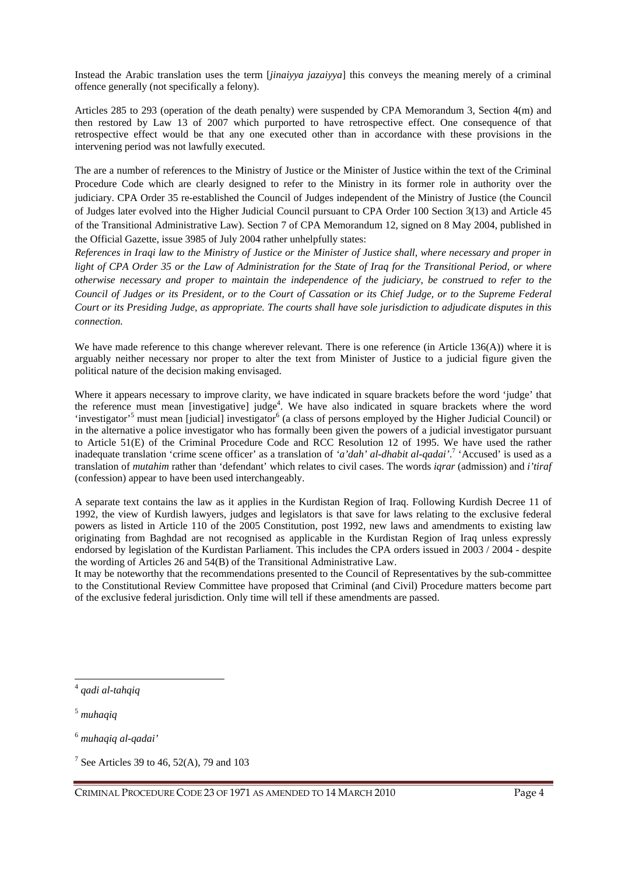Instead the Arabic translation uses the term [*jinaiyya jazaiyya*] this conveys the meaning merely of a criminal offence generally (not specifically a felony).

Articles 285 to 293 (operation of the death penalty) were suspended by CPA Memorandum 3, Section 4(m) and then restored by Law 13 of 2007 which purported to have retrospective effect. One consequence of that retrospective effect would be that any one executed other than in accordance with these provisions in the intervening period was not lawfully executed.

The are a number of references to the Ministry of Justice or the Minister of Justice within the text of the Criminal Procedure Code which are clearly designed to refer to the Ministry in its former role in authority over the judiciary. CPA Order 35 re-established the Council of Judges independent of the Ministry of Justice (the Council of Judges later evolved into the Higher Judicial Council pursuant to CPA Order 100 Section 3(13) and Article 45 of the Transitional Administrative Law). Section 7 of CPA Memorandum 12, signed on 8 May 2004, published in the Official Gazette, issue 3985 of July 2004 rather unhelpfully states:

*References in Iraqi law to the Ministry of Justice or the Minister of Justice shall, where necessary and proper in light of CPA Order 35 or the Law of Administration for the State of Iraq for the Transitional Period, or where otherwise necessary and proper to maintain the independence of the judiciary, be construed to refer to the Council of Judges or its President, or to the Court of Cassation or its Chief Judge, or to the Supreme Federal Court or its Presiding Judge, as appropriate. The courts shall have sole jurisdiction to adjudicate disputes in this connection.* 

We have made reference to this change wherever relevant. There is one reference (in Article 136(A)) where it is arguably neither necessary nor proper to alter the text from Minister of Justice to a judicial figure given the political nature of the decision making envisaged.

Where it appears necessary to improve clarity, we have indicated in square brackets before the word 'judge' that the reference must mean [investigative] judge<sup>4</sup>. We have also indicated in square brackets where the word 'investigator'<sup>5</sup> must mean [judicial] investigator<sup>6</sup> (a class of persons employed by the Higher Judicial Council) or in the alternative a police investigator who has formally been given the powers of a judicial investigator pursuant to Article 51(E) of the Criminal Procedure Code and RCC Resolution 12 of 1995. We have used the rather inadequate translation 'crime scene officer' as a translation of *'a'dah' al-dhabit al-qadai'*. 7 'Accused' is used as a translation of *mutahim* rather than 'defendant' which relates to civil cases. The words *iqrar* (admission) and *i'tiraf*  (confession) appear to have been used interchangeably.

A separate text contains the law as it applies in the Kurdistan Region of Iraq. Following Kurdish Decree 11 of 1992, the view of Kurdish lawyers, judges and legislators is that save for laws relating to the exclusive federal powers as listed in Article 110 of the 2005 Constitution, post 1992, new laws and amendments to existing law originating from Baghdad are not recognised as applicable in the Kurdistan Region of Iraq unless expressly endorsed by legislation of the Kurdistan Parliament. This includes the CPA orders issued in 2003 / 2004 - despite the wording of Articles 26 and 54(B) of the Transitional Administrative Law.

It may be noteworthy that the recommendations presented to the Council of Representatives by the sub-committee to the Constitutional Review Committee have proposed that Criminal (and Civil) Procedure matters become part of the exclusive federal jurisdiction. Only time will tell if these amendments are passed.

 $\overline{a}$ 

<sup>4</sup> *qadi al-tahqiq* 

<sup>5</sup> *muhaqiq*

<sup>6</sup> *muhaqiq al-qadai'*

<sup>&</sup>lt;sup>7</sup> See Articles 39 to 46, 52(A), 79 and 103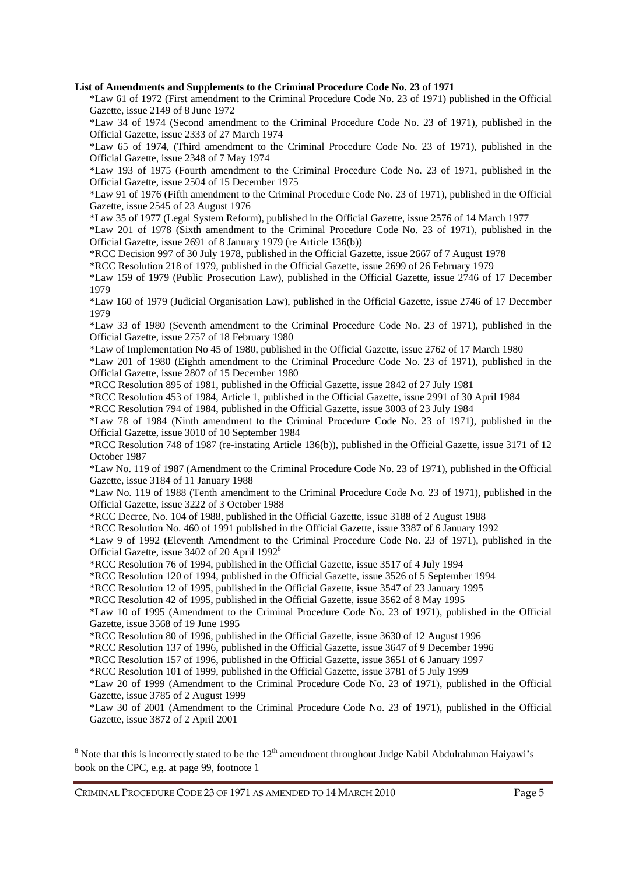#### **List of Amendments and Supplements to the Criminal Procedure Code No. 23 of 1971**

\*Law 61 of 1972 (First amendment to the Criminal Procedure Code No. 23 of 1971) published in the Official Gazette, issue 2149 of 8 June 1972

\*Law 34 of 1974 (Second amendment to the Criminal Procedure Code No. 23 of 1971), published in the Official Gazette, issue 2333 of 27 March 1974

\*Law 65 of 1974, (Third amendment to the Criminal Procedure Code No. 23 of 1971), published in the Official Gazette, issue 2348 of 7 May 1974

\*Law 193 of 1975 (Fourth amendment to the Criminal Procedure Code No. 23 of 1971, published in the Official Gazette, issue 2504 of 15 December 1975

\*Law 91 of 1976 (Fifth amendment to the Criminal Procedure Code No. 23 of 1971), published in the Official Gazette, issue 2545 of 23 August 1976

\*Law 35 of 1977 (Legal System Reform), published in the Official Gazette, issue 2576 of 14 March 1977

\*Law 201 of 1978 (Sixth amendment to the Criminal Procedure Code No. 23 of 1971), published in the Official Gazette, issue 2691 of 8 January 1979 (re Article 136(b))

\*RCC Decision 997 of 30 July 1978, published in the Official Gazette, issue 2667 of 7 August 1978

\*RCC Resolution 218 of 1979, published in the Official Gazette, issue 2699 of 26 February 1979

\*Law 159 of 1979 (Public Prosecution Law), published in the Official Gazette, issue 2746 of 17 December 1979

\*Law 160 of 1979 (Judicial Organisation Law), published in the Official Gazette, issue 2746 of 17 December 1979

\*Law 33 of 1980 (Seventh amendment to the Criminal Procedure Code No. 23 of 1971), published in the Official Gazette, issue 2757 of 18 February 1980

\*Law of Implementation No 45 of 1980, published in the Official Gazette, issue 2762 of 17 March 1980

\*Law 201 of 1980 (Eighth amendment to the Criminal Procedure Code No. 23 of 1971), published in the Official Gazette, issue 2807 of 15 December 1980

\*RCC Resolution 895 of 1981, published in the Official Gazette, issue 2842 of 27 July 1981

\*RCC Resolution 453 of 1984, Article 1, published in the Official Gazette, issue 2991 of 30 April 1984

\*RCC Resolution 794 of 1984, published in the Official Gazette, issue 3003 of 23 July 1984

\*Law 78 of 1984 (Ninth amendment to the Criminal Procedure Code No. 23 of 1971), published in the Official Gazette, issue 3010 of 10 September 1984

\*RCC Resolution 748 of 1987 (re-instating Article 136(b)), published in the Official Gazette, issue 3171 of 12 October 1987

\*Law No. 119 of 1987 (Amendment to the Criminal Procedure Code No. 23 of 1971), published in the Official Gazette, issue 3184 of 11 January 1988

\*Law No. 119 of 1988 (Tenth amendment to the Criminal Procedure Code No. 23 of 1971), published in the Official Gazette, issue 3222 of 3 October 1988

\*RCC Decree, No. 104 of 1988, published in the Official Gazette, issue 3188 of 2 August 1988

\*RCC Resolution No. 460 of 1991 published in the Official Gazette, issue 3387 of 6 January 1992

\*Law 9 of 1992 (Eleventh Amendment to the Criminal Procedure Code No. 23 of 1971), published in the Official Gazette, issue 3402 of 20 April 1992<sup>8</sup>

\*RCC Resolution 76 of 1994, published in the Official Gazette, issue 3517 of 4 July 1994

\*RCC Resolution 120 of 1994, published in the Official Gazette, issue 3526 of 5 September 1994

\*RCC Resolution 12 of 1995, published in the Official Gazette, issue 3547 of 23 January 1995

\*RCC Resolution 42 of 1995, published in the Official Gazette, issue 3562 of 8 May 1995

\*Law 10 of 1995 (Amendment to the Criminal Procedure Code No. 23 of 1971), published in the Official Gazette, issue 3568 of 19 June 1995

\*RCC Resolution 80 of 1996, published in the Official Gazette, issue 3630 of 12 August 1996

\*RCC Resolution 137 of 1996, published in the Official Gazette, issue 3647 of 9 December 1996

\*RCC Resolution 157 of 1996, published in the Official Gazette, issue 3651 of 6 January 1997

\*RCC Resolution 101 of 1999, published in the Official Gazette, issue 3781 of 5 July 1999

\*Law 20 of 1999 (Amendment to the Criminal Procedure Code No. 23 of 1971), published in the Official Gazette, issue 3785 of 2 August 1999

\*Law 30 of 2001 (Amendment to the Criminal Procedure Code No. 23 of 1971), published in the Official Gazette, issue 3872 of 2 April 2001

CRIMINAL PROCEDURE CODE 23 OF 1971 AS AMENDED TO 14 MARCH 2010 Page 5

 $\overline{a}$ 

<sup>&</sup>lt;sup>8</sup> Note that this is incorrectly stated to be the  $12<sup>th</sup>$  amendment throughout Judge Nabil Abdulrahman Haiyawi's book on the CPC, e.g. at page 99, footnote 1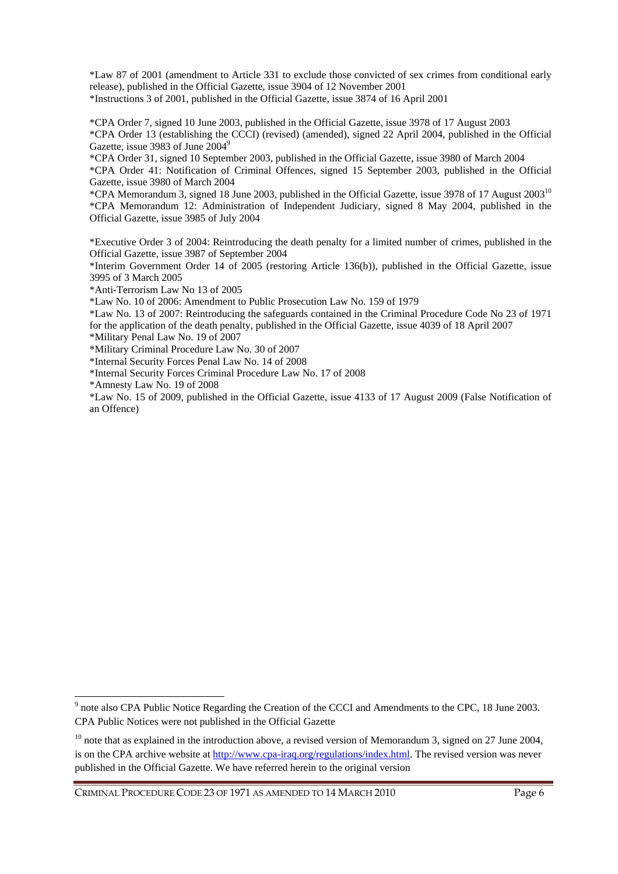\*Law 87 of 2001 (amendment to Article 331 to exclude those convicted of sex crimes from conditional early release), published in the Official Gazette, issue 3904 of 12 November 2001 \*Instructions 3 of 2001, published in the Official Gazette, issue 3874 of 16 April 2001

\*CPA Order 7, signed 10 June 2003, published in the Official Gazette, issue 3978 of 17 August 2003 \*CPA Order 13 (establishing the CCCI) (revised) (amended), signed 22 April 2004, published in the Official Gazette, issue 3983 of June 2004<sup>9</sup>

\*CPA Order 31, signed 10 September 2003, published in the Official Gazette, issue 3980 of March 2004

\*CPA Order 41: Notification of Criminal Offences, signed 15 September 2003, published in the Official Gazette, issue 3980 of March 2004

\*CPA Memorandum 3, signed 18 June 2003, published in the Official Gazette, issue 3978 of 17 August 2003 10 \*CPA Memorandum 12: Administration of Independent Judiciary, signed 8 May 2004, published in the Official Gazette, issue 3985 of July 2004

\*Executive Order 3 of 2004: Reintroducing the death penalty for a limited number of crimes, published in the Official Gazette, issue 3987 of September 2004

\*Interim Government Order 14 of 2005 (restoring Article 136(b)), published in the Official Gazette, issue 3995 of 3 March 2005

\*Anti-Terrorism Law No 13 of 2005

\*Law No. 10 of 2006: Amendment to Public Prosecution Law No. 159 of 1979

\*Law No. 13 of 2007: Reintroducing the safeguards contained in the Criminal Procedure Code No 23 of 1971 for the application of the death penalty, published in the Official Gazette, issue 4039 of 18 April 2007 \*Military Penal Law No. 19 of 2007

\*Military Criminal Procedure Law No. 30 of 2007

\*Internal Security Forces Penal Law No. 14 of 2008

\*Internal Security Forces Criminal Procedure Law No. 17 of 2008

\*Amnesty Law No. 19 of 2008

 $\overline{a}$ 

\*Law No. 15 of 2009, published in the Official Gazette, issue 4133 of 17 August 2009 (False Notification of an Offence)

<sup>&</sup>lt;sup>9</sup> note also CPA Public Notice Regarding the Creation of the CCCI and Amendments to the CPC, 18 June 2003. CPA Public Notices were not published in the Official Gazette

 $10$  note that as explained in the introduction above, a revised version of Memorandum 3, signed on 27 June 2004, is on the CPA archive website at http://www.cpa-iraq.org/regulations/index.html. The revised version was never published in the Official Gazette. We have referred herein to the original version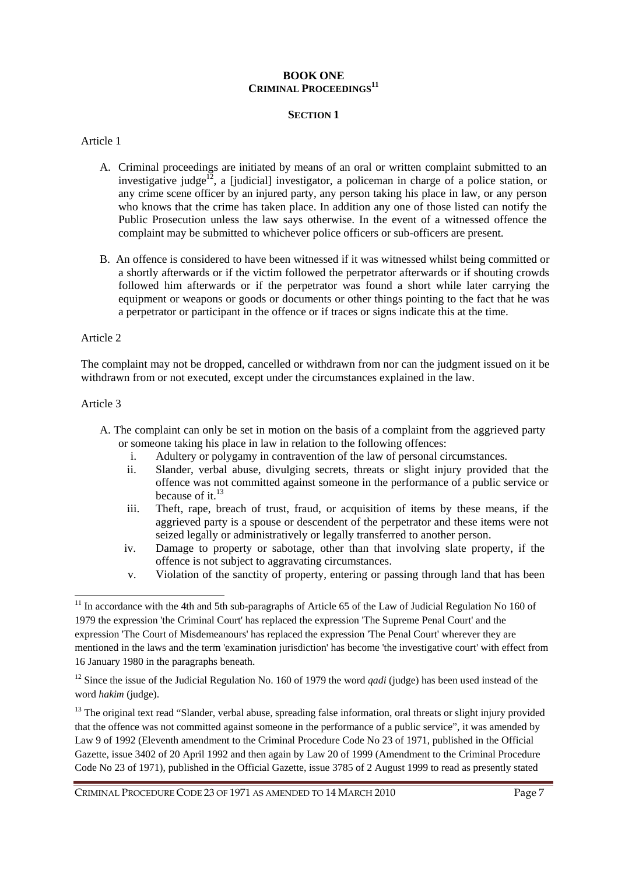# **BOOK ONE CRIMINAL PROCEEDINGS<sup>11</sup>**

### **SECTION 1**

### Article 1

- A. Criminal proceedings are initiated by means of an oral or written complaint submitted to an investigative judge<sup>12</sup>, a [judicial] investigator, a policeman in charge of a police station, or any crime scene officer by an injured party, any person taking his place in law, or any person who knows that the crime has taken place. In addition any one of those listed can notify the Public Prosecution unless the law says otherwise. In the event of a witnessed offence the complaint may be submitted to whichever police officers or sub-officers are present.
- B. An offence is considered to have been witnessed if it was witnessed whilst being committed or a shortly afterwards or if the victim followed the perpetrator afterwards or if shouting crowds followed him afterwards or if the perpetrator was found a short while later carrying the equipment or weapons or goods or documents or other things pointing to the fact that he was a perpetrator or participant in the offence or if traces or signs indicate this at the time.

### Article 2

The complaint may not be dropped, cancelled or withdrawn from nor can the judgment issued on it be withdrawn from or not executed, except under the circumstances explained in the law.

### Article 3

 $\overline{a}$ 

- A. The complaint can only be set in motion on the basis of a complaint from the aggrieved party or someone taking his place in law in relation to the following offences:
	- i. Adultery or polygamy in contravention of the law of personal circumstances.
	- ii. Slander, verbal abuse, divulging secrets, threats or slight injury provided that the offence was not committed against someone in the performance of a public service or because of it. $^{13}$
	- iii. Theft, rape, breach of trust, fraud, or acquisition of items by these means, if the aggrieved party is a spouse or descendent of the perpetrator and these items were not seized legally or administratively or legally transferred to another person.
	- iv. Damage to property or sabotage, other than that involving slate property, if the offence is not subject to aggravating circumstances.
	- v. Violation of the sanctity of property, entering or passing through land that has been

<sup>&</sup>lt;sup>11</sup> In accordance with the 4th and 5th sub-paragraphs of Article 65 of the Law of Judicial Regulation No 160 of 1979 the expression 'the Criminal Court' has replaced the expression 'The Supreme Penal Court' and the expression 'The Court of Misdemeanours' has replaced the expression 'The Penal Court' wherever they are mentioned in the laws and the term 'examination jurisdiction' has become 'the investigative court' with effect from 16 January 1980 in the paragraphs beneath.

<sup>&</sup>lt;sup>12</sup> Since the issue of the Judicial Regulation No. 160 of 1979 the word *qadi* (judge) has been used instead of the word *hakim* (judge).

<sup>&</sup>lt;sup>13</sup> The original text read "Slander, verbal abuse, spreading false information, oral threats or slight injury provided that the offence was not committed against someone in the performance of a public service", it was amended by Law 9 of 1992 (Eleventh amendment to the Criminal Procedure Code No 23 of 1971, published in the Official Gazette, issue 3402 of 20 April 1992 and then again by Law 20 of 1999 (Amendment to the Criminal Procedure Code No 23 of 1971), published in the Official Gazette, issue 3785 of 2 August 1999 to read as presently stated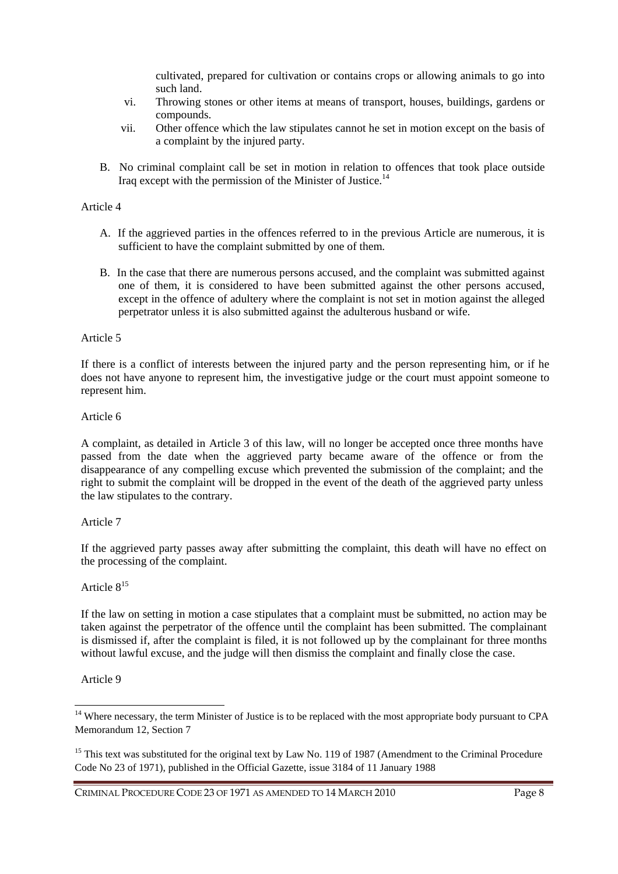cultivated, prepared for cultivation or contains crops or allowing animals to go into such land.

- vi. Throwing stones or other items at means of transport, houses, buildings, gardens or compounds.
- vii. Other offence which the law stipulates cannot he set in motion except on the basis of a complaint by the injured party.
- B. No criminal complaint call be set in motion in relation to offences that took place outside Iraq except with the permission of the Minister of Justice.<sup>14</sup>

# Article 4

- A. If the aggrieved parties in the offences referred to in the previous Article are numerous, it is sufficient to have the complaint submitted by one of them.
- B. In the case that there are numerous persons accused, and the complaint was submitted against one of them, it is considered to have been submitted against the other persons accused, except in the offence of adultery where the complaint is not set in motion against the alleged perpetrator unless it is also submitted against the adulterous husband or wife.

### Article 5

If there is a conflict of interests between the injured party and the person representing him, or if he does not have anyone to represent him, the investigative judge or the court must appoint someone to represent him.

# Article 6

A complaint, as detailed in Article 3 of this law, will no longer be accepted once three months have passed from the date when the aggrieved party became aware of the offence or from the disappearance of any compelling excuse which prevented the submission of the complaint; and the right to submit the complaint will be dropped in the event of the death of the aggrieved party unless the law stipulates to the contrary.

# Article 7

If the aggrieved party passes away after submitting the complaint, this death will have no effect on the processing of the complaint.

# Article 8<sup>15</sup>

If the law on setting in motion a case stipulates that a complaint must be submitted, no action may be taken against the perpetrator of the offence until the complaint has been submitted. The complainant is dismissed if, after the complaint is filed, it is not followed up by the complainant for three months without lawful excuse, and the judge will then dismiss the complaint and finally close the case.

### Article 9

 $\overline{a}$ 

<sup>&</sup>lt;sup>14</sup> Where necessary, the term Minister of Justice is to be replaced with the most appropriate body pursuant to CPA Memorandum 12, Section 7

<sup>&</sup>lt;sup>15</sup> This text was substituted for the original text by Law No. 119 of 1987 (Amendment to the Criminal Procedure Code No 23 of 1971), published in the Official Gazette, issue 3184 of 11 January 1988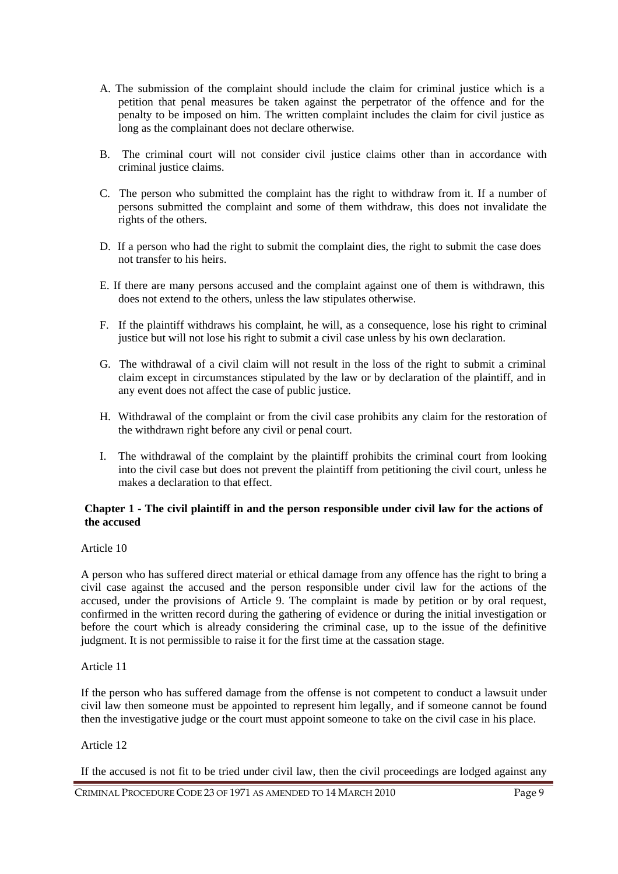- A. The submission of the complaint should include the claim for criminal justice which is a petition that penal measures be taken against the perpetrator of the offence and for the penalty to be imposed on him. The written complaint includes the claim for civil justice as long as the complainant does not declare otherwise.
- B. The criminal court will not consider civil justice claims other than in accordance with criminal justice claims.
- C. The person who submitted the complaint has the right to withdraw from it. If a number of persons submitted the complaint and some of them withdraw, this does not invalidate the rights of the others.
- D. If a person who had the right to submit the complaint dies, the right to submit the case does not transfer to his heirs.
- E. If there are many persons accused and the complaint against one of them is withdrawn, this does not extend to the others, unless the law stipulates otherwise.
- F. If the plaintiff withdraws his complaint, he will, as a consequence, lose his right to criminal justice but will not lose his right to submit a civil case unless by his own declaration.
- G. The withdrawal of a civil claim will not result in the loss of the right to submit a criminal claim except in circumstances stipulated by the law or by declaration of the plaintiff, and in any event does not affect the case of public justice.
- H. Withdrawal of the complaint or from the civil case prohibits any claim for the restoration of the withdrawn right before any civil or penal court.
- I. The withdrawal of the complaint by the plaintiff prohibits the criminal court from looking into the civil case but does not prevent the plaintiff from petitioning the civil court, unless he makes a declaration to that effect.

# **Chapter 1 - The civil plaintiff in and the person responsible under civil law for the actions of the accused**

# Article 10

A person who has suffered direct material or ethical damage from any offence has the right to bring a civil case against the accused and the person responsible under civil law for the actions of the accused, under the provisions of Article 9. The complaint is made by petition or by oral request, confirmed in the written record during the gathering of evidence or during the initial investigation or before the court which is already considering the criminal case, up to the issue of the definitive judgment. It is not permissible to raise it for the first time at the cassation stage.

### Article 11

If the person who has suffered damage from the offense is not competent to conduct a lawsuit under civil law then someone must be appointed to represent him legally, and if someone cannot be found then the investigative judge or the court must appoint someone to take on the civil case in his place.

### Article 12

If the accused is not fit to be tried under civil law, then the civil proceedings are lodged against any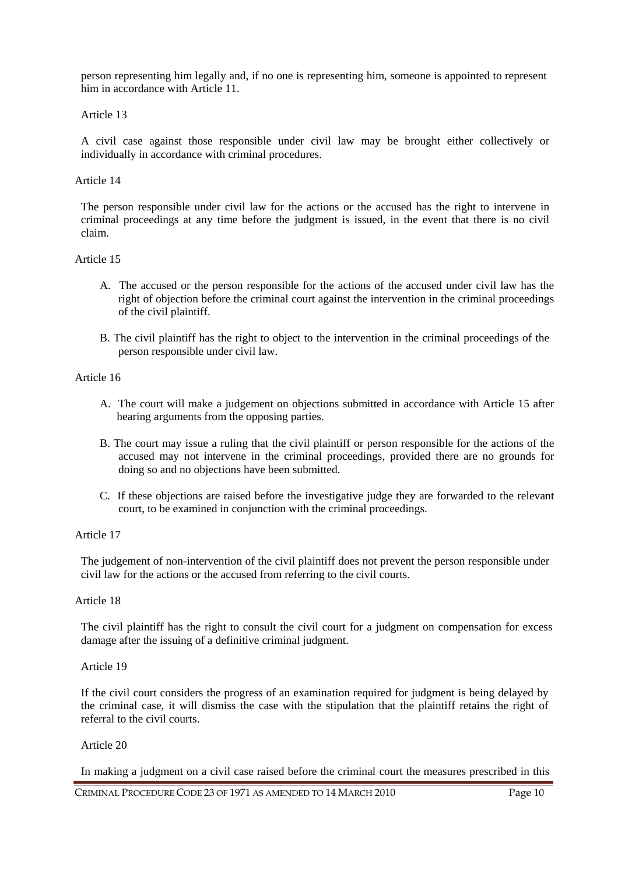person representing him legally and, if no one is representing him, someone is appointed to represent him in accordance with Article 11.

# Article 13

A civil case against those responsible under civil law may be brought either collectively or individually in accordance with criminal procedures.

### Article 14

The person responsible under civil law for the actions or the accused has the right to intervene in criminal proceedings at any time before the judgment is issued, in the event that there is no civil claim.

### Article 15

- A. The accused or the person responsible for the actions of the accused under civil law has the right of objection before the criminal court against the intervention in the criminal proceedings of the civil plaintiff.
- B. The civil plaintiff has the right to object to the intervention in the criminal proceedings of the person responsible under civil law.

# Article 16

- A. The court will make a judgement on objections submitted in accordance with Article 15 after hearing arguments from the opposing parties.
- B. The court may issue a ruling that the civil plaintiff or person responsible for the actions of the accused may not intervene in the criminal proceedings, provided there are no grounds for doing so and no objections have been submitted.
- C. If these objections are raised before the investigative judge they are forwarded to the relevant court, to be examined in conjunction with the criminal proceedings.

# Article 17

The judgement of non-intervention of the civil plaintiff does not prevent the person responsible under civil law for the actions or the accused from referring to the civil courts.

### Article 18

The civil plaintiff has the right to consult the civil court for a judgment on compensation for excess damage after the issuing of a definitive criminal judgment.

# Article 19

If the civil court considers the progress of an examination required for judgment is being delayed by the criminal case, it will dismiss the case with the stipulation that the plaintiff retains the right of referral to the civil courts.

# Article 20

In making a judgment on a civil case raised before the criminal court the measures prescribed in this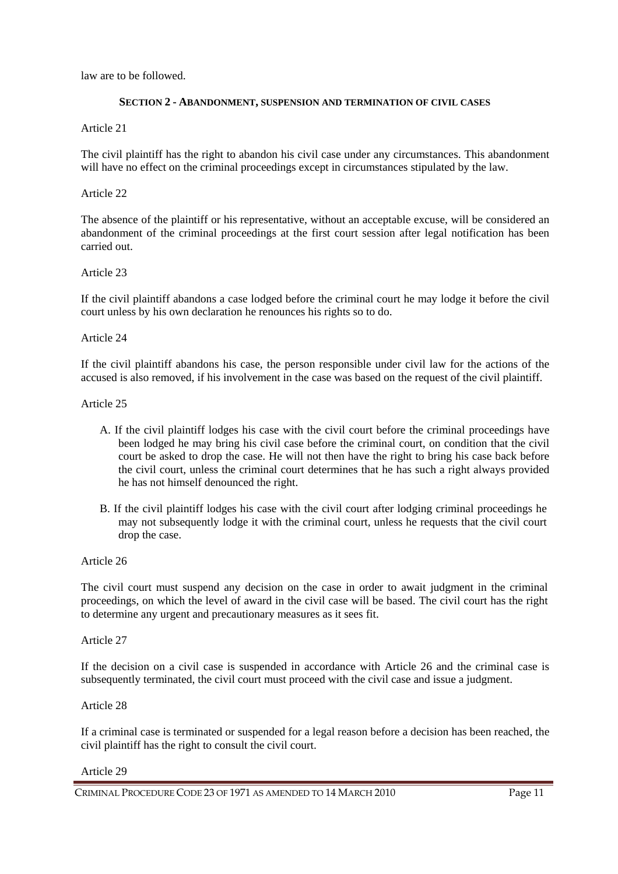law are to be followed.

# **SECTION 2 - ABANDONMENT, SUSPENSION AND TERMINATION OF CIVIL CASES**

Article 21

The civil plaintiff has the right to abandon his civil case under any circumstances. This abandonment will have no effect on the criminal proceedings except in circumstances stipulated by the law.

# Article 22

The absence of the plaintiff or his representative, without an acceptable excuse, will be considered an abandonment of the criminal proceedings at the first court session after legal notification has been carried out.

# Article 23

If the civil plaintiff abandons a case lodged before the criminal court he may lodge it before the civil court unless by his own declaration he renounces his rights so to do.

# Article 24

If the civil plaintiff abandons his case, the person responsible under civil law for the actions of the accused is also removed, if his involvement in the case was based on the request of the civil plaintiff.

### Article 25

- A. If the civil plaintiff lodges his case with the civil court before the criminal proceedings have been lodged he may bring his civil case before the criminal court, on condition that the civil court be asked to drop the case. He will not then have the right to bring his case back before the civil court, unless the criminal court determines that he has such a right always provided he has not himself denounced the right.
- B. If the civil plaintiff lodges his case with the civil court after lodging criminal proceedings he may not subsequently lodge it with the criminal court, unless he requests that the civil court drop the case.

# Article 26

The civil court must suspend any decision on the case in order to await judgment in the criminal proceedings, on which the level of award in the civil case will be based. The civil court has the right to determine any urgent and precautionary measures as it sees fit.

Article 27

If the decision on a civil case is suspended in accordance with Article 26 and the criminal case is subsequently terminated, the civil court must proceed with the civil case and issue a judgment.

# Article 28

If a criminal case is terminated or suspended for a legal reason before a decision has been reached, the civil plaintiff has the right to consult the civil court.

Article 29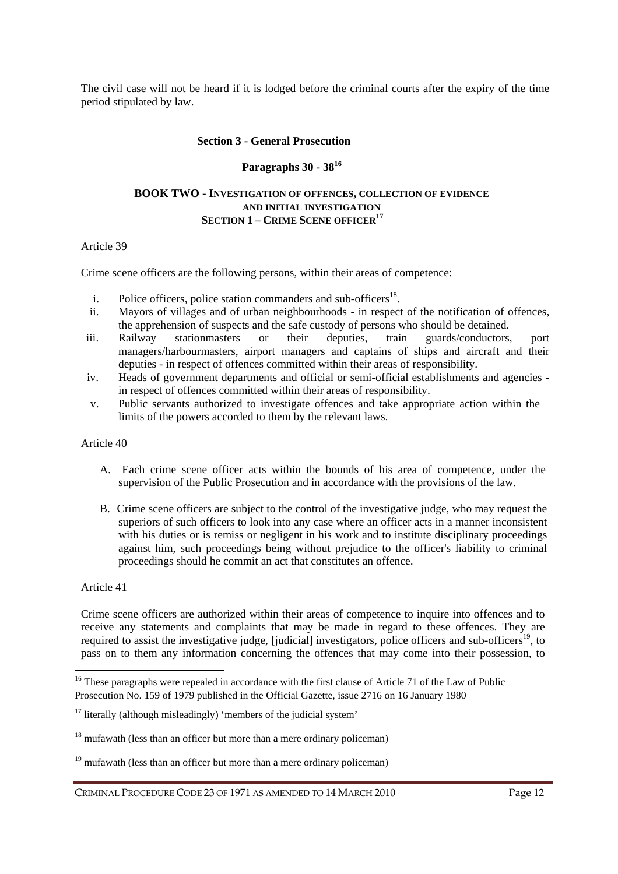The civil case will not be heard if it is lodged before the criminal courts after the expiry of the time period stipulated by law.

#### **Section 3 - General Prosecution**

# **Paragraphs 30 - 38<sup>16</sup>**

### **BOOK TWO** - **INVESTIGATION OF OFFENCES, COLLECTION OF EVIDENCE AND INITIAL INVESTIGATION SECTION 1 – CRIME SCENE OFFICER<sup>17</sup>**

# Article 39

Crime scene officers are the following persons, within their areas of competence:

- i. Police officers, police station commanders and sub-officers<sup>18</sup>.
- ii. Mayors of villages and of urban neighbourhoods in respect of the notification of offences, the apprehension of suspects and the safe custody of persons who should be detained.
- iii. Railway stationmasters or their deputies, train guards/conductors, port managers/harbourmasters, airport managers and captains of ships and aircraft and their deputies - in respect of offences committed within their areas of responsibility.
- iv. Heads of government departments and official or semi-official establishments and agencies in respect of offences committed within their areas of responsibility.
- v. Public servants authorized to investigate offences and take appropriate action within the limits of the powers accorded to them by the relevant laws.

### Article 40

- A. Each crime scene officer acts within the bounds of his area of competence, under the supervision of the Public Prosecution and in accordance with the provisions of the law.
- B. Crime scene officers are subject to the control of the investigative judge, who may request the superiors of such officers to look into any case where an officer acts in a manner inconsistent with his duties or is remiss or negligent in his work and to institute disciplinary proceedings against him, such proceedings being without prejudice to the officer's liability to criminal proceedings should he commit an act that constitutes an offence.

### Article 41

 $\overline{a}$ 

Crime scene officers are authorized within their areas of competence to inquire into offences and to receive any statements and complaints that may be made in regard to these offences. They are required to assist the investigative judge, [judicial] investigators, police officers and sub-officers<sup>19</sup>, to pass on to them any information concerning the offences that may come into their possession, to

<sup>&</sup>lt;sup>16</sup> These paragraphs were repealed in accordance with the first clause of Article 71 of the Law of Public Prosecution No. 159 of 1979 published in the Official Gazette, issue 2716 on 16 January 1980

 $17$  literally (although misleadingly) 'members of the judicial system'

 $18$  mufawath (less than an officer but more than a mere ordinary policeman)

 $19$  mufawath (less than an officer but more than a mere ordinary policeman)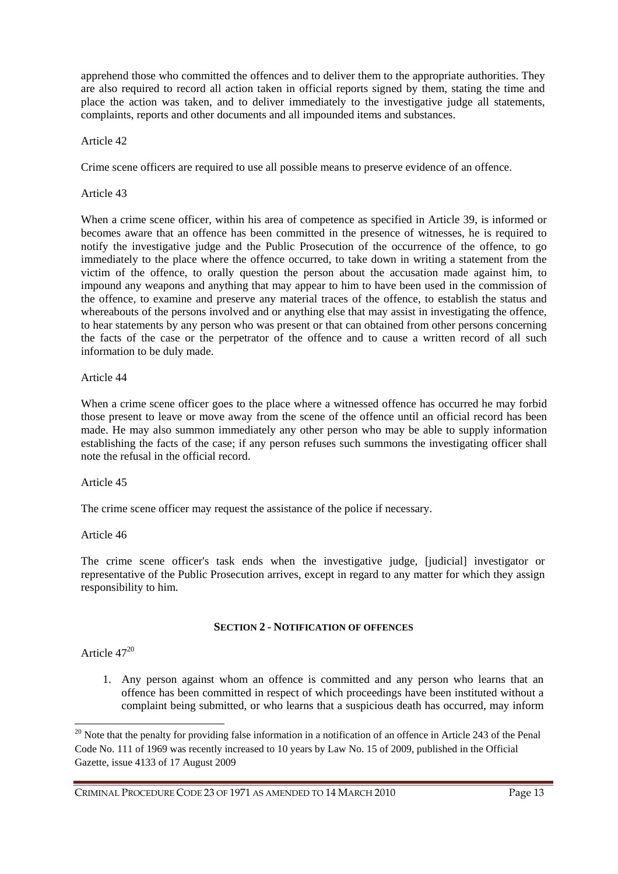apprehend those who committed the offences and to deliver them to the appropriate authorities. They are also required to record all action taken in official reports signed by them, stating the time and place the action was taken, and to deliver immediately to the investigative judge all statements, complaints, reports and other documents and all impounded items and substances.

# Article 42

Crime scene officers are required to use all possible means to preserve evidence of an offence.

# Article 43

When a crime scene officer, within his area of competence as specified in Article 39, is informed or becomes aware that an offence has been committed in the presence of witnesses, he is required to notify the investigative judge and the Public Prosecution of the occurrence of the offence, to go immediately to the place where the offence occurred, to take down in writing a statement from the victim of the offence, to orally question the person about the accusation made against him, to impound any weapons and anything that may appear to him to have been used in the commission of the offence, to examine and preserve any material traces of the offence, to establish the status and whereabouts of the persons involved and or anything else that may assist in investigating the offence, to hear statements by any person who was present or that can obtained from other persons concerning the facts of the case or the perpetrator of the offence and to cause a written record of all such information to be duly made.

# Article 44

When a crime scene officer goes to the place where a witnessed offence has occurred he may forbid those present to leave or move away from the scene of the offence until an official record has been made. He may also summon immediately any other person who may be able to supply information establishing the facts of the case; if any person refuses such summons the investigating officer shall note the refusal in the official record.

### Article 45

The crime scene officer may request the assistance of the police if necessary.

### Article 46

The crime scene officer's task ends when the investigative judge, [judicial] investigator or representative of the Public Prosecution arrives, except in regard to any matter for which they assign responsibility to him.

### **SECTION 2 - NOTIFICATION OF OFFENCES**

# Article 47<sup>20</sup>

 $\overline{a}$ 

1. Any person against whom an offence is committed and any person who learns that an offence has been committed in respect of which proceedings have been instituted without a complaint being submitted, or who learns that a suspicious death has occurred, may inform

 $20$  Note that the penalty for providing false information in a notification of an offence in Article 243 of the Penal Code No. 111 of 1969 was recently increased to 10 years by Law No. 15 of 2009, published in the Official Gazette, issue 4133 of 17 August 2009

CRIMINAL PROCEDURE CODE 23 OF 1971 AS AMENDED TO 14 MARCH 2010 Page 13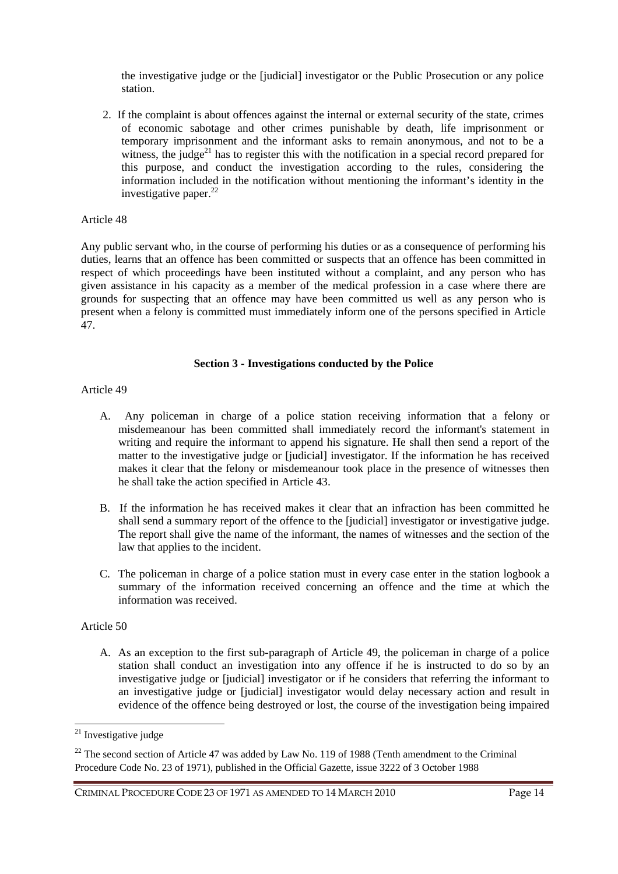the investigative judge or the [judicial] investigator or the Public Prosecution or any police station.

2. If the complaint is about offences against the internal or external security of the state, crimes of economic sabotage and other crimes punishable by death, life imprisonment or temporary imprisonment and the informant asks to remain anonymous, and not to be a witness, the judge<sup>21</sup> has to register this with the notification in a special record prepared for this purpose, and conduct the investigation according to the rules, considering the information included in the notification without mentioning the informant's identity in the investigative paper. $^{22}$ 

### Article 48

Any public servant who, in the course of performing his duties or as a consequence of performing his duties, learns that an offence has been committed or suspects that an offence has been committed in respect of which proceedings have been instituted without a complaint, and any person who has given assistance in his capacity as a member of the medical profession in a case where there are grounds for suspecting that an offence may have been committed us well as any person who is present when a felony is committed must immediately inform one of the persons specified in Article 47.

# **Section 3 - Investigations conducted by the Police**

# Article 49

- A. Any policeman in charge of a police station receiving information that a felony or misdemeanour has been committed shall immediately record the informant's statement in writing and require the informant to append his signature. He shall then send a report of the matter to the investigative judge or [judicial] investigator. If the information he has received makes it clear that the felony or misdemeanour took place in the presence of witnesses then he shall take the action specified in Article 43.
- B. If the information he has received makes it clear that an infraction has been committed he shall send a summary report of the offence to the [judicial] investigator or investigative judge. The report shall give the name of the informant, the names of witnesses and the section of the law that applies to the incident.
- C. The policeman in charge of a police station must in every case enter in the station logbook a summary of the information received concerning an offence and the time at which the information was received.

# Article 50

A. As an exception to the first sub-paragraph of Article 49, the policeman in charge of a police station shall conduct an investigation into any offence if he is instructed to do so by an investigative judge or [judicial] investigator or if he considers that referring the informant to an investigative judge or [judicial] investigator would delay necessary action and result in evidence of the offence being destroyed or lost, the course of the investigation being impaired

 $\overline{a}$ 

<sup>&</sup>lt;sup>21</sup> Investigative judge

 $22$  The second section of Article 47 was added by Law No. 119 of 1988 (Tenth amendment to the Criminal Procedure Code No. 23 of 1971), published in the Official Gazette, issue 3222 of 3 October 1988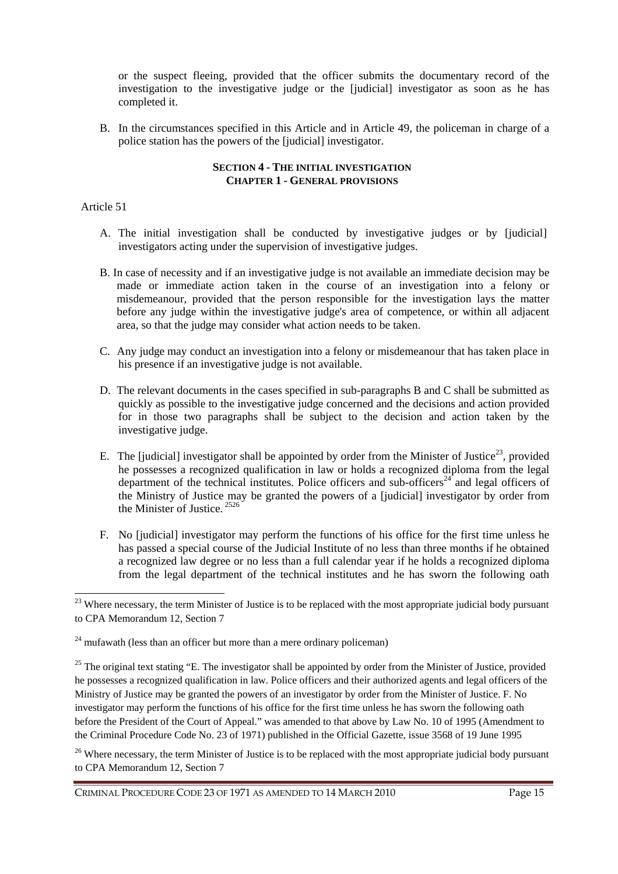or the suspect fleeing, provided that the officer submits the documentary record of the investigation to the investigative judge or the [judicial] investigator as soon as he has completed it.

B. In the circumstances specified in this Article and in Article 49, the policeman in charge of a police station has the powers of the [judicial] investigator.

# **SECTION 4 - THE INITIAL INVESTIGATION CHAPTER 1 - GENERAL PROVISIONS**

# Article 51

 $\overline{a}$ 

- A. The initial investigation shall be conducted by investigative judges or by [judicial] investigators acting under the supervision of investigative judges.
- B. In case of necessity and if an investigative judge is not available an immediate decision may be made or immediate action taken in the course of an investigation into a felony or misdemeanour, provided that the person responsible for the investigation lays the matter before any judge within the investigative judge's area of competence, or within all adjacent area, so that the judge may consider what action needs to be taken.
- C. Any judge may conduct an investigation into a felony or misdemeanour that has taken place in his presence if an investigative judge is not available.
- D. The relevant documents in the cases specified in sub-paragraphs B and C shall be submitted as quickly as possible to the investigative judge concerned and the decisions and action provided for in those two paragraphs shall be subject to the decision and action taken by the investigative judge.
- E. The [judicial] investigator shall be appointed by order from the Minister of Justice<sup>23</sup>, provided he possesses a recognized qualification in law or holds a recognized diploma from the legal department of the technical institutes. Police officers and sub-officers<sup>24</sup> and legal officers of the Ministry of Justice may be granted the powers of a [judicial] investigator by order from the Minister of Justice.<sup>2526</sup>
- F. No [judicial] investigator may perform the functions of his office for the first time unless he has passed a special course of the Judicial Institute of no less than three months if he obtained a recognized law degree or no less than a full calendar year if he holds a recognized diploma from the legal department of the technical institutes and he has sworn the following oath

<sup>&</sup>lt;sup>23</sup> Where necessary, the term Minister of Justice is to be replaced with the most appropriate judicial body pursuant to CPA Memorandum 12, Section 7

 $24$  mufawath (less than an officer but more than a mere ordinary policeman)

<sup>&</sup>lt;sup>25</sup> The original text stating "E. The investigator shall be appointed by order from the Minister of Justice, provided he possesses a recognized qualification in law. Police officers and their authorized agents and legal officers of the Ministry of Justice may be granted the powers of an investigator by order from the Minister of Justice. F. No investigator may perform the functions of his office for the first time unless he has sworn the following oath before the President of the Court of Appeal." was amended to that above by Law No. 10 of 1995 (Amendment to the Criminal Procedure Code No. 23 of 1971) published in the Official Gazette, issue 3568 of 19 June 1995

<sup>&</sup>lt;sup>26</sup> Where necessary, the term Minister of Justice is to be replaced with the most appropriate judicial body pursuant to CPA Memorandum 12, Section 7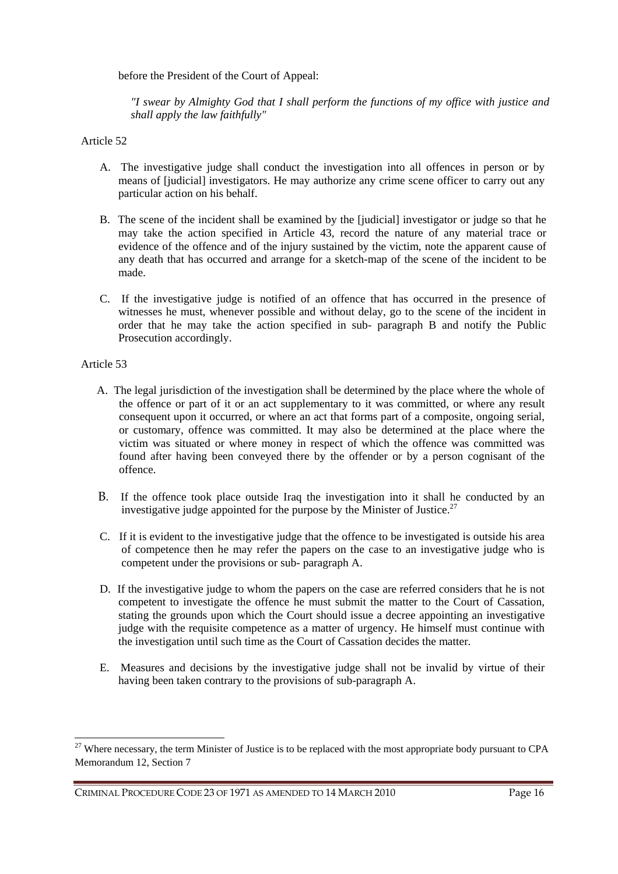before the President of the Court of Appeal:

*"I swear by Almighty God that I shall perform the functions of my office with justice and shall apply the law faithfully"* 

# Article 52

- A. The investigative judge shall conduct the investigation into all offences in person or by means of [judicial] investigators. He may authorize any crime scene officer to carry out any particular action on his behalf.
- B. The scene of the incident shall be examined by the [judicial] investigator or judge so that he may take the action specified in Article 43, record the nature of any material trace or evidence of the offence and of the injury sustained by the victim, note the apparent cause of any death that has occurred and arrange for a sketch-map of the scene of the incident to be made.
- C. If the investigative judge is notified of an offence that has occurred in the presence of witnesses he must, whenever possible and without delay, go to the scene of the incident in order that he may take the action specified in sub- paragraph B and notify the Public Prosecution accordingly.

# Article 53

 $\overline{a}$ 

- A. The legal jurisdiction of the investigation shall be determined by the place where the whole of the offence or part of it or an act supplementary to it was committed, or where any result consequent upon it occurred, or where an act that forms part of a composite, ongoing serial, or customary, offence was committed. It may also be determined at the place where the victim was situated or where money in respect of which the offence was committed was found after having been conveyed there by the offender or by a person cognisant of the offence.
- B. If the offence took place outside Iraq the investigation into it shall he conducted by an investigative judge appointed for the purpose by the Minister of Justice.<sup>27</sup>
- C. If it is evident to the investigative judge that the offence to be investigated is outside his area of competence then he may refer the papers on the case to an investigative judge who is competent under the provisions or sub- paragraph A.
- D. If the investigative judge to whom the papers on the case are referred considers that he is not competent to investigate the offence he must submit the matter to the Court of Cassation, stating the grounds upon which the Court should issue a decree appointing an investigative judge with the requisite competence as a matter of urgency. He himself must continue with the investigation until such time as the Court of Cassation decides the matter.
- E. Measures and decisions by the investigative judge shall not be invalid by virtue of their having been taken contrary to the provisions of sub-paragraph A.

 $^{27}$  Where necessary, the term Minister of Justice is to be replaced with the most appropriate body pursuant to CPA Memorandum 12, Section 7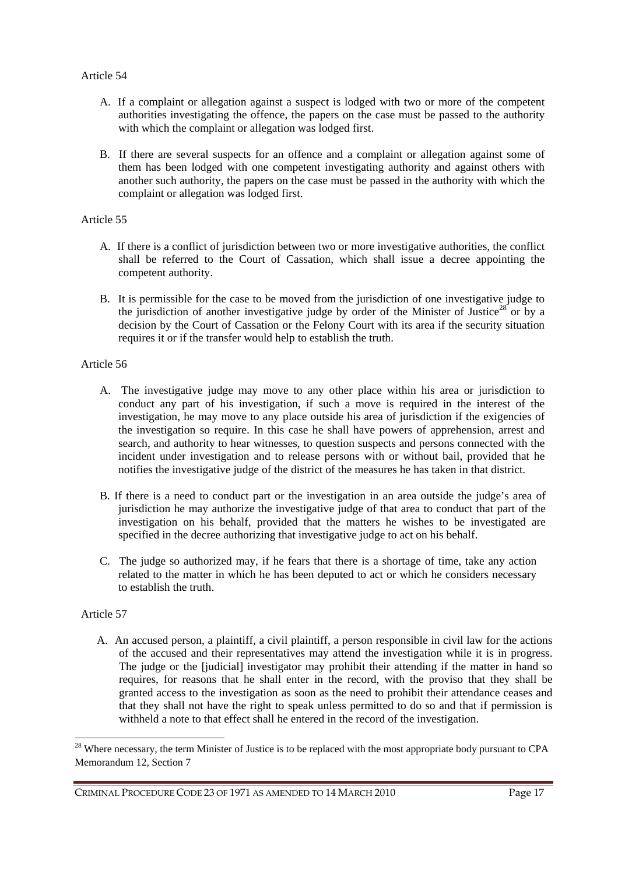- A. If a complaint or allegation against a suspect is lodged with two or more of the competent authorities investigating the offence, the papers on the case must be passed to the authority with which the complaint or allegation was lodged first.
- B. If there are several suspects for an offence and a complaint or allegation against some of them has been lodged with one competent investigating authority and against others with another such authority, the papers on the case must be passed in the authority with which the complaint or allegation was lodged first.

# Article 55

- A. If there is a conflict of jurisdiction between two or more investigative authorities, the conflict shall be referred to the Court of Cassation, which shall issue a decree appointing the competent authority.
- B. It is permissible for the case to be moved from the jurisdiction of one investigative judge to the jurisdiction of another investigative judge by order of the Minister of Justice<sup>28</sup> or by a decision by the Court of Cassation or the Felony Court with its area if the security situation requires it or if the transfer would help to establish the truth.

# Article 56

- A. The investigative judge may move to any other place within his area or jurisdiction to conduct any part of his investigation, if such a move is required in the interest of the investigation, he may move to any place outside his area of jurisdiction if the exigencies of the investigation so require. In this case he shall have powers of apprehension, arrest and search, and authority to hear witnesses, to question suspects and persons connected with the incident under investigation and to release persons with or without bail, provided that he notifies the investigative judge of the district of the measures he has taken in that district.
- B. If there is a need to conduct part or the investigation in an area outside the judge's area of jurisdiction he may authorize the investigative judge of that area to conduct that part of the investigation on his behalf, provided that the matters he wishes to be investigated are specified in the decree authorizing that investigative judge to act on his behalf.
- C. The judge so authorized may, if he fears that there is a shortage of time, take any action related to the matter in which he has been deputed to act or which he considers necessary to establish the truth.

# Article 57

 $\overline{a}$ 

A. An accused person, a plaintiff, a civil plaintiff, a person responsible in civil law for the actions of the accused and their representatives may attend the investigation while it is in progress. The judge or the [judicial] investigator may prohibit their attending if the matter in hand so requires, for reasons that he shall enter in the record, with the proviso that they shall be granted access to the investigation as soon as the need to prohibit their attendance ceases and that they shall not have the right to speak unless permitted to do so and that if permission is withheld a note to that effect shall he entered in the record of the investigation.

<sup>&</sup>lt;sup>28</sup> Where necessary, the term Minister of Justice is to be replaced with the most appropriate body pursuant to CPA Memorandum 12, Section 7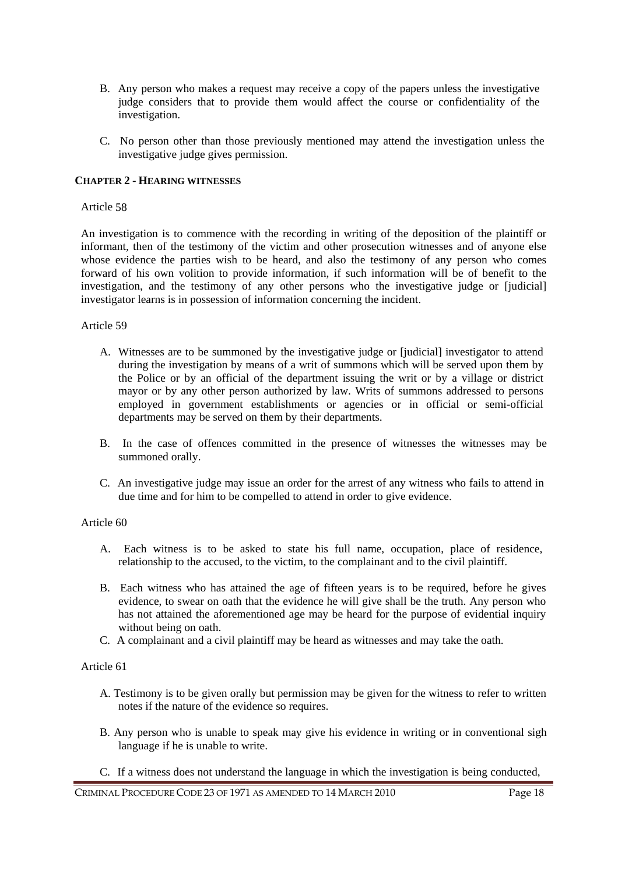- B. Any person who makes a request may receive a copy of the papers unless the investigative judge considers that to provide them would affect the course or confidentiality of the investigation.
- C. No person other than those previously mentioned may attend the investigation unless the investigative judge gives permission.

# **CHAPTER 2 - HEARING WITNESSES**

### Article 58

An investigation is to commence with the recording in writing of the deposition of the plaintiff or informant, then of the testimony of the victim and other prosecution witnesses and of anyone else whose evidence the parties wish to be heard, and also the testimony of any person who comes forward of his own volition to provide information, if such information will be of benefit to the investigation, and the testimony of any other persons who the investigative judge or [judicial] investigator learns is in possession of information concerning the incident.

# Article 59

- A. Witnesses are to be summoned by the investigative judge or [judicial] investigator to attend during the investigation by means of a writ of summons which will be served upon them by the Police or by an official of the department issuing the writ or by a village or district mayor or by any other person authorized by law. Writs of summons addressed to persons employed in government establishments or agencies or in official or semi-official departments may be served on them by their departments.
- B. In the case of offences committed in the presence of witnesses the witnesses may be summoned orally.
- C. An investigative judge may issue an order for the arrest of any witness who fails to attend in due time and for him to be compelled to attend in order to give evidence.

### Article 60

- A. Each witness is to be asked to state his full name, occupation, place of residence, relationship to the accused, to the victim, to the complainant and to the civil plaintiff.
- B. Each witness who has attained the age of fifteen years is to be required, before he gives evidence, to swear on oath that the evidence he will give shall be the truth. Any person who has not attained the aforementioned age may be heard for the purpose of evidential inquiry without being on oath.
- C. A complainant and a civil plaintiff may be heard as witnesses and may take the oath.

# Article 61

- A. Testimony is to be given orally but permission may be given for the witness to refer to written notes if the nature of the evidence so requires.
- B. Any person who is unable to speak may give his evidence in writing or in conventional sigh language if he is unable to write.
- C. If a witness does not understand the language in which the investigation is being conducted,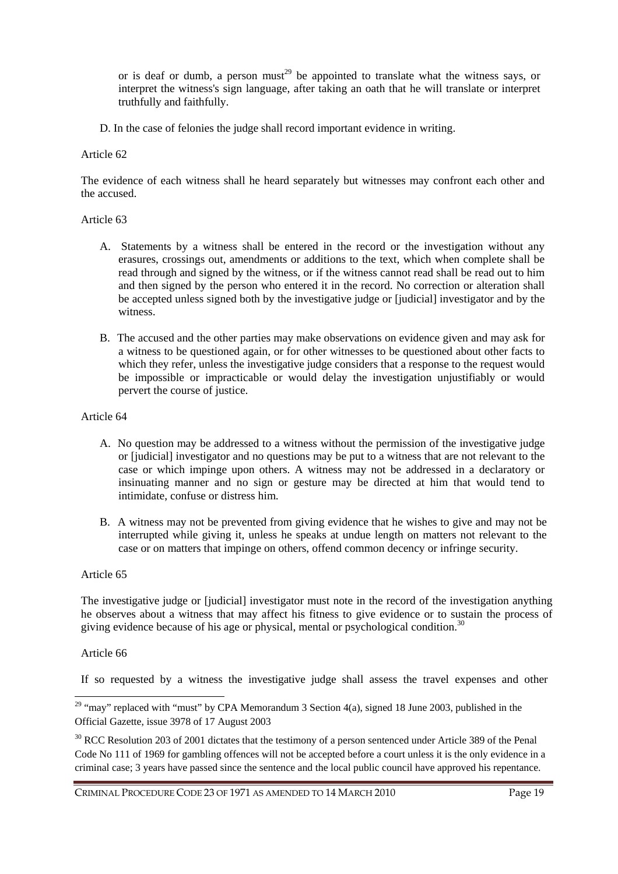or is deaf or dumb, a person must<sup>29</sup> be appointed to translate what the witness says, or interpret the witness's sign language, after taking an oath that he will translate or interpret truthfully and faithfully.

D. In the case of felonies the judge shall record important evidence in writing.

### Article 62

The evidence of each witness shall he heard separately but witnesses may confront each other and the accused.

# Article 63

- A. Statements by a witness shall be entered in the record or the investigation without any erasures, crossings out, amendments or additions to the text, which when complete shall be read through and signed by the witness, or if the witness cannot read shall be read out to him and then signed by the person who entered it in the record. No correction or alteration shall be accepted unless signed both by the investigative judge or [judicial] investigator and by the witness.
- B. The accused and the other parties may make observations on evidence given and may ask for a witness to be questioned again, or for other witnesses to be questioned about other facts to which they refer, unless the investigative judge considers that a response to the request would be impossible or impracticable or would delay the investigation unjustifiably or would pervert the course of justice.

# Article 64

- A. No question may be addressed to a witness without the permission of the investigative judge or [judicial] investigator and no questions may be put to a witness that are not relevant to the case or which impinge upon others. A witness may not be addressed in a declaratory or insinuating manner and no sign or gesture may be directed at him that would tend to intimidate, confuse or distress him.
- B. A witness may not be prevented from giving evidence that he wishes to give and may not be interrupted while giving it, unless he speaks at undue length on matters not relevant to the case or on matters that impinge on others, offend common decency or infringe security.

# Article 65

The investigative judge or [judicial] investigator must note in the record of the investigation anything he observes about a witness that may affect his fitness to give evidence or to sustain the process of giving evidence because of his age or physical, mental or psychological condition.<sup>30</sup>

# Article 66

 $\overline{a}$ 

If so requested by a witness the investigative judge shall assess the travel expenses and other

<sup>&</sup>lt;sup>29</sup> "may" replaced with "must" by CPA Memorandum 3 Section  $4(a)$ , signed 18 June 2003, published in the Official Gazette, issue 3978 of 17 August 2003

<sup>&</sup>lt;sup>30</sup> RCC Resolution 203 of 2001 dictates that the testimony of a person sentenced under Article 389 of the Penal Code No 111 of 1969 for gambling offences will not be accepted before a court unless it is the only evidence in a criminal case; 3 years have passed since the sentence and the local public council have approved his repentance.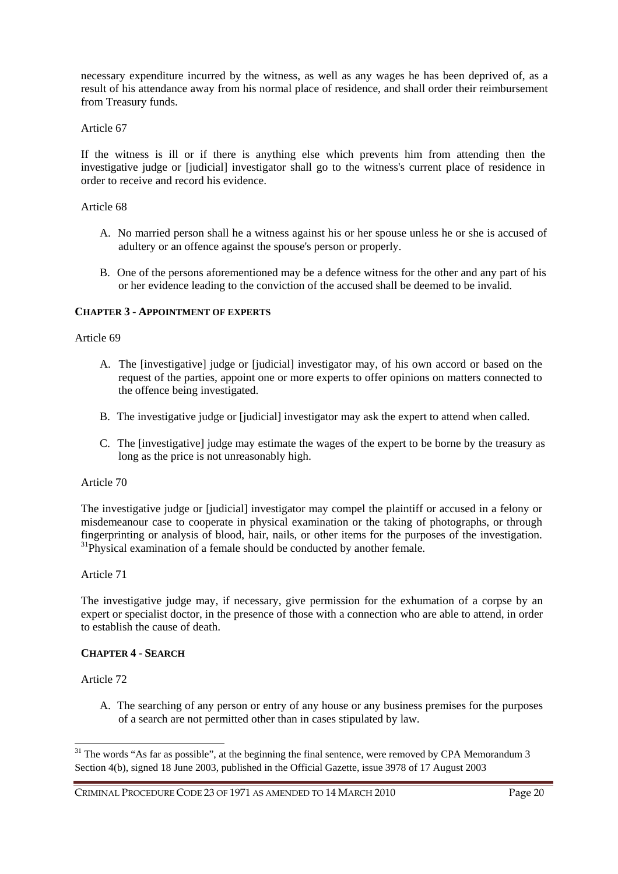necessary expenditure incurred by the witness, as well as any wages he has been deprived of, as a result of his attendance away from his normal place of residence, and shall order their reimbursement from Treasury funds.

# Article 67

If the witness is ill or if there is anything else which prevents him from attending then the investigative judge or [judicial] investigator shall go to the witness's current place of residence in order to receive and record his evidence.

# Article 68

- A. No married person shall he a witness against his or her spouse unless he or she is accused of adultery or an offence against the spouse's person or properly.
- B. One of the persons aforementioned may be a defence witness for the other and any part of his or her evidence leading to the conviction of the accused shall be deemed to be invalid.

# **CHAPTER 3 - APPOINTMENT OF EXPERTS**

### Article 69

- A. The [investigative] judge or [judicial] investigator may, of his own accord or based on the request of the parties, appoint one or more experts to offer opinions on matters connected to the offence being investigated.
- B. The investigative judge or [judicial] investigator may ask the expert to attend when called.
- C. The [investigative] judge may estimate the wages of the expert to be borne by the treasury as long as the price is not unreasonably high.

### Article 70

The investigative judge or [judicial] investigator may compel the plaintiff or accused in a felony or misdemeanour case to cooperate in physical examination or the taking of photographs, or through fingerprinting or analysis of blood, hair, nails, or other items for the purposes of the investigation.  $31$ Physical examination of a female should be conducted by another female.

### Article 71

The investigative judge may, if necessary, give permission for the exhumation of a corpse by an expert or specialist doctor, in the presence of those with a connection who are able to attend, in order to establish the cause of death.

### **CHAPTER 4 - SEARCH**

# Article 72

 $\overline{a}$ 

A. The searching of any person or entry of any house or any business premises for the purposes of a search are not permitted other than in cases stipulated by law.

<sup>&</sup>lt;sup>31</sup> The words "As far as possible", at the beginning the final sentence, were removed by CPA Memorandum 3 Section 4(b), signed 18 June 2003, published in the Official Gazette, issue 3978 of 17 August 2003

CRIMINAL PROCEDURE CODE 23 OF 1971 AS AMENDED TO 14 MARCH 2010 Page 20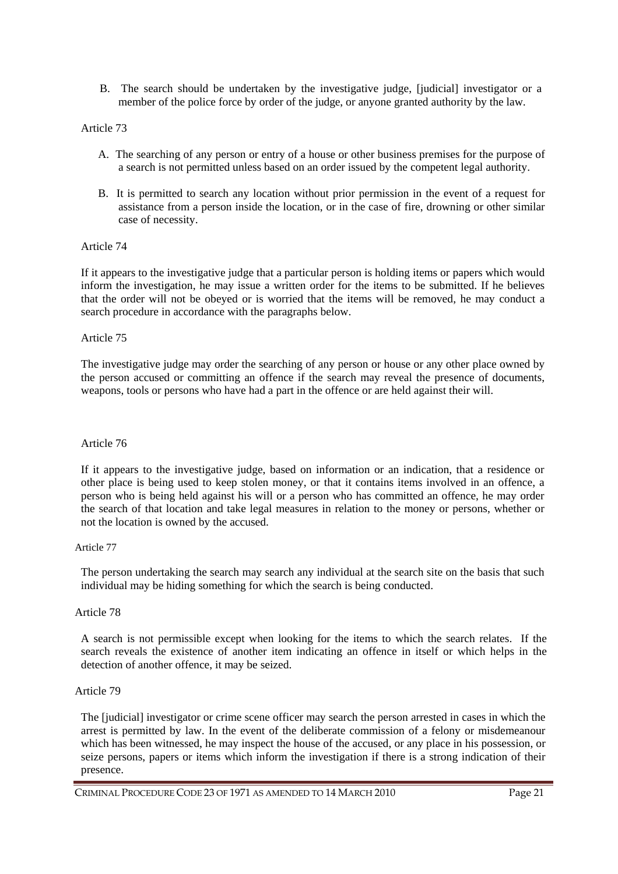B. The search should be undertaken by the investigative judge, [judicial] investigator or a member of the police force by order of the judge, or anyone granted authority by the law.

### Article 73

- A. The searching of any person or entry of a house or other business premises for the purpose of a search is not permitted unless based on an order issued by the competent legal authority.
- B. It is permitted to search any location without prior permission in the event of a request for assistance from a person inside the location, or in the case of fire, drowning or other similar case of necessity.

### Article 74

If it appears to the investigative judge that a particular person is holding items or papers which would inform the investigation, he may issue a written order for the items to be submitted. If he believes that the order will not be obeyed or is worried that the items will be removed, he may conduct a search procedure in accordance with the paragraphs below.

### Article 75

The investigative judge may order the searching of any person or house or any other place owned by the person accused or committing an offence if the search may reveal the presence of documents, weapons, tools or persons who have had a part in the offence or are held against their will.

### Article 76

If it appears to the investigative judge, based on information or an indication, that a residence or other place is being used to keep stolen money, or that it contains items involved in an offence, a person who is being held against his will or a person who has committed an offence, he may order the search of that location and take legal measures in relation to the money or persons, whether or not the location is owned by the accused.

#### Article 77

The person undertaking the search may search any individual at the search site on the basis that such individual may be hiding something for which the search is being conducted.

#### Article 78

A search is not permissible except when looking for the items to which the search relates. If the search reveals the existence of another item indicating an offence in itself or which helps in the detection of another offence, it may be seized.

### Article 79

The [judicial] investigator or crime scene officer may search the person arrested in cases in which the arrest is permitted by law. In the event of the deliberate commission of a felony or misdemeanour which has been witnessed, he may inspect the house of the accused, or any place in his possession, or seize persons, papers or items which inform the investigation if there is a strong indication of their presence.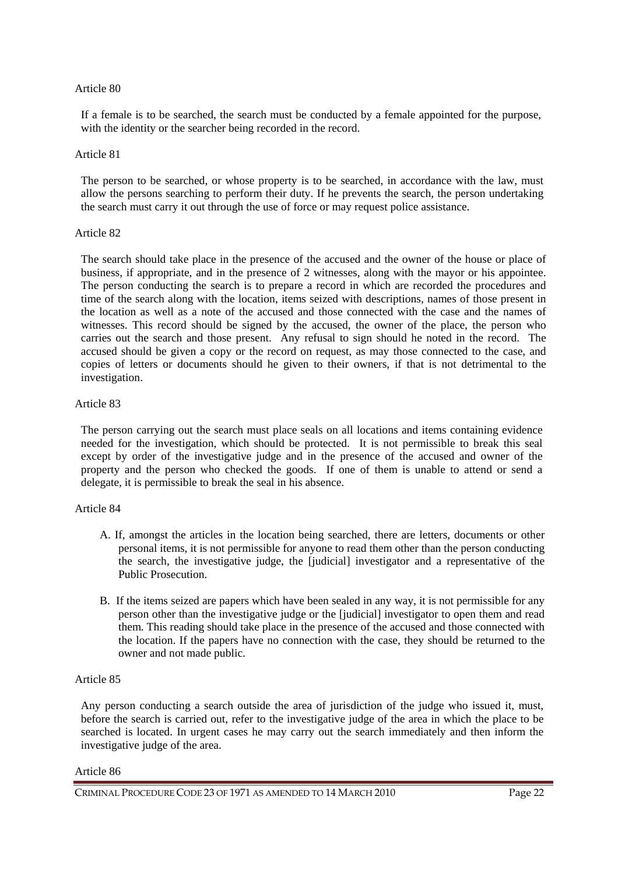If a female is to be searched, the search must be conducted by a female appointed for the purpose, with the identity or the searcher being recorded in the record.

#### Article 81

The person to be searched, or whose property is to be searched, in accordance with the law, must allow the persons searching to perform their duty. If he prevents the search, the person undertaking the search must carry it out through the use of force or may request police assistance.

### Article 82

The search should take place in the presence of the accused and the owner of the house or place of business, if appropriate, and in the presence of 2 witnesses, along with the mayor or his appointee. The person conducting the search is to prepare a record in which are recorded the procedures and time of the search along with the location, items seized with descriptions, names of those present in the location as well as a note of the accused and those connected with the case and the names of witnesses. This record should be signed by the accused, the owner of the place, the person who carries out the search and those present. Any refusal to sign should he noted in the record. The accused should be given a copy or the record on request, as may those connected to the case, and copies of letters or documents should he given to their owners, if that is not detrimental to the investigation.

### Article 83

The person carrying out the search must place seals on all locations and items containing evidence needed for the investigation, which should be protected. It is not permissible to break this seal except by order of the investigative judge and in the presence of the accused and owner of the property and the person who checked the goods. If one of them is unable to attend or send a delegate, it is permissible to break the seal in his absence.

### Article 84

- A. If, amongst the articles in the location being searched, there are letters, documents or other personal items, it is not permissible for anyone to read them other than the person conducting the search, the investigative judge, the [judicial] investigator and a representative of the Public Prosecution.
- B. If the items seized are papers which have been sealed in any way, it is not permissible for any person other than the investigative judge or the [judicial] investigator to open them and read them. This reading should take place in the presence of the accused and those connected with the location. If the papers have no connection with the case, they should be returned to the owner and not made public.

### Article 85

Any person conducting a search outside the area of jurisdiction of the judge who issued it, must, before the search is carried out, refer to the investigative judge of the area in which the place to be searched is located. In urgent cases he may carry out the search immediately and then inform the investigative judge of the area.

#### Article 86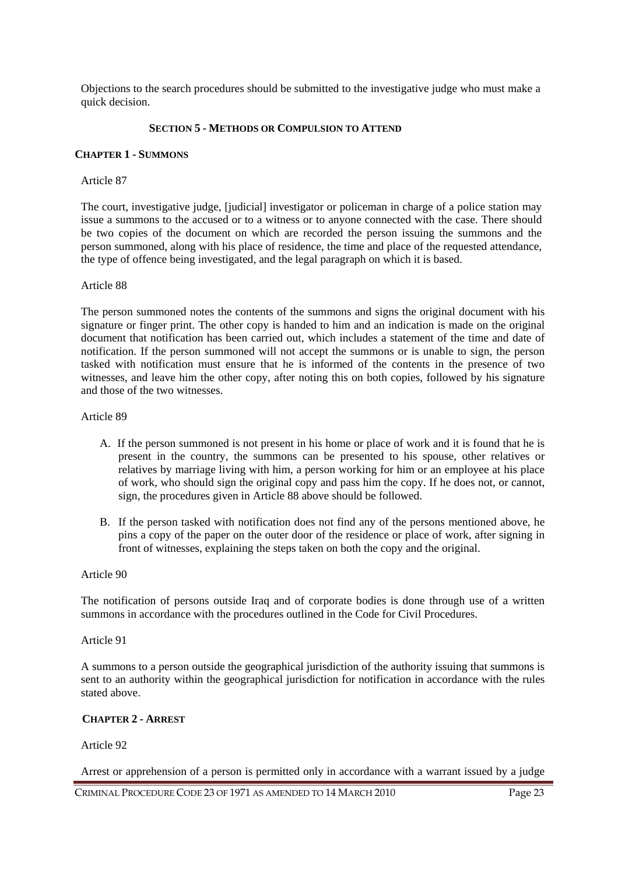Objections to the search procedures should be submitted to the investigative judge who must make a quick decision.

### **SECTION 5 - METHODS OR COMPULSION TO ATTEND**

#### **CHAPTER 1 - SUMMONS**

#### Article 87

The court, investigative judge, [judicial] investigator or policeman in charge of a police station may issue a summons to the accused or to a witness or to anyone connected with the case. There should be two copies of the document on which are recorded the person issuing the summons and the person summoned, along with his place of residence, the time and place of the requested attendance, the type of offence being investigated, and the legal paragraph on which it is based.

### Article 88

The person summoned notes the contents of the summons and signs the original document with his signature or finger print. The other copy is handed to him and an indication is made on the original document that notification has been carried out, which includes a statement of the time and date of notification. If the person summoned will not accept the summons or is unable to sign, the person tasked with notification must ensure that he is informed of the contents in the presence of two witnesses, and leave him the other copy, after noting this on both copies, followed by his signature and those of the two witnesses.

### Article 89

- A. If the person summoned is not present in his home or place of work and it is found that he is present in the country, the summons can be presented to his spouse, other relatives or relatives by marriage living with him, a person working for him or an employee at his place of work, who should sign the original copy and pass him the copy. If he does not, or cannot, sign, the procedures given in Article 88 above should be followed.
- B. If the person tasked with notification does not find any of the persons mentioned above, he pins a copy of the paper on the outer door of the residence or place of work, after signing in front of witnesses, explaining the steps taken on both the copy and the original.

#### Article 90

The notification of persons outside Iraq and of corporate bodies is done through use of a written summons in accordance with the procedures outlined in the Code for Civil Procedures.

#### Article 91

A summons to a person outside the geographical jurisdiction of the authority issuing that summons is sent to an authority within the geographical jurisdiction for notification in accordance with the rules stated above.

### **CHAPTER 2 - ARREST**

### Article 92

Arrest or apprehension of a person is permitted only in accordance with a warrant issued by a judge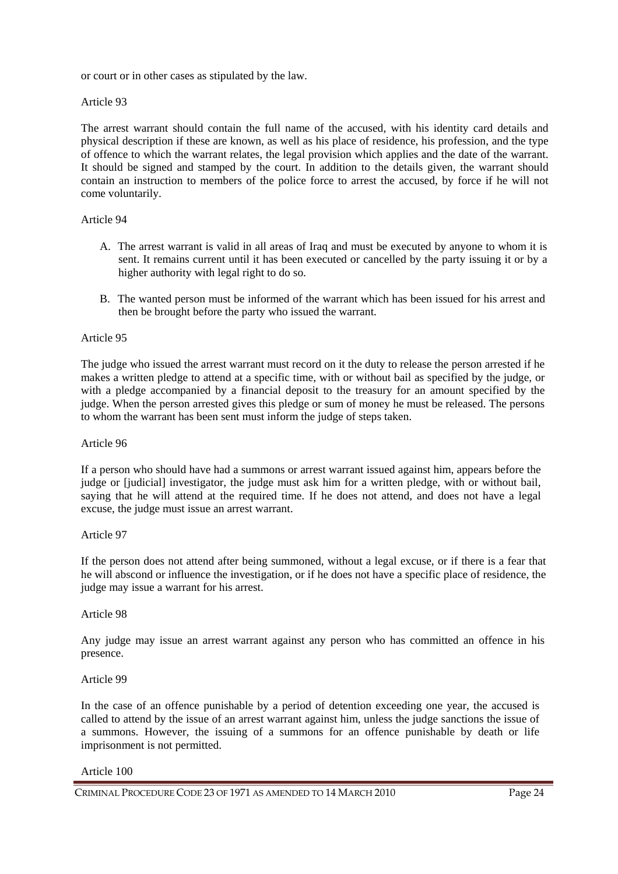or court or in other cases as stipulated by the law.

### Article 93

The arrest warrant should contain the full name of the accused, with his identity card details and physical description if these are known, as well as his place of residence, his profession, and the type of offence to which the warrant relates, the legal provision which applies and the date of the warrant. It should be signed and stamped by the court. In addition to the details given, the warrant should contain an instruction to members of the police force to arrest the accused, by force if he will not come voluntarily.

### Article 94

- A. The arrest warrant is valid in all areas of Iraq and must be executed by anyone to whom it is sent. It remains current until it has been executed or cancelled by the party issuing it or by a higher authority with legal right to do so.
- B. The wanted person must be informed of the warrant which has been issued for his arrest and then be brought before the party who issued the warrant.

### Article 95

The judge who issued the arrest warrant must record on it the duty to release the person arrested if he makes a written pledge to attend at a specific time, with or without bail as specified by the judge, or with a pledge accompanied by a financial deposit to the treasury for an amount specified by the judge. When the person arrested gives this pledge or sum of money he must be released. The persons to whom the warrant has been sent must inform the judge of steps taken.

### Article 96

If a person who should have had a summons or arrest warrant issued against him, appears before the judge or [judicial] investigator, the judge must ask him for a written pledge, with or without bail, saying that he will attend at the required time. If he does not attend, and does not have a legal excuse, the judge must issue an arrest warrant.

#### Article 97

If the person does not attend after being summoned, without a legal excuse, or if there is a fear that he will abscond or influence the investigation, or if he does not have a specific place of residence, the judge may issue a warrant for his arrest.

#### Article 98

Any judge may issue an arrest warrant against any person who has committed an offence in his presence.

#### Article 99

In the case of an offence punishable by a period of detention exceeding one year, the accused is called to attend by the issue of an arrest warrant against him, unless the judge sanctions the issue of a summons. However, the issuing of a summons for an offence punishable by death or life imprisonment is not permitted.

#### Article 100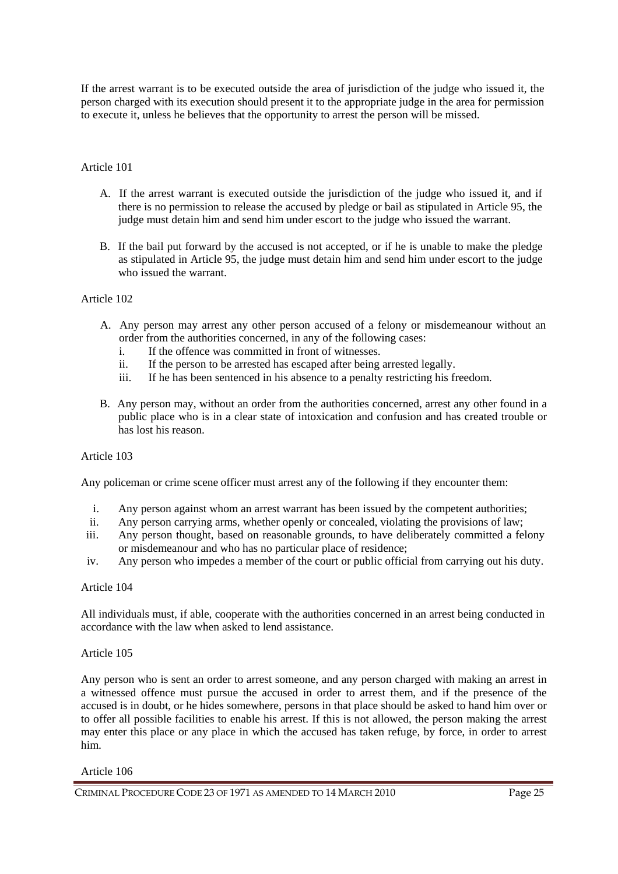If the arrest warrant is to be executed outside the area of jurisdiction of the judge who issued it, the person charged with its execution should present it to the appropriate judge in the area for permission to execute it, unless he believes that the opportunity to arrest the person will be missed.

### Article 101

- A. If the arrest warrant is executed outside the jurisdiction of the judge who issued it, and if there is no permission to release the accused by pledge or bail as stipulated in Article 95, the judge must detain him and send him under escort to the judge who issued the warrant.
- B. If the bail put forward by the accused is not accepted, or if he is unable to make the pledge as stipulated in Article 95, the judge must detain him and send him under escort to the judge who issued the warrant.

### Article 102

- A. Any person may arrest any other person accused of a felony or misdemeanour without an order from the authorities concerned, in any of the following cases:
	- i. If the offence was committed in front of witnesses.
	- ii. If the person to be arrested has escaped after being arrested legally.
	- iii. If he has been sentenced in his absence to a penalty restricting his freedom.
- B. Any person may, without an order from the authorities concerned, arrest any other found in a public place who is in a clear state of intoxication and confusion and has created trouble or has lost his reason.

### Article 103

Any policeman or crime scene officer must arrest any of the following if they encounter them:

- i. Any person against whom an arrest warrant has been issued by the competent authorities;
- ii. Any person carrying arms, whether openly or concealed, violating the provisions of law;
- iii. Any person thought, based on reasonable grounds, to have deliberately committed a felony or misdemeanour and who has no particular place of residence;
- iv. Any person who impedes a member of the court or public official from carrying out his duty.

### Article 104

All individuals must, if able, cooperate with the authorities concerned in an arrest being conducted in accordance with the law when asked to lend assistance.

### Article 105

Any person who is sent an order to arrest someone, and any person charged with making an arrest in a witnessed offence must pursue the accused in order to arrest them, and if the presence of the accused is in doubt, or he hides somewhere, persons in that place should be asked to hand him over or to offer all possible facilities to enable his arrest. If this is not allowed, the person making the arrest may enter this place or any place in which the accused has taken refuge, by force, in order to arrest him.

#### Article 106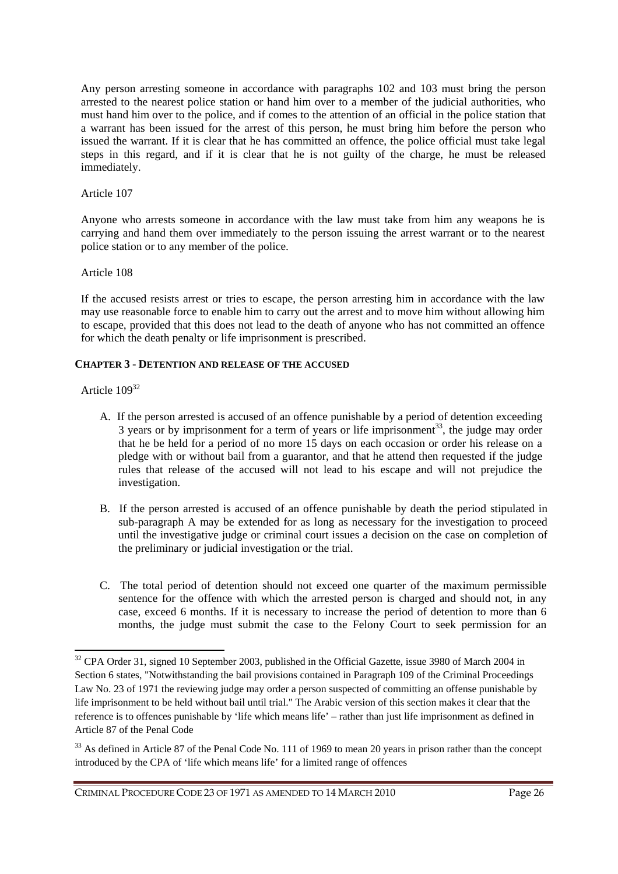Any person arresting someone in accordance with paragraphs 102 and 103 must bring the person arrested to the nearest police station or hand him over to a member of the judicial authorities, who must hand him over to the police, and if comes to the attention of an official in the police station that a warrant has been issued for the arrest of this person, he must bring him before the person who issued the warrant. If it is clear that he has committed an offence, the police official must take legal steps in this regard, and if it is clear that he is not guilty of the charge, he must be released immediately.

### Article 107

Anyone who arrests someone in accordance with the law must take from him any weapons he is carrying and hand them over immediately to the person issuing the arrest warrant or to the nearest police station or to any member of the police.

# Article 108

If the accused resists arrest or tries to escape, the person arresting him in accordance with the law may use reasonable force to enable him to carry out the arrest and to move him without allowing him to escape, provided that this does not lead to the death of anyone who has not committed an offence for which the death penalty or life imprisonment is prescribed.

# **CHAPTER 3 - DETENTION AND RELEASE OF THE ACCUSED**

# Article 109<sup>32</sup>

 $\overline{a}$ 

- A. If the person arrested is accused of an offence punishable by a period of detention exceeding  $3$  years or by imprisonment for a term of years or life imprisonment<sup>33</sup>, the judge may order that he be held for a period of no more 15 days on each occasion or order his release on a pledge with or without bail from a guarantor, and that he attend then requested if the judge rules that release of the accused will not lead to his escape and will not prejudice the investigation.
- B. If the person arrested is accused of an offence punishable by death the period stipulated in sub-paragraph A may be extended for as long as necessary for the investigation to proceed until the investigative judge or criminal court issues a decision on the case on completion of the preliminary or judicial investigation or the trial.
- C. The total period of detention should not exceed one quarter of the maximum permissible sentence for the offence with which the arrested person is charged and should not, in any case, exceed 6 months. If it is necessary to increase the period of detention to more than 6 months, the judge must submit the case to the Felony Court to seek permission for an

<sup>&</sup>lt;sup>32</sup> CPA Order 31, signed 10 September 2003, published in the Official Gazette, issue 3980 of March 2004 in Section 6 states, "Notwithstanding the bail provisions contained in Paragraph 109 of the Criminal Proceedings Law No. 23 of 1971 the reviewing judge may order a person suspected of committing an offense punishable by life imprisonment to be held without bail until trial." The Arabic version of this section makes it clear that the reference is to offences punishable by 'life which means life' – rather than just life imprisonment as defined in Article 87 of the Penal Code

<sup>&</sup>lt;sup>33</sup> As defined in Article 87 of the Penal Code No. 111 of 1969 to mean 20 years in prison rather than the concept introduced by the CPA of 'life which means life' for a limited range of offences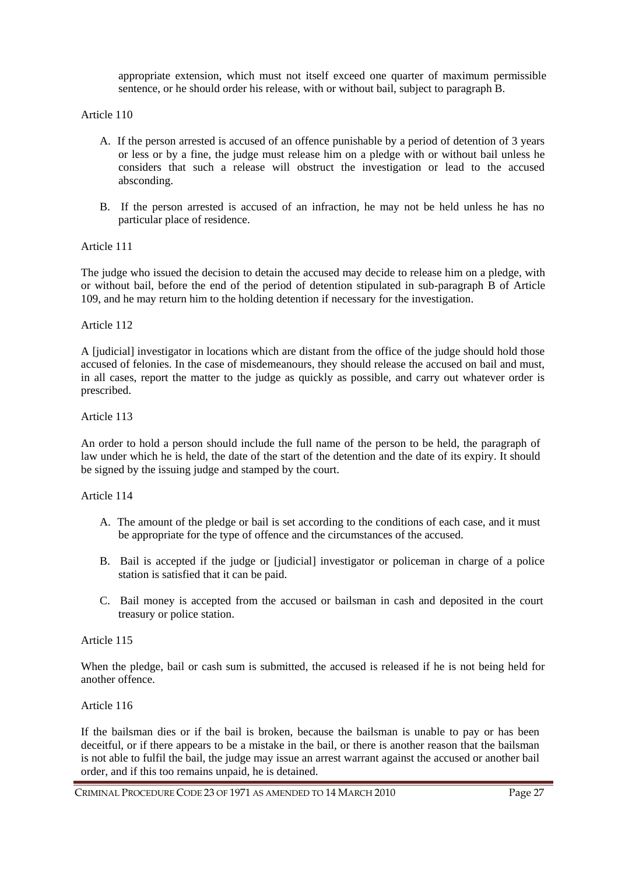appropriate extension, which must not itself exceed one quarter of maximum permissible sentence, or he should order his release, with or without bail, subject to paragraph B.

Article 110

- A. If the person arrested is accused of an offence punishable by a period of detention of 3 years or less or by a fine, the judge must release him on a pledge with or without bail unless he considers that such a release will obstruct the investigation or lead to the accused absconding.
- B. If the person arrested is accused of an infraction, he may not be held unless he has no particular place of residence.

Article 111

The judge who issued the decision to detain the accused may decide to release him on a pledge, with or without bail, before the end of the period of detention stipulated in sub-paragraph B of Article 109, and he may return him to the holding detention if necessary for the investigation.

### Article 112

A [judicial] investigator in locations which are distant from the office of the judge should hold those accused of felonies. In the case of misdemeanours, they should release the accused on bail and must, in all cases, report the matter to the judge as quickly as possible, and carry out whatever order is prescribed.

### Article 113

An order to hold a person should include the full name of the person to be held, the paragraph of law under which he is held, the date of the start of the detention and the date of its expiry. It should be signed by the issuing judge and stamped by the court.

### Article 114

- A. The amount of the pledge or bail is set according to the conditions of each case, and it must be appropriate for the type of offence and the circumstances of the accused.
- B. Bail is accepted if the judge or [judicial] investigator or policeman in charge of a police station is satisfied that it can be paid.
- C. Bail money is accepted from the accused or bailsman in cash and deposited in the court treasury or police station.

### Article 115

When the pledge, bail or cash sum is submitted, the accused is released if he is not being held for another offence.

### Article 116

If the bailsman dies or if the bail is broken, because the bailsman is unable to pay or has been deceitful, or if there appears to be a mistake in the bail, or there is another reason that the bailsman is not able to fulfil the bail, the judge may issue an arrest warrant against the accused or another bail order, and if this too remains unpaid, he is detained.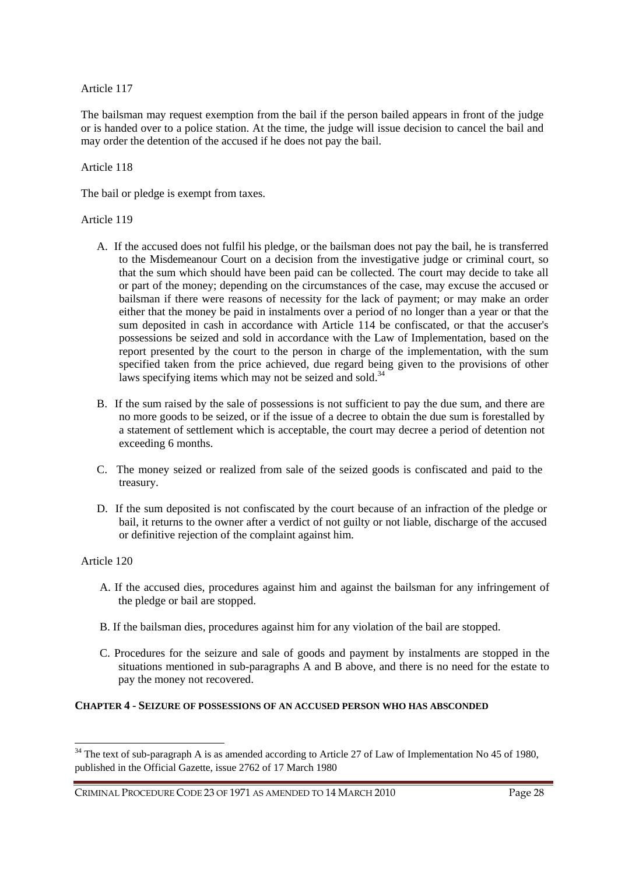The bailsman may request exemption from the bail if the person bailed appears in front of the judge or is handed over to a police station. At the time, the judge will issue decision to cancel the bail and may order the detention of the accused if he does not pay the bail.

### Article 118

The bail or pledge is exempt from taxes.

# Article 119

- A. If the accused does not fulfil his pledge, or the bailsman does not pay the bail, he is transferred to the Misdemeanour Court on a decision from the investigative judge or criminal court, so that the sum which should have been paid can be collected. The court may decide to take all or part of the money; depending on the circumstances of the case, may excuse the accused or bailsman if there were reasons of necessity for the lack of payment; or may make an order either that the money be paid in instalments over a period of no longer than a year or that the sum deposited in cash in accordance with Article 114 be confiscated, or that the accuser's possessions be seized and sold in accordance with the Law of Implementation, based on the report presented by the court to the person in charge of the implementation, with the sum specified taken from the price achieved, due regard being given to the provisions of other laws specifying items which may not be seized and sold.<sup>34</sup>
- B. If the sum raised by the sale of possessions is not sufficient to pay the due sum, and there are no more goods to be seized, or if the issue of a decree to obtain the due sum is forestalled by a statement of settlement which is acceptable, the court may decree a period of detention not exceeding 6 months.
- C. The money seized or realized from sale of the seized goods is confiscated and paid to the treasury.
- D. If the sum deposited is not confiscated by the court because of an infraction of the pledge or bail, it returns to the owner after a verdict of not guilty or not liable, discharge of the accused or definitive rejection of the complaint against him.

# Article 120

 $\overline{a}$ 

- A. If the accused dies, procedures against him and against the bailsman for any infringement of the pledge or bail are stopped.
- B. If the bailsman dies, procedures against him for any violation of the bail are stopped.
- C. Procedures for the seizure and sale of goods and payment by instalments are stopped in the situations mentioned in sub-paragraphs A and B above, and there is no need for the estate to pay the money not recovered.

# **CHAPTER 4 - SEIZURE OF POSSESSIONS OF AN ACCUSED PERSON WHO HAS ABSCONDED**

<sup>&</sup>lt;sup>34</sup> The text of sub-paragraph A is as amended according to Article 27 of Law of Implementation No 45 of 1980, published in the Official Gazette, issue 2762 of 17 March 1980

CRIMINAL PROCEDURE CODE 23 OF 1971 AS AMENDED TO 14 MARCH 2010 Page 28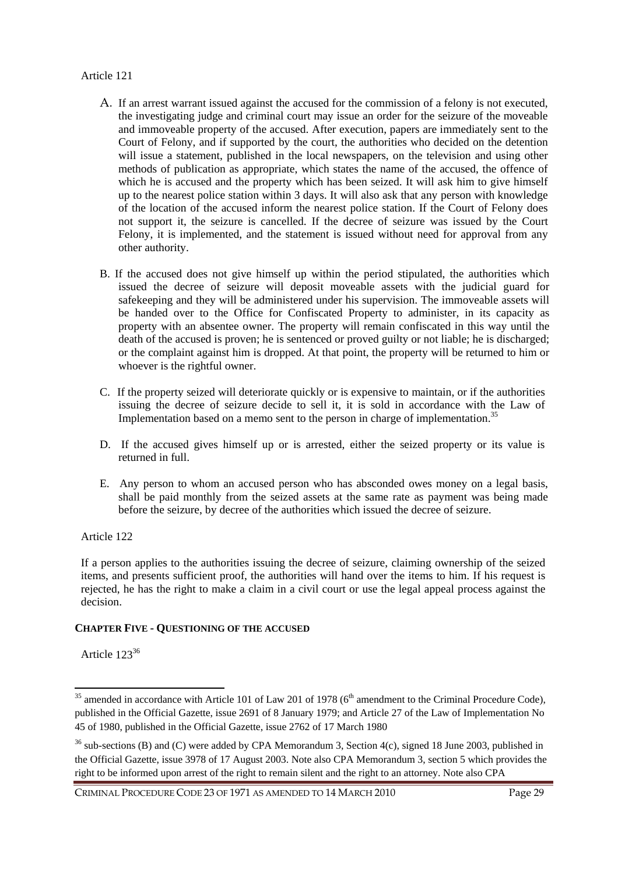- A. If an arrest warrant issued against the accused for the commission of a felony is not executed, the investigating judge and criminal court may issue an order for the seizure of the moveable and immoveable property of the accused. After execution, papers are immediately sent to the Court of Felony, and if supported by the court, the authorities who decided on the detention will issue a statement, published in the local newspapers, on the television and using other methods of publication as appropriate, which states the name of the accused, the offence of which he is accused and the property which has been seized. It will ask him to give himself up to the nearest police station within 3 days. It will also ask that any person with knowledge of the location of the accused inform the nearest police station. If the Court of Felony does not support it, the seizure is cancelled. If the decree of seizure was issued by the Court Felony, it is implemented, and the statement is issued without need for approval from any other authority.
- B. If the accused does not give himself up within the period stipulated, the authorities which issued the decree of seizure will deposit moveable assets with the judicial guard for safekeeping and they will be administered under his supervision. The immoveable assets will be handed over to the Office for Confiscated Property to administer, in its capacity as property with an absentee owner. The property will remain confiscated in this way until the death of the accused is proven; he is sentenced or proved guilty or not liable; he is discharged; or the complaint against him is dropped. At that point, the property will be returned to him or whoever is the rightful owner.
- C. If the property seized will deteriorate quickly or is expensive to maintain, or if the authorities issuing the decree of seizure decide to sell it, it is sold in accordance with the Law of Implementation based on a memo sent to the person in charge of implementation.<sup>35</sup>
- D. If the accused gives himself up or is arrested, either the seized property or its value is returned in full.
- E. Any person to whom an accused person who has absconded owes money on a legal basis, shall be paid monthly from the seized assets at the same rate as payment was being made before the seizure, by decree of the authorities which issued the decree of seizure.

# Article 122

If a person applies to the authorities issuing the decree of seizure, claiming ownership of the seized items, and presents sufficient proof, the authorities will hand over the items to him. If his request is rejected, he has the right to make a claim in a civil court or use the legal appeal process against the decision.

### **CHAPTER FIVE - QUESTIONING OF THE ACCUSED**

Article 123<sup>36</sup>

 $\overline{a}$ 

 $35$  amended in accordance with Article 101 of Law 201 of 1978 ( $6<sup>th</sup>$  amendment to the Criminal Procedure Code), published in the Official Gazette, issue 2691 of 8 January 1979; and Article 27 of the Law of Implementation No 45 of 1980, published in the Official Gazette, issue 2762 of 17 March 1980

 $36$  sub-sections (B) and (C) were added by CPA Memorandum 3, Section 4(c), signed 18 June 2003, published in the Official Gazette, issue 3978 of 17 August 2003. Note also CPA Memorandum 3, section 5 which provides the right to be informed upon arrest of the right to remain silent and the right to an attorney. Note also CPA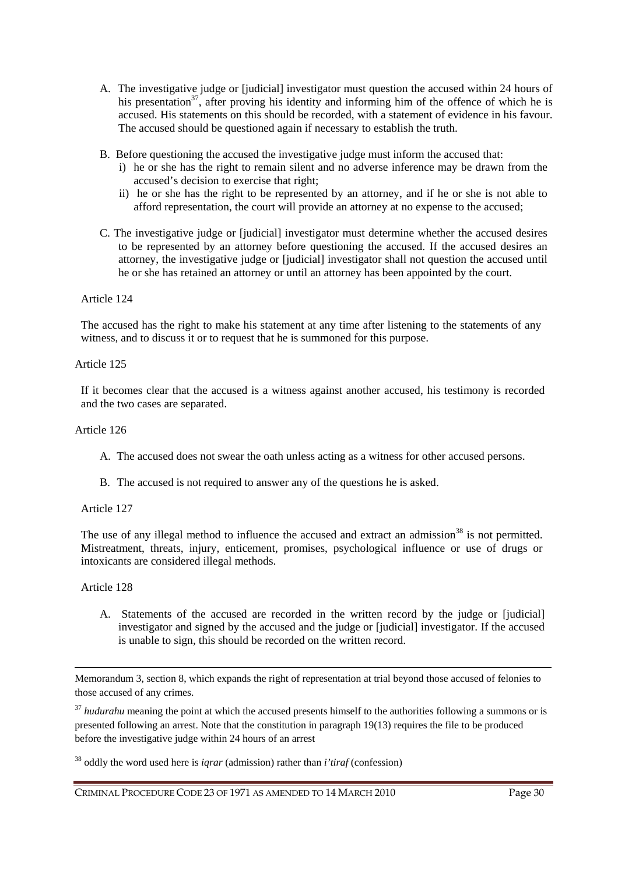- A. The investigative judge or [judicial] investigator must question the accused within 24 hours of his presentation<sup>37</sup>, after proving his identity and informing him of the offence of which he is accused. His statements on this should be recorded, with a statement of evidence in his favour. The accused should be questioned again if necessary to establish the truth.
- B. Before questioning the accused the investigative judge must inform the accused that:
	- i) he or she has the right to remain silent and no adverse inference may be drawn from the accused's decision to exercise that right;
	- ii) he or she has the right to be represented by an attorney, and if he or she is not able to afford representation, the court will provide an attorney at no expense to the accused;
- C. The investigative judge or [judicial] investigator must determine whether the accused desires to be represented by an attorney before questioning the accused. If the accused desires an attorney, the investigative judge or [judicial] investigator shall not question the accused until he or she has retained an attorney or until an attorney has been appointed by the court.

The accused has the right to make his statement at any time after listening to the statements of any witness, and to discuss it or to request that he is summoned for this purpose.

### Article 125

If it becomes clear that the accused is a witness against another accused, his testimony is recorded and the two cases are separated.

### Article 126

- A. The accused does not swear the oath unless acting as a witness for other accused persons.
- B. The accused is not required to answer any of the questions he is asked.

### Article 127

The use of any illegal method to influence the accused and extract an admission<sup>38</sup> is not permitted. Mistreatment, threats, injury, enticement, promises, psychological influence or use of drugs or intoxicants are considered illegal methods.

### Article 128

 $\overline{a}$ 

A. Statements of the accused are recorded in the written record by the judge or [judicial] investigator and signed by the accused and the judge or [judicial] investigator. If the accused is unable to sign, this should be recorded on the written record.

Memorandum 3, section 8, which expands the right of representation at trial beyond those accused of felonies to those accused of any crimes.

<sup>37</sup> *hudurahu* meaning the point at which the accused presents himself to the authorities following a summons or is presented following an arrest. Note that the constitution in paragraph 19(13) requires the file to be produced before the investigative judge within 24 hours of an arrest

<sup>38</sup> oddly the word used here is *iqrar* (admission) rather than *i'tiraf* (confession)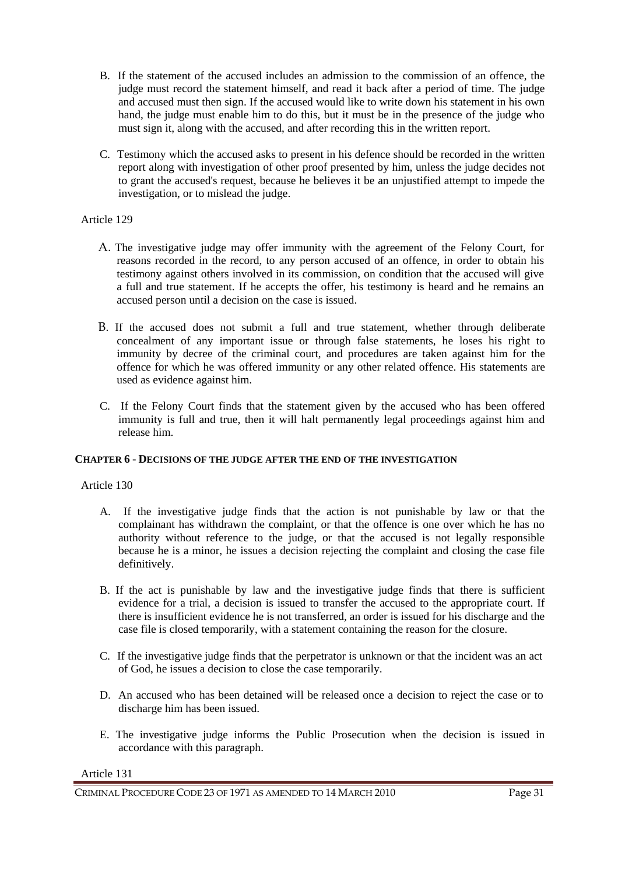- B. If the statement of the accused includes an admission to the commission of an offence, the judge must record the statement himself, and read it back after a period of time. The judge and accused must then sign. If the accused would like to write down his statement in his own hand, the judge must enable him to do this, but it must be in the presence of the judge who must sign it, along with the accused, and after recording this in the written report.
- C. Testimony which the accused asks to present in his defence should be recorded in the written report along with investigation of other proof presented by him, unless the judge decides not to grant the accused's request, because he believes it be an unjustified attempt to impede the investigation, or to mislead the judge.

- A. The investigative judge may offer immunity with the agreement of the Felony Court, for reasons recorded in the record, to any person accused of an offence, in order to obtain his testimony against others involved in its commission, on condition that the accused will give a full and true statement. If he accepts the offer, his testimony is heard and he remains an accused person until a decision on the case is issued.
- B. If the accused does not submit a full and true statement, whether through deliberate concealment of any important issue or through false statements, he loses his right to immunity by decree of the criminal court, and procedures are taken against him for the offence for which he was offered immunity or any other related offence. His statements are used as evidence against him.
- C. If the Felony Court finds that the statement given by the accused who has been offered immunity is full and true, then it will halt permanently legal proceedings against him and release him.

# **CHAPTER 6 - DECISIONS OF THE JUDGE AFTER THE END OF THE INVESTIGATION**

Article 130

- A. If the investigative judge finds that the action is not punishable by law or that the complainant has withdrawn the complaint, or that the offence is one over which he has no authority without reference to the judge, or that the accused is not legally responsible because he is a minor, he issues a decision rejecting the complaint and closing the case file definitively.
- B. If the act is punishable by law and the investigative judge finds that there is sufficient evidence for a trial, a decision is issued to transfer the accused to the appropriate court. If there is insufficient evidence he is not transferred, an order is issued for his discharge and the case file is closed temporarily, with a statement containing the reason for the closure.
- C. If the investigative judge finds that the perpetrator is unknown or that the incident was an act of God, he issues a decision to close the case temporarily.
- D. An accused who has been detained will be released once a decision to reject the case or to discharge him has been issued.
- E. The investigative judge informs the Public Prosecution when the decision is issued in accordance with this paragraph.

Article 131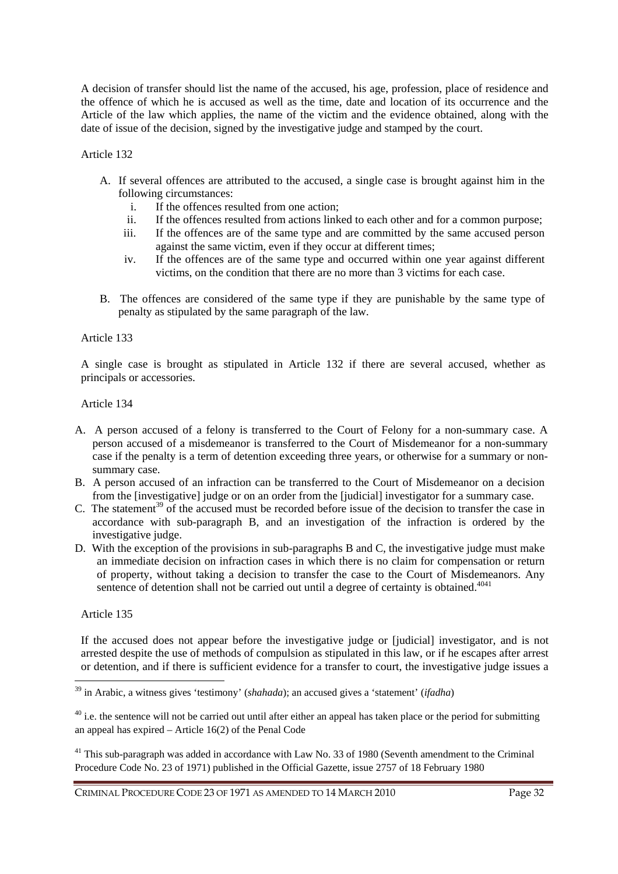A decision of transfer should list the name of the accused, his age, profession, place of residence and the offence of which he is accused as well as the time, date and location of its occurrence and the Article of the law which applies, the name of the victim and the evidence obtained, along with the date of issue of the decision, signed by the investigative judge and stamped by the court.

Article 132

- A. If several offences are attributed to the accused, a single case is brought against him in the following circumstances:
	- i. If the offences resulted from one action;
	- ii. If the offences resulted from actions linked to each other and for a common purpose;
	- iii. If the offences are of the same type and are committed by the same accused person against the same victim, even if they occur at different times;
	- iv. If the offences are of the same type and occurred within one year against different victims, on the condition that there are no more than 3 victims for each case.
- B. The offences are considered of the same type if they are punishable by the same type of penalty as stipulated by the same paragraph of the law.

Article 133

A single case is brought as stipulated in Article 132 if there are several accused, whether as principals or accessories.

Article 134

- A. A person accused of a felony is transferred to the Court of Felony for a non-summary case. A person accused of a misdemeanor is transferred to the Court of Misdemeanor for a non-summary case if the penalty is a term of detention exceeding three years, or otherwise for a summary or nonsummary case.
- B. A person accused of an infraction can be transferred to the Court of Misdemeanor on a decision from the [investigative] judge or on an order from the [judicial] investigator for a summary case.
- C. The statement<sup>39</sup> of the accused must be recorded before issue of the decision to transfer the case in accordance with sub-paragraph B, and an investigation of the infraction is ordered by the investigative judge.
- D. With the exception of the provisions in sub-paragraphs B and C, the investigative judge must make an immediate decision on infraction cases in which there is no claim for compensation or return of property, without taking a decision to transfer the case to the Court of Misdemeanors. Any sentence of detention shall not be carried out until a degree of certainty is obtained.<sup> $4041$ </sup>

Article 135

 $\overline{a}$ 

If the accused does not appear before the investigative judge or [judicial] investigator, and is not arrested despite the use of methods of compulsion as stipulated in this law, or if he escapes after arrest or detention, and if there is sufficient evidence for a transfer to court, the investigative judge issues a

<sup>41</sup> This sub-paragraph was added in accordance with Law No. 33 of 1980 (Seventh amendment to the Criminal Procedure Code No. 23 of 1971) published in the Official Gazette, issue 2757 of 18 February 1980

<sup>39</sup> in Arabic, a witness gives 'testimony' (*shahada*); an accused gives a 'statement' (*ifadha*)

 $40$  i.e. the sentence will not be carried out until after either an appeal has taken place or the period for submitting an appeal has expired – Article 16(2) of the Penal Code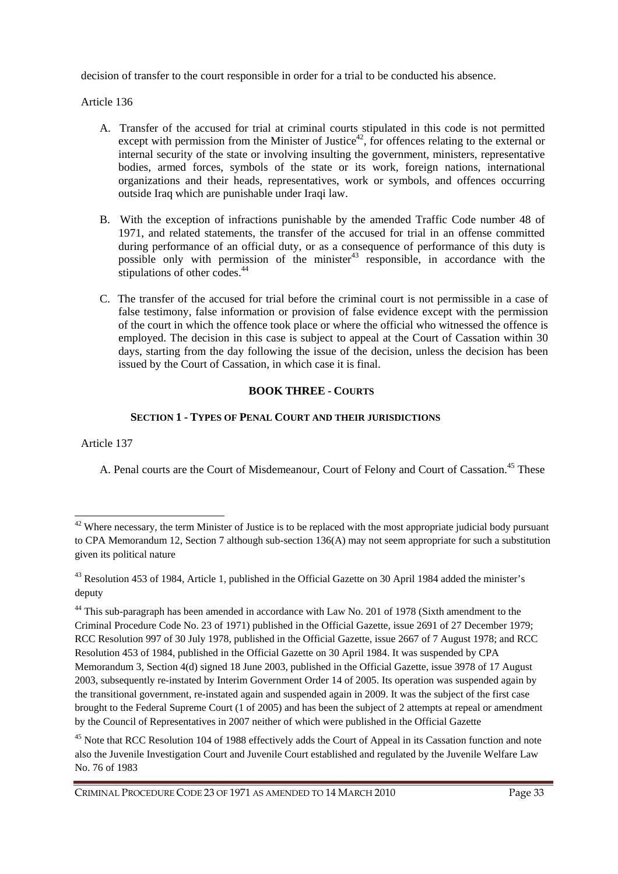decision of transfer to the court responsible in order for a trial to be conducted his absence.

Article 136

- A. Transfer of the accused for trial at criminal courts stipulated in this code is not permitted except with permission from the Minister of Justice<sup>42</sup>, for offences relating to the external or internal security of the state or involving insulting the government, ministers, representative bodies, armed forces, symbols of the state or its work, foreign nations, international organizations and their heads, representatives, work or symbols, and offences occurring outside Iraq which are punishable under Iraqi law.
- B. With the exception of infractions punishable by the amended Traffic Code number 48 of 1971, and related statements, the transfer of the accused for trial in an offense committed during performance of an official duty, or as a consequence of performance of this duty is possible only with permission of the minister<sup>43</sup> responsible, in accordance with the stipulations of other codes.<sup>44</sup>
- C. The transfer of the accused for trial before the criminal court is not permissible in a case of false testimony, false information or provision of false evidence except with the permission of the court in which the offence took place or where the official who witnessed the offence is employed. The decision in this case is subject to appeal at the Court of Cassation within 30 days, starting from the day following the issue of the decision, unless the decision has been issued by the Court of Cassation, in which case it is final.

# **BOOK THREE - COURTS**

# **SECTION 1 - TYPES OF PENAL COURT AND THEIR JURISDICTIONS**

Article 137

 $\overline{a}$ 

A. Penal courts are the Court of Misdemeanour, Court of Felony and Court of Cassation.<sup>45</sup> These

 $42$  Where necessary, the term Minister of Justice is to be replaced with the most appropriate judicial body pursuant to CPA Memorandum 12, Section 7 although sub-section 136(A) may not seem appropriate for such a substitution given its political nature

<sup>&</sup>lt;sup>43</sup> Resolution 453 of 1984, Article 1, published in the Official Gazette on 30 April 1984 added the minister's deputy

<sup>&</sup>lt;sup>44</sup> This sub-paragraph has been amended in accordance with Law No. 201 of 1978 (Sixth amendment to the Criminal Procedure Code No. 23 of 1971) published in the Official Gazette, issue 2691 of 27 December 1979; RCC Resolution 997 of 30 July 1978, published in the Official Gazette, issue 2667 of 7 August 1978; and RCC Resolution 453 of 1984, published in the Official Gazette on 30 April 1984. It was suspended by CPA Memorandum 3, Section 4(d) signed 18 June 2003, published in the Official Gazette, issue 3978 of 17 August 2003, subsequently re-instated by Interim Government Order 14 of 2005. Its operation was suspended again by the transitional government, re-instated again and suspended again in 2009. It was the subject of the first case brought to the Federal Supreme Court (1 of 2005) and has been the subject of 2 attempts at repeal or amendment by the Council of Representatives in 2007 neither of which were published in the Official Gazette

<sup>&</sup>lt;sup>45</sup> Note that RCC Resolution 104 of 1988 effectively adds the Court of Appeal in its Cassation function and note also the Juvenile Investigation Court and Juvenile Court established and regulated by the Juvenile Welfare Law No. 76 of 1983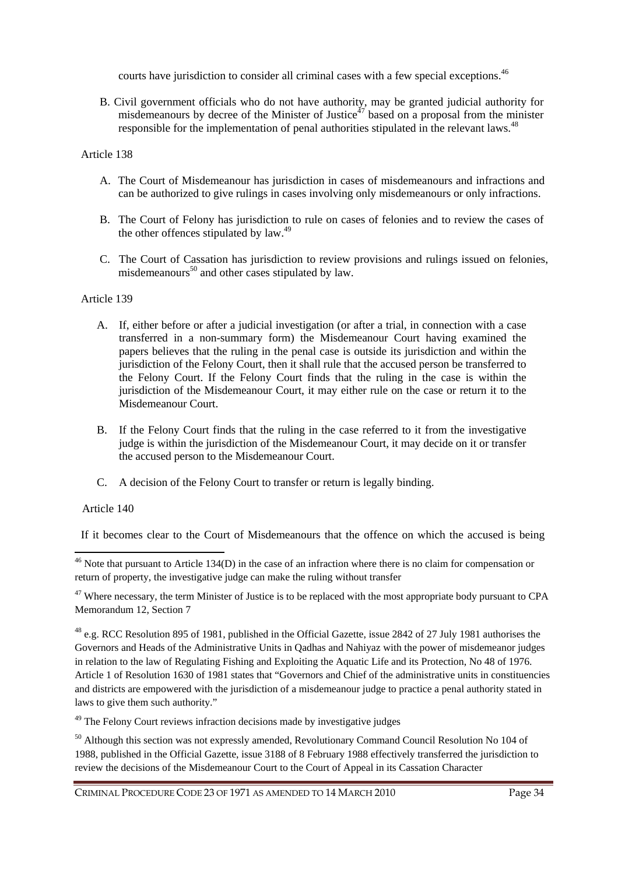courts have jurisdiction to consider all criminal cases with a few special exceptions.<sup>46</sup>

B. Civil government officials who do not have authority, may be granted judicial authority for misdemeanours by decree of the Minister of Justice<sup> $47$ </sup> based on a proposal from the minister responsible for the implementation of penal authorities stipulated in the relevant laws.<sup>48</sup>

# Article 138

- A. The Court of Misdemeanour has jurisdiction in cases of misdemeanours and infractions and can be authorized to give rulings in cases involving only misdemeanours or only infractions.
- B. The Court of Felony has jurisdiction to rule on cases of felonies and to review the cases of the other offences stipulated by law.<sup>49</sup>
- C. The Court of Cassation has jurisdiction to review provisions and rulings issued on felonies, misdemeanours<sup>50</sup> and other cases stipulated by law.

# Article 139

- A. If, either before or after a judicial investigation (or after a trial, in connection with a case transferred in a non-summary form) the Misdemeanour Court having examined the papers believes that the ruling in the penal case is outside its jurisdiction and within the jurisdiction of the Felony Court, then it shall rule that the accused person be transferred to the Felony Court. If the Felony Court finds that the ruling in the case is within the jurisdiction of the Misdemeanour Court, it may either rule on the case or return it to the Misdemeanour Court.
- B. If the Felony Court finds that the ruling in the case referred to it from the investigative judge is within the jurisdiction of the Misdemeanour Court, it may decide on it or transfer the accused person to the Misdemeanour Court.
- C. A decision of the Felony Court to transfer or return is legally binding.

# Article 140

 $\overline{a}$ 

If it becomes clear to the Court of Misdemeanours that the offence on which the accused is being

 $47$  Where necessary, the term Minister of Justice is to be replaced with the most appropriate body pursuant to CPA Memorandum 12, Section 7

<sup>48</sup> e.g. RCC Resolution 895 of 1981, published in the Official Gazette, issue 2842 of 27 July 1981 authorises the Governors and Heads of the Administrative Units in Qadhas and Nahiyaz with the power of misdemeanor judges in relation to the law of Regulating Fishing and Exploiting the Aquatic Life and its Protection, No 48 of 1976. Article 1 of Resolution 1630 of 1981 states that "Governors and Chief of the administrative units in constituencies and districts are empowered with the jurisdiction of a misdemeanour judge to practice a penal authority stated in laws to give them such authority."

<sup>49</sup> The Felony Court reviews infraction decisions made by investigative judges

<sup>50</sup> Although this section was not expressly amended, Revolutionary Command Council Resolution No 104 of 1988, published in the Official Gazette, issue 3188 of 8 February 1988 effectively transferred the jurisdiction to review the decisions of the Misdemeanour Court to the Court of Appeal in its Cassation Character

<sup>&</sup>lt;sup>46</sup> Note that pursuant to Article 134(D) in the case of an infraction where there is no claim for compensation or return of property, the investigative judge can make the ruling without transfer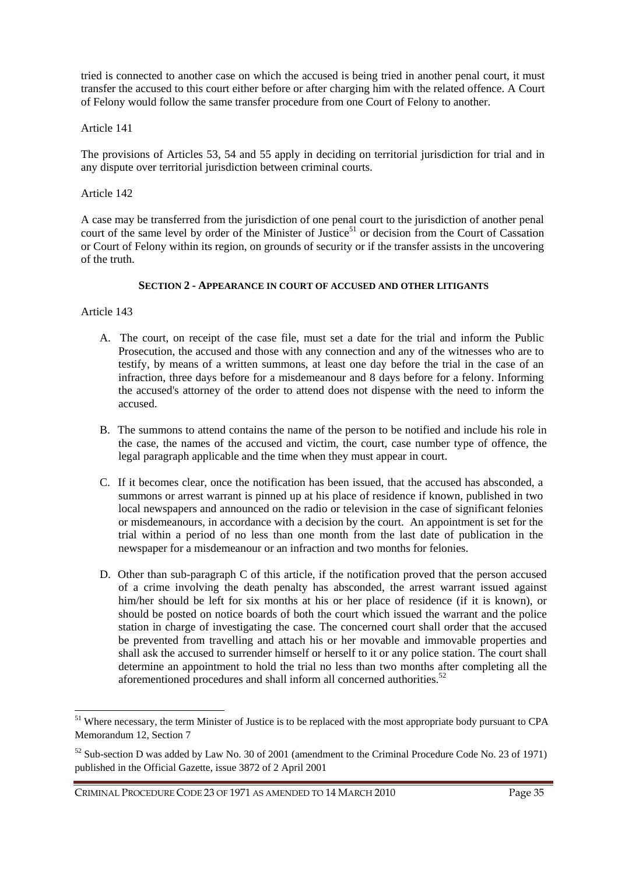tried is connected to another case on which the accused is being tried in another penal court, it must transfer the accused to this court either before or after charging him with the related offence. A Court of Felony would follow the same transfer procedure from one Court of Felony to another.

# Article 141

The provisions of Articles 53, 54 and 55 apply in deciding on territorial jurisdiction for trial and in any dispute over territorial jurisdiction between criminal courts.

# Article 142

A case may be transferred from the jurisdiction of one penal court to the jurisdiction of another penal court of the same level by order of the Minister of Justice<sup>51</sup> or decision from the Court of Cassation or Court of Felony within its region, on grounds of security or if the transfer assists in the uncovering of the truth.

# **SECTION 2 - APPEARANCE IN COURT OF ACCUSED AND OTHER LITIGANTS**

Article 143

 $\overline{a}$ 

- A. The court, on receipt of the case file, must set a date for the trial and inform the Public Prosecution, the accused and those with any connection and any of the witnesses who are to testify, by means of a written summons, at least one day before the trial in the case of an infraction, three days before for a misdemeanour and 8 days before for a felony. Informing the accused's attorney of the order to attend does not dispense with the need to inform the accused.
- B. The summons to attend contains the name of the person to be notified and include his role in the case, the names of the accused and victim, the court, case number type of offence, the legal paragraph applicable and the time when they must appear in court.
- C. If it becomes clear, once the notification has been issued, that the accused has absconded, a summons or arrest warrant is pinned up at his place of residence if known, published in two local newspapers and announced on the radio or television in the case of significant felonies or misdemeanours, in accordance with a decision by the court. An appointment is set for the trial within a period of no less than one month from the last date of publication in the newspaper for a misdemeanour or an infraction and two months for felonies.
- D. Other than sub-paragraph C of this article, if the notification proved that the person accused of a crime involving the death penalty has absconded, the arrest warrant issued against him/her should be left for six months at his or her place of residence (if it is known), or should be posted on notice boards of both the court which issued the warrant and the police station in charge of investigating the case. The concerned court shall order that the accused be prevented from travelling and attach his or her movable and immovable properties and shall ask the accused to surrender himself or herself to it or any police station. The court shall determine an appointment to hold the trial no less than two months after completing all the aforementioned procedures and shall inform all concerned authorities.<sup>52</sup>

<sup>&</sup>lt;sup>51</sup> Where necessary, the term Minister of Justice is to be replaced with the most appropriate body pursuant to CPA Memorandum 12, Section 7

<sup>52</sup> Sub-section D was added by Law No. 30 of 2001 (amendment to the Criminal Procedure Code No. 23 of 1971) published in the Official Gazette, issue 3872 of 2 April 2001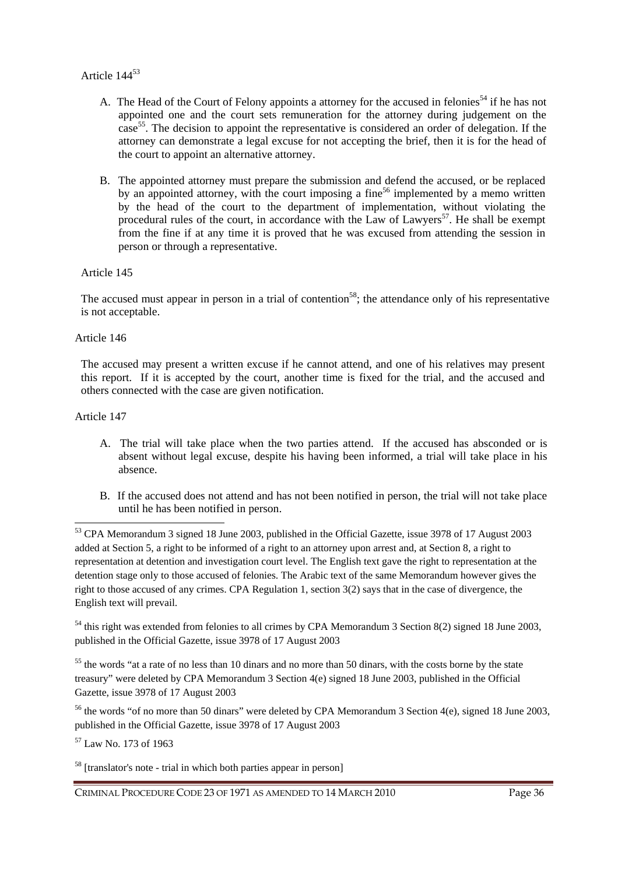# Article 144<sup>53</sup>

- A. The Head of the Court of Felony appoints a attorney for the accused in felonies<sup>54</sup> if he has not appointed one and the court sets remuneration for the attorney during judgement on the case<sup>55</sup>. The decision to appoint the representative is considered an order of delegation. If the attorney can demonstrate a legal excuse for not accepting the brief, then it is for the head of the court to appoint an alternative attorney.
- B. The appointed attorney must prepare the submission and defend the accused, or be replaced by an appointed attorney, with the court imposing a fine<sup>56</sup> implemented by a memo written by the head of the court to the department of implementation, without violating the procedural rules of the court, in accordance with the Law of Lawyers<sup>57</sup>. He shall be exempt from the fine if at any time it is proved that he was excused from attending the session in person or through a representative.

# Article 145

The accused must appear in person in a trial of contention<sup>58</sup>; the attendance only of his representative is not acceptable.

# Article 146

The accused may present a written excuse if he cannot attend, and one of his relatives may present this report. If it is accepted by the court, another time is fixed for the trial, and the accused and others connected with the case are given notification.

# Article 147

 $\overline{a}$ 

- A. The trial will take place when the two parties attend. If the accused has absconded or is absent without legal excuse, despite his having been informed, a trial will take place in his absence.
- B. If the accused does not attend and has not been notified in person, the trial will not take place until he has been notified in person.

<sup>54</sup> this right was extended from felonies to all crimes by CPA Memorandum 3 Section 8(2) signed 18 June 2003, published in the Official Gazette, issue 3978 of 17 August 2003

<sup>55</sup> the words "at a rate of no less than 10 dinars and no more than 50 dinars, with the costs borne by the state treasury" were deleted by CPA Memorandum 3 Section 4(e) signed 18 June 2003, published in the Official Gazette, issue 3978 of 17 August 2003

<sup>56</sup> the words "of no more than 50 dinars" were deleted by CPA Memorandum 3 Section 4(e), signed 18 June 2003, published in the Official Gazette, issue 3978 of 17 August 2003

<sup>57</sup> Law No. 173 of 1963

<sup>58</sup> [translator's note - trial in which both parties appear in person]

<sup>53</sup> CPA Memorandum 3 signed 18 June 2003, published in the Official Gazette, issue 3978 of 17 August 2003 added at Section 5, a right to be informed of a right to an attorney upon arrest and, at Section 8, a right to representation at detention and investigation court level. The English text gave the right to representation at the detention stage only to those accused of felonies. The Arabic text of the same Memorandum however gives the right to those accused of any crimes. CPA Regulation 1, section 3(2) says that in the case of divergence, the English text will prevail.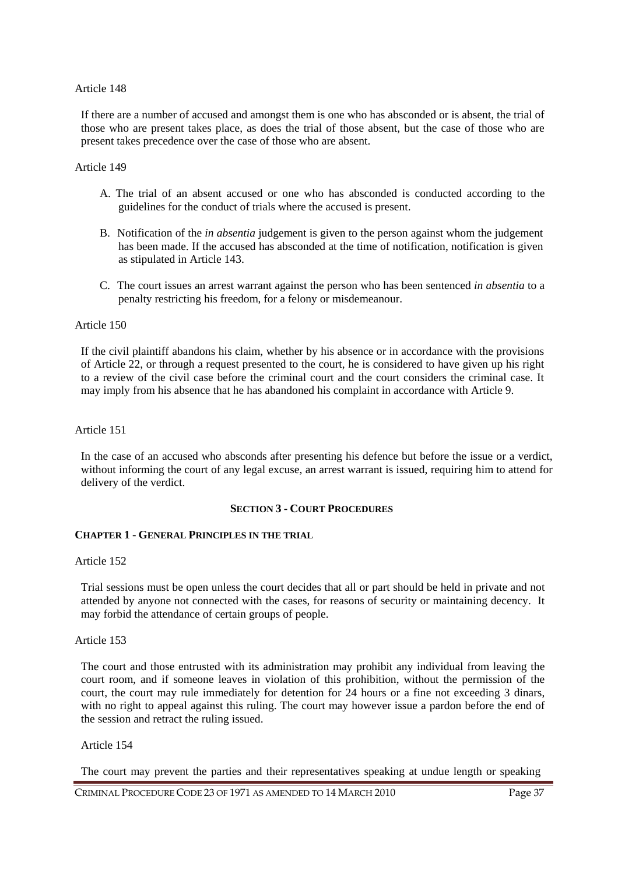If there are a number of accused and amongst them is one who has absconded or is absent, the trial of those who are present takes place, as does the trial of those absent, but the case of those who are present takes precedence over the case of those who are absent.

#### Article 149

- A. The trial of an absent accused or one who has absconded is conducted according to the guidelines for the conduct of trials where the accused is present.
- B. Notification of the *in absentia* judgement is given to the person against whom the judgement has been made. If the accused has absconded at the time of notification, notification is given as stipulated in Article 143.
- C. The court issues an arrest warrant against the person who has been sentenced *in absentia* to a penalty restricting his freedom, for a felony or misdemeanour.

#### Article 150

If the civil plaintiff abandons his claim, whether by his absence or in accordance with the provisions of Article 22, or through a request presented to the court, he is considered to have given up his right to a review of the civil case before the criminal court and the court considers the criminal case. It may imply from his absence that he has abandoned his complaint in accordance with Article 9.

#### Article 151

In the case of an accused who absconds after presenting his defence but before the issue or a verdict, without informing the court of any legal excuse, an arrest warrant is issued, requiring him to attend for delivery of the verdict.

#### **SECTION 3 - COURT PROCEDURES**

### **CHAPTER 1 - GENERAL PRINCIPLES IN THE TRIAL**

### Article 152

Trial sessions must be open unless the court decides that all or part should be held in private and not attended by anyone not connected with the cases, for reasons of security or maintaining decency. It may forbid the attendance of certain groups of people.

#### Article 153

The court and those entrusted with its administration may prohibit any individual from leaving the court room, and if someone leaves in violation of this prohibition, without the permission of the court, the court may rule immediately for detention for 24 hours or a fine not exceeding 3 dinars, with no right to appeal against this ruling. The court may however issue a pardon before the end of the session and retract the ruling issued.

#### Article 154

The court may prevent the parties and their representatives speaking at undue length or speaking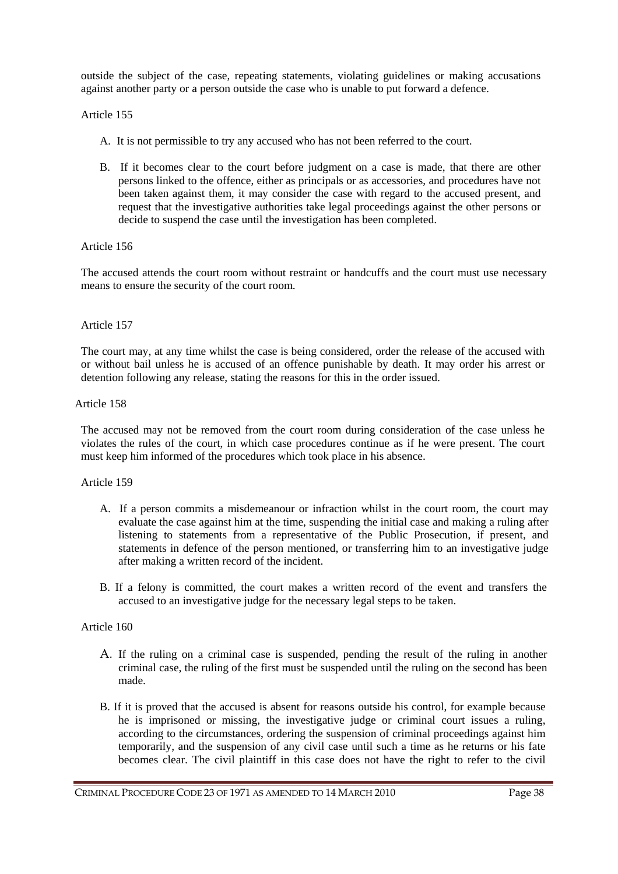outside the subject of the case, repeating statements, violating guidelines or making accusations against another party or a person outside the case who is unable to put forward a defence.

### Article 155

- A. It is not permissible to try any accused who has not been referred to the court.
- B. If it becomes clear to the court before judgment on a case is made, that there are other persons linked to the offence, either as principals or as accessories, and procedures have not been taken against them, it may consider the case with regard to the accused present, and request that the investigative authorities take legal proceedings against the other persons or decide to suspend the case until the investigation has been completed.

### Article 156

The accused attends the court room without restraint or handcuffs and the court must use necessary means to ensure the security of the court room.

## Article 157

The court may, at any time whilst the case is being considered, order the release of the accused with or without bail unless he is accused of an offence punishable by death. It may order his arrest or detention following any release, stating the reasons for this in the order issued.

### Article 158

The accused may not be removed from the court room during consideration of the case unless he violates the rules of the court, in which case procedures continue as if he were present. The court must keep him informed of the procedures which took place in his absence.

### Article 159

- A. If a person commits a misdemeanour or infraction whilst in the court room, the court may evaluate the case against him at the time, suspending the initial case and making a ruling after listening to statements from a representative of the Public Prosecution, if present, and statements in defence of the person mentioned, or transferring him to an investigative judge after making a written record of the incident.
- B. If a felony is committed, the court makes a written record of the event and transfers the accused to an investigative judge for the necessary legal steps to be taken.

### Article 160

- A. If the ruling on a criminal case is suspended, pending the result of the ruling in another criminal case, the ruling of the first must be suspended until the ruling on the second has been made.
- B. If it is proved that the accused is absent for reasons outside his control, for example because he is imprisoned or missing, the investigative judge or criminal court issues a ruling, according to the circumstances, ordering the suspension of criminal proceedings against him temporarily, and the suspension of any civil case until such a time as he returns or his fate becomes clear. The civil plaintiff in this case does not have the right to refer to the civil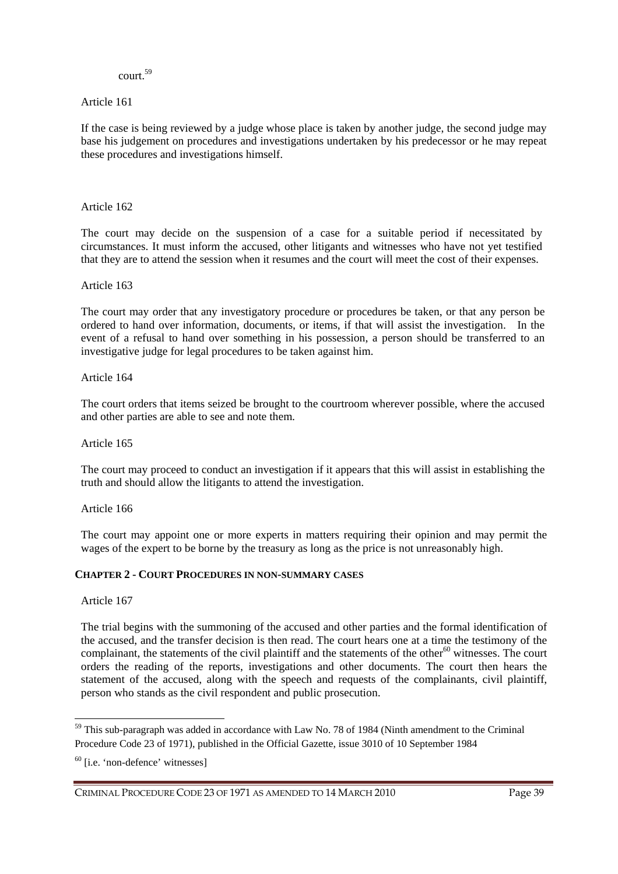# court.<sup>59</sup>

## Article 161

If the case is being reviewed by a judge whose place is taken by another judge, the second judge may base his judgement on procedures and investigations undertaken by his predecessor or he may repeat these procedures and investigations himself.

### Article 162

The court may decide on the suspension of a case for a suitable period if necessitated by circumstances. It must inform the accused, other litigants and witnesses who have not yet testified that they are to attend the session when it resumes and the court will meet the cost of their expenses.

### Article 163

The court may order that any investigatory procedure or procedures be taken, or that any person be ordered to hand over information, documents, or items, if that will assist the investigation. In the event of a refusal to hand over something in his possession, a person should be transferred to an investigative judge for legal procedures to be taken against him.

### Article 164

The court orders that items seized be brought to the courtroom wherever possible, where the accused and other parties are able to see and note them.

### Article 165

The court may proceed to conduct an investigation if it appears that this will assist in establishing the truth and should allow the litigants to attend the investigation.

### Article 166

The court may appoint one or more experts in matters requiring their opinion and may permit the wages of the expert to be borne by the treasury as long as the price is not unreasonably high.

### **CHAPTER 2 - COURT PROCEDURES IN NON-SUMMARY CASES**

Article 167

 $\overline{a}$ 

The trial begins with the summoning of the accused and other parties and the formal identification of the accused, and the transfer decision is then read. The court hears one at a time the testimony of the complainant, the statements of the civil plaintiff and the statements of the other $60$  witnesses. The court orders the reading of the reports, investigations and other documents. The court then hears the statement of the accused, along with the speech and requests of the complainants, civil plaintiff, person who stands as the civil respondent and public prosecution.

<sup>59</sup> This sub-paragraph was added in accordance with Law No. 78 of 1984 (Ninth amendment to the Criminal Procedure Code 23 of 1971), published in the Official Gazette, issue 3010 of 10 September 1984

 $60$  [i.e. 'non-defence' witnesses]

CRIMINAL PROCEDURE CODE 23 OF 1971 AS AMENDED TO 14 MARCH 2010 Page 39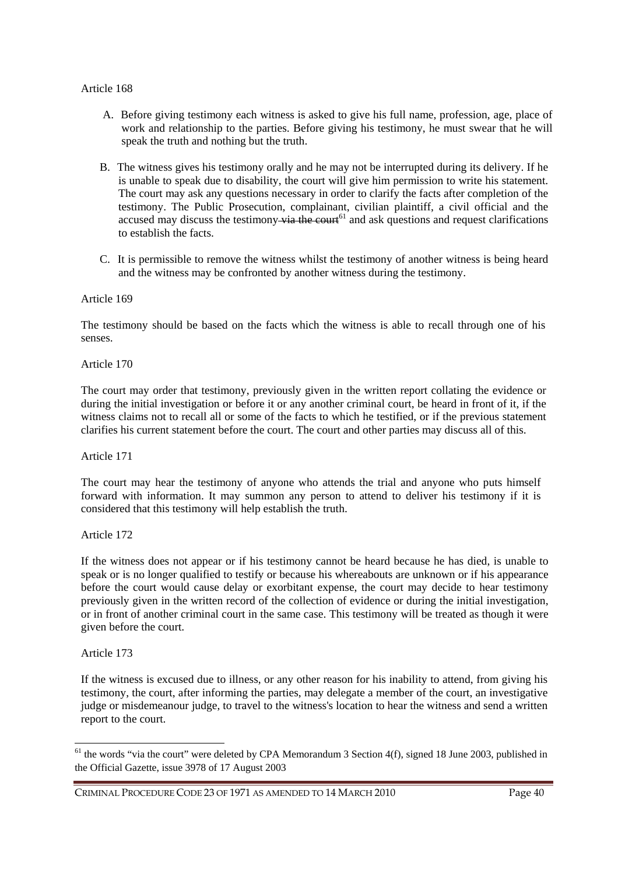- A. Before giving testimony each witness is asked to give his full name, profession, age, place of work and relationship to the parties. Before giving his testimony, he must swear that he will speak the truth and nothing but the truth.
- B. The witness gives his testimony orally and he may not be interrupted during its delivery. If he is unable to speak due to disability, the court will give him permission to write his statement. The court may ask any questions necessary in order to clarify the facts after completion of the testimony. The Public Prosecution, complainant, civilian plaintiff, a civil official and the accused may discuss the testimony  $\overrightarrow{via}$  the court<sup>61</sup> and ask questions and request clarifications to establish the facts.
- C. It is permissible to remove the witness whilst the testimony of another witness is being heard and the witness may be confronted by another witness during the testimony.

#### Article 169

The testimony should be based on the facts which the witness is able to recall through one of his senses.

Article 170

The court may order that testimony, previously given in the written report collating the evidence or during the initial investigation or before it or any another criminal court, be heard in front of it, if the witness claims not to recall all or some of the facts to which he testified, or if the previous statement clarifies his current statement before the court. The court and other parties may discuss all of this.

Article 171

The court may hear the testimony of anyone who attends the trial and anyone who puts himself forward with information. It may summon any person to attend to deliver his testimony if it is considered that this testimony will help establish the truth.

Article 172

If the witness does not appear or if his testimony cannot be heard because he has died, is unable to speak or is no longer qualified to testify or because his whereabouts are unknown or if his appearance before the court would cause delay or exorbitant expense, the court may decide to hear testimony previously given in the written record of the collection of evidence or during the initial investigation, or in front of another criminal court in the same case. This testimony will be treated as though it were given before the court.

Article 173

 $\overline{a}$ 

If the witness is excused due to illness, or any other reason for his inability to attend, from giving his testimony, the court, after informing the parties, may delegate a member of the court, an investigative judge or misdemeanour judge, to travel to the witness's location to hear the witness and send a written report to the court.

 $61$  the words "via the court" were deleted by CPA Memorandum 3 Section 4(f), signed 18 June 2003, published in the Official Gazette, issue 3978 of 17 August 2003

CRIMINAL PROCEDURE CODE 23 OF 1971 AS AMENDED TO 14 MARCH 2010 Page 40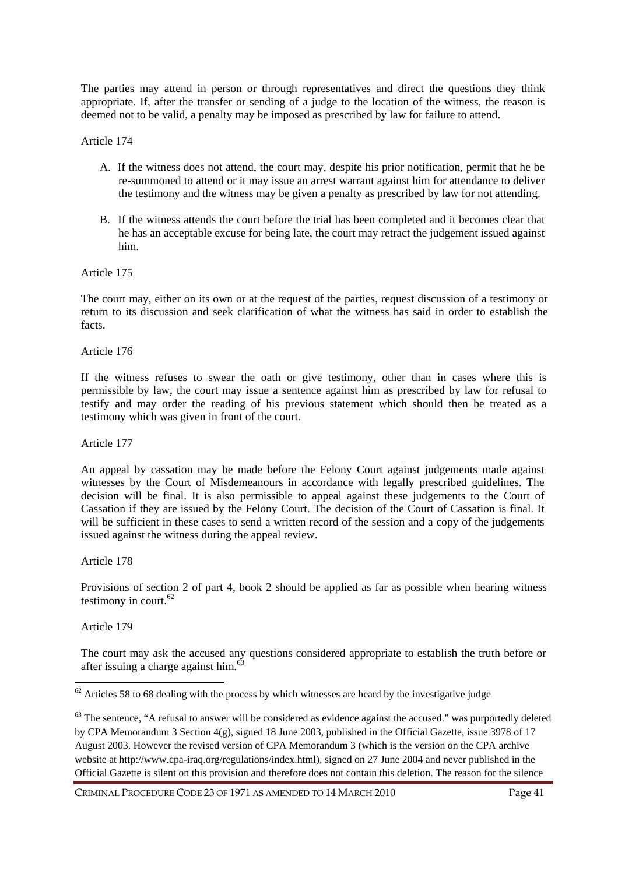The parties may attend in person or through representatives and direct the questions they think appropriate. If, after the transfer or sending of a judge to the location of the witness, the reason is deemed not to be valid, a penalty may be imposed as prescribed by law for failure to attend.

#### Article 174

- A. If the witness does not attend, the court may, despite his prior notification, permit that he be re-summoned to attend or it may issue an arrest warrant against him for attendance to deliver the testimony and the witness may be given a penalty as prescribed by law for not attending.
- B. If the witness attends the court before the trial has been completed and it becomes clear that he has an acceptable excuse for being late, the court may retract the judgement issued against him.

#### Article 175

The court may, either on its own or at the request of the parties, request discussion of a testimony or return to its discussion and seek clarification of what the witness has said in order to establish the facts.

Article 176

If the witness refuses to swear the oath or give testimony, other than in cases where this is permissible by law, the court may issue a sentence against him as prescribed by law for refusal to testify and may order the reading of his previous statement which should then be treated as a testimony which was given in front of the court.

Article 177

An appeal by cassation may be made before the Felony Court against judgements made against witnesses by the Court of Misdemeanours in accordance with legally prescribed guidelines. The decision will be final. It is also permissible to appeal against these judgements to the Court of Cassation if they are issued by the Felony Court. The decision of the Court of Cassation is final. It will be sufficient in these cases to send a written record of the session and a copy of the judgements issued against the witness during the appeal review.

Article 178

Provisions of section 2 of part 4, book 2 should be applied as far as possible when hearing witness testimony in court.<sup>62</sup>

Article 179

 $\overline{a}$ 

The court may ask the accused any questions considered appropriate to establish the truth before or after issuing a charge against him.<sup>63</sup>

CRIMINAL PROCEDURE CODE 23 OF 1971 AS AMENDED TO 14 MARCH 2010 Page 41

 $62$  Articles 58 to 68 dealing with the process by which witnesses are heard by the investigative judge

 $63$  The sentence, "A refusal to answer will be considered as evidence against the accused." was purportedly deleted by CPA Memorandum 3 Section 4(g), signed 18 June 2003, published in the Official Gazette, issue 3978 of 17 August 2003. However the revised version of CPA Memorandum 3 (which is the version on the CPA archive website at http://www.cpa-iraq.org/regulations/index.html), signed on 27 June 2004 and never published in the Official Gazette is silent on this provision and therefore does not contain this deletion. The reason for the silence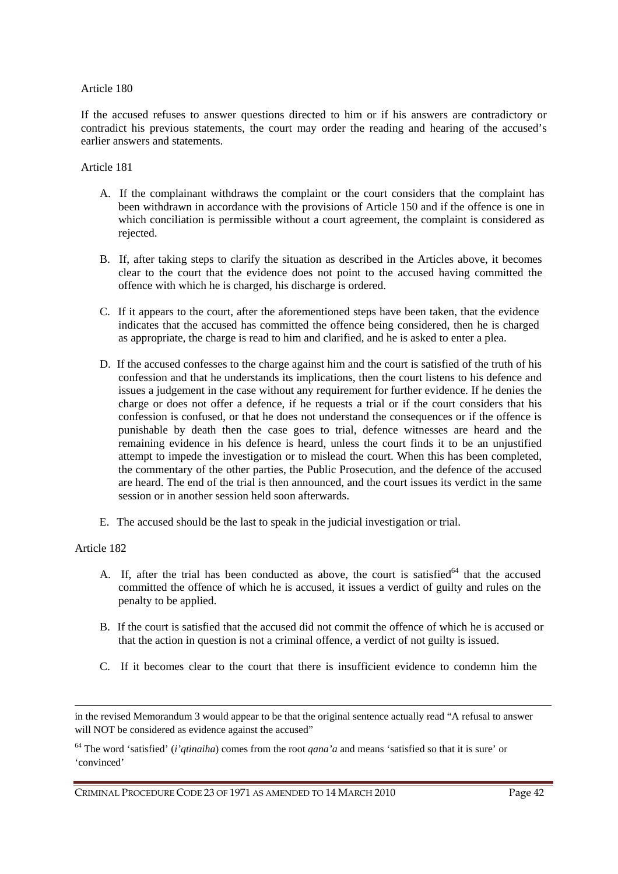If the accused refuses to answer questions directed to him or if his answers are contradictory or contradict his previous statements, the court may order the reading and hearing of the accused's earlier answers and statements.

#### Article 181

- A. If the complainant withdraws the complaint or the court considers that the complaint has been withdrawn in accordance with the provisions of Article 150 and if the offence is one in which conciliation is permissible without a court agreement, the complaint is considered as rejected.
- B. If, after taking steps to clarify the situation as described in the Articles above, it becomes clear to the court that the evidence does not point to the accused having committed the offence with which he is charged, his discharge is ordered.
- C. If it appears to the court, after the aforementioned steps have been taken, that the evidence indicates that the accused has committed the offence being considered, then he is charged as appropriate, the charge is read to him and clarified, and he is asked to enter a plea.
- D. If the accused confesses to the charge against him and the court is satisfied of the truth of his confession and that he understands its implications, then the court listens to his defence and issues a judgement in the case without any requirement for further evidence. If he denies the charge or does not offer a defence, if he requests a trial or if the court considers that his confession is confused, or that he does not understand the consequences or if the offence is punishable by death then the case goes to trial, defence witnesses are heard and the remaining evidence in his defence is heard, unless the court finds it to be an unjustified attempt to impede the investigation or to mislead the court. When this has been completed, the commentary of the other parties, the Public Prosecution, and the defence of the accused are heard. The end of the trial is then announced, and the court issues its verdict in the same session or in another session held soon afterwards.
- E. The accused should be the last to speak in the judicial investigation or trial.

### Article 182

 $\overline{a}$ 

- A. If, after the trial has been conducted as above, the court is satisfied<sup>64</sup> that the accused committed the offence of which he is accused, it issues a verdict of guilty and rules on the penalty to be applied.
- B. If the court is satisfied that the accused did not commit the offence of which he is accused or that the action in question is not a criminal offence, a verdict of not guilty is issued.
- C. If it becomes clear to the court that there is insufficient evidence to condemn him the

in the revised Memorandum 3 would appear to be that the original sentence actually read "A refusal to answer will NOT be considered as evidence against the accused"

<sup>64</sup> The word 'satisfied' (*i'qtinaiha*) comes from the root *qana'a* and means 'satisfied so that it is sure' or 'convinced'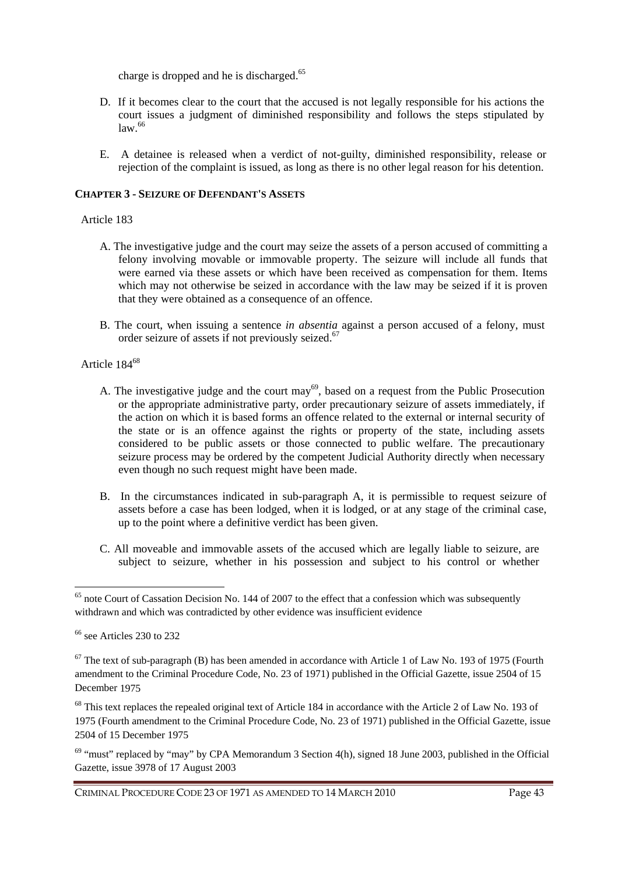charge is dropped and he is discharged.<sup>65</sup>

- D. If it becomes clear to the court that the accused is not legally responsible for his actions the court issues a judgment of diminished responsibility and follows the steps stipulated by  $law<sup>66</sup>$
- E. A detainee is released when a verdict of not-guilty, diminished responsibility, release or rejection of the complaint is issued, as long as there is no other legal reason for his detention.

# **CHAPTER 3 - SEIZURE OF DEFENDANT'S ASSETS**

## Article 183

- A. The investigative judge and the court may seize the assets of a person accused of committing a felony involving movable or immovable property. The seizure will include all funds that were earned via these assets or which have been received as compensation for them. Items which may not otherwise be seized in accordance with the law may be seized if it is proven that they were obtained as a consequence of an offence.
- B. The court, when issuing a sentence *in absentia* against a person accused of a felony, must order seizure of assets if not previously seized.<sup>67</sup>

# Article 184<sup>68</sup>

- A. The investigative judge and the court may<sup>69</sup>, based on a request from the Public Prosecution or the appropriate administrative party, order precautionary seizure of assets immediately, if the action on which it is based forms an offence related to the external or internal security of the state or is an offence against the rights or property of the state, including assets considered to be public assets or those connected to public welfare. The precautionary seizure process may be ordered by the competent Judicial Authority directly when necessary even though no such request might have been made.
- B. In the circumstances indicated in sub-paragraph A, it is permissible to request seizure of assets before a case has been lodged, when it is lodged, or at any stage of the criminal case, up to the point where a definitive verdict has been given.
- C. All moveable and immovable assets of the accused which are legally liable to seizure, are subject to seizure, whether in his possession and subject to his control or whether

 $\overline{a}$ 

<sup>&</sup>lt;sup>65</sup> note Court of Cassation Decision No. 144 of 2007 to the effect that a confession which was subsequently withdrawn and which was contradicted by other evidence was insufficient evidence

 $66$  see Articles 230 to 232

 $67$  The text of sub-paragraph (B) has been amended in accordance with Article 1 of Law No. 193 of 1975 (Fourth amendment to the Criminal Procedure Code, No. 23 of 1971) published in the Official Gazette, issue 2504 of 15 December 1975

<sup>&</sup>lt;sup>68</sup> This text replaces the repealed original text of Article 184 in accordance with the Article 2 of Law No. 193 of 1975 (Fourth amendment to the Criminal Procedure Code, No. 23 of 1971) published in the Official Gazette, issue 2504 of 15 December 1975

 $69$  "must" replaced by "may" by CPA Memorandum 3 Section 4(h), signed 18 June 2003, published in the Official Gazette, issue 3978 of 17 August 2003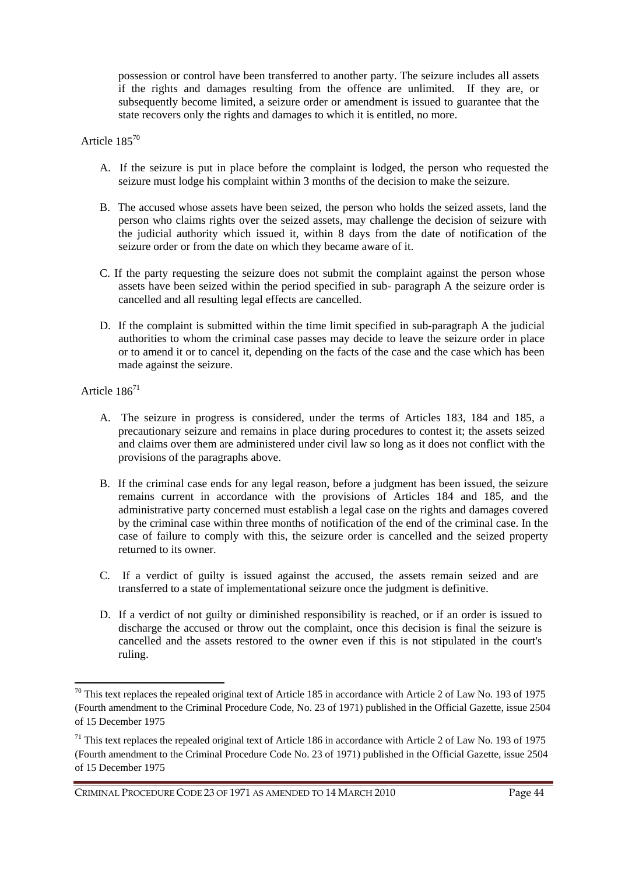possession or control have been transferred to another party. The seizure includes all assets if the rights and damages resulting from the offence are unlimited. If they are, or subsequently become limited, a seizure order or amendment is issued to guarantee that the state recovers only the rights and damages to which it is entitled, no more.

## Article 185<sup>70</sup>

- A. If the seizure is put in place before the complaint is lodged, the person who requested the seizure must lodge his complaint within 3 months of the decision to make the seizure.
- B. The accused whose assets have been seized, the person who holds the seized assets, land the person who claims rights over the seized assets, may challenge the decision of seizure with the judicial authority which issued it, within 8 days from the date of notification of the seizure order or from the date on which they became aware of it.
- C. If the party requesting the seizure does not submit the complaint against the person whose assets have been seized within the period specified in sub- paragraph A the seizure order is cancelled and all resulting legal effects are cancelled.
- D. If the complaint is submitted within the time limit specified in sub-paragraph A the judicial authorities to whom the criminal case passes may decide to leave the seizure order in place or to amend it or to cancel it, depending on the facts of the case and the case which has been made against the seizure.

## Article 186<sup>71</sup>

 $\overline{a}$ 

- A. The seizure in progress is considered, under the terms of Articles 183, 184 and 185, a precautionary seizure and remains in place during procedures to contest it; the assets seized and claims over them are administered under civil law so long as it does not conflict with the provisions of the paragraphs above.
- B. If the criminal case ends for any legal reason, before a judgment has been issued, the seizure remains current in accordance with the provisions of Articles 184 and 185, and the administrative party concerned must establish a legal case on the rights and damages covered by the criminal case within three months of notification of the end of the criminal case. In the case of failure to comply with this, the seizure order is cancelled and the seized property returned to its owner.
- C. If a verdict of guilty is issued against the accused, the assets remain seized and are transferred to a state of implementational seizure once the judgment is definitive.
- D. If a verdict of not guilty or diminished responsibility is reached, or if an order is issued to discharge the accused or throw out the complaint, once this decision is final the seizure is cancelled and the assets restored to the owner even if this is not stipulated in the court's ruling.

CRIMINAL PROCEDURE CODE 23 OF 1971 AS AMENDED TO 14 MARCH 2010 Page 44

<sup>&</sup>lt;sup>70</sup> This text replaces the repealed original text of Article 185 in accordance with Article 2 of Law No. 193 of 1975 (Fourth amendment to the Criminal Procedure Code, No. 23 of 1971) published in the Official Gazette, issue 2504 of 15 December 1975

 $71$  This text replaces the repealed original text of Article 186 in accordance with Article 2 of Law No. 193 of 1975 (Fourth amendment to the Criminal Procedure Code No. 23 of 1971) published in the Official Gazette, issue 2504 of 15 December 1975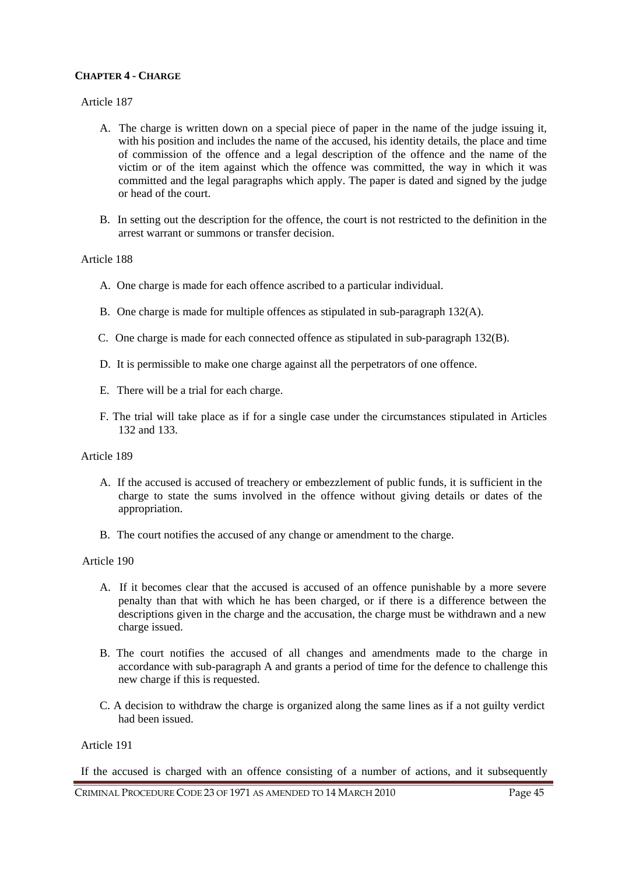# **CHAPTER 4 - CHARGE**

### Article 187

- A. The charge is written down on a special piece of paper in the name of the judge issuing it, with his position and includes the name of the accused, his identity details, the place and time of commission of the offence and a legal description of the offence and the name of the victim or of the item against which the offence was committed, the way in which it was committed and the legal paragraphs which apply. The paper is dated and signed by the judge or head of the court.
- B. In setting out the description for the offence, the court is not restricted to the definition in the arrest warrant or summons or transfer decision.

### Article 188

- A. One charge is made for each offence ascribed to a particular individual.
- B. One charge is made for multiple offences as stipulated in sub-paragraph 132(A).
- C. One charge is made for each connected offence as stipulated in sub-paragraph 132(B).
- D. It is permissible to make one charge against all the perpetrators of one offence.
- E. There will be a trial for each charge.
- F. The trial will take place as if for a single case under the circumstances stipulated in Articles 132 and 133.

### Article 189

- A. If the accused is accused of treachery or embezzlement of public funds, it is sufficient in the charge to state the sums involved in the offence without giving details or dates of the appropriation.
- B. The court notifies the accused of any change or amendment to the charge.

### Article 190

- A. If it becomes clear that the accused is accused of an offence punishable by a more severe penalty than that with which he has been charged, or if there is a difference between the descriptions given in the charge and the accusation, the charge must be withdrawn and a new charge issued.
- B. The court notifies the accused of all changes and amendments made to the charge in accordance with sub-paragraph A and grants a period of time for the defence to challenge this new charge if this is requested.
- C. A decision to withdraw the charge is organized along the same lines as if a not guilty verdict had been issued.

# Article 191

If the accused is charged with an offence consisting of a number of actions, and it subsequently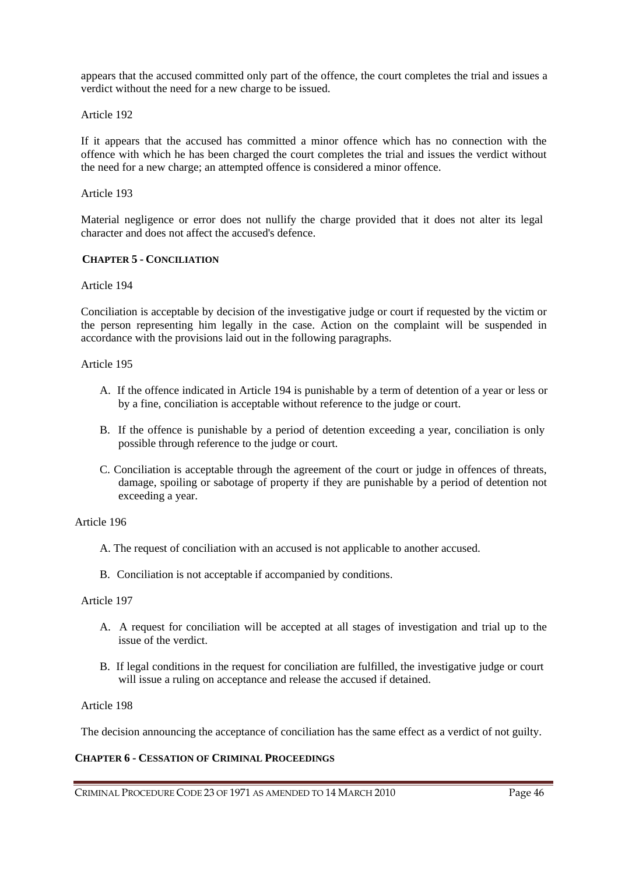appears that the accused committed only part of the offence, the court completes the trial and issues a verdict without the need for a new charge to be issued.

Article 192

If it appears that the accused has committed a minor offence which has no connection with the offence with which he has been charged the court completes the trial and issues the verdict without the need for a new charge; an attempted offence is considered a minor offence.

Article 193

Material negligence or error does not nullify the charge provided that it does not alter its legal character and does not affect the accused's defence.

### **CHAPTER 5 - CONCILIATION**

Article 194

Conciliation is acceptable by decision of the investigative judge or court if requested by the victim or the person representing him legally in the case. Action on the complaint will be suspended in accordance with the provisions laid out in the following paragraphs.

Article 195

- A. If the offence indicated in Article 194 is punishable by a term of detention of a year or less or by a fine, conciliation is acceptable without reference to the judge or court.
- B. If the offence is punishable by a period of detention exceeding a year, conciliation is only possible through reference to the judge or court.
- C. Conciliation is acceptable through the agreement of the court or judge in offences of threats, damage, spoiling or sabotage of property if they are punishable by a period of detention not exceeding a year.

Article 196

- A. The request of conciliation with an accused is not applicable to another accused.
- B. Conciliation is not acceptable if accompanied by conditions.

Article 197

- A. A request for conciliation will be accepted at all stages of investigation and trial up to the issue of the verdict.
- B. If legal conditions in the request for conciliation are fulfilled, the investigative judge or court will issue a ruling on acceptance and release the accused if detained.

### Article 198

The decision announcing the acceptance of conciliation has the same effect as a verdict of not guilty.

# **CHAPTER 6 - CESSATION OF CRIMINAL PROCEEDINGS**

CRIMINAL PROCEDURE CODE 23 OF 1971 AS AMENDED TO 14 MARCH 2010 Page 46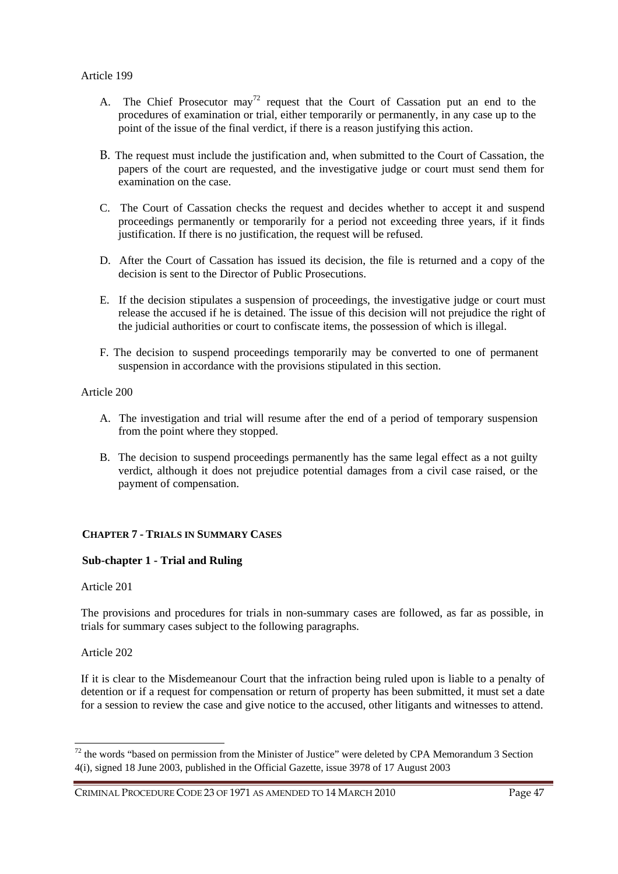- A. The Chief Prosecutor may<sup>72</sup> request that the Court of Cassation put an end to the procedures of examination or trial, either temporarily or permanently, in any case up to the point of the issue of the final verdict, if there is a reason justifying this action.
- B. The request must include the justification and, when submitted to the Court of Cassation, the papers of the court are requested, and the investigative judge or court must send them for examination on the case.
- C. The Court of Cassation checks the request and decides whether to accept it and suspend proceedings permanently or temporarily for a period not exceeding three years, if it finds justification. If there is no justification, the request will be refused.
- D. After the Court of Cassation has issued its decision, the file is returned and a copy of the decision is sent to the Director of Public Prosecutions.
- E. If the decision stipulates a suspension of proceedings, the investigative judge or court must release the accused if he is detained. The issue of this decision will not prejudice the right of the judicial authorities or court to confiscate items, the possession of which is illegal.
- F. The decision to suspend proceedings temporarily may be converted to one of permanent suspension in accordance with the provisions stipulated in this section.

- A. The investigation and trial will resume after the end of a period of temporary suspension from the point where they stopped.
- B. The decision to suspend proceedings permanently has the same legal effect as a not guilty verdict, although it does not prejudice potential damages from a civil case raised, or the payment of compensation.

### **CHAPTER 7 - TRIALS IN SUMMARY CASES**

### **Sub-chapter 1 - Trial and Ruling**

### Article 201

The provisions and procedures for trials in non-summary cases are followed, as far as possible, in trials for summary cases subject to the following paragraphs.

### Article 202

 $\overline{a}$ 

If it is clear to the Misdemeanour Court that the infraction being ruled upon is liable to a penalty of detention or if a request for compensation or return of property has been submitted, it must set a date for a session to review the case and give notice to the accused, other litigants and witnesses to attend.

<sup>&</sup>lt;sup>72</sup> the words "based on permission from the Minister of Justice" were deleted by CPA Memorandum 3 Section 4(i), signed 18 June 2003, published in the Official Gazette, issue 3978 of 17 August 2003

CRIMINAL PROCEDURE CODE 23 OF 1971 AS AMENDED TO 14 MARCH 2010 Page 47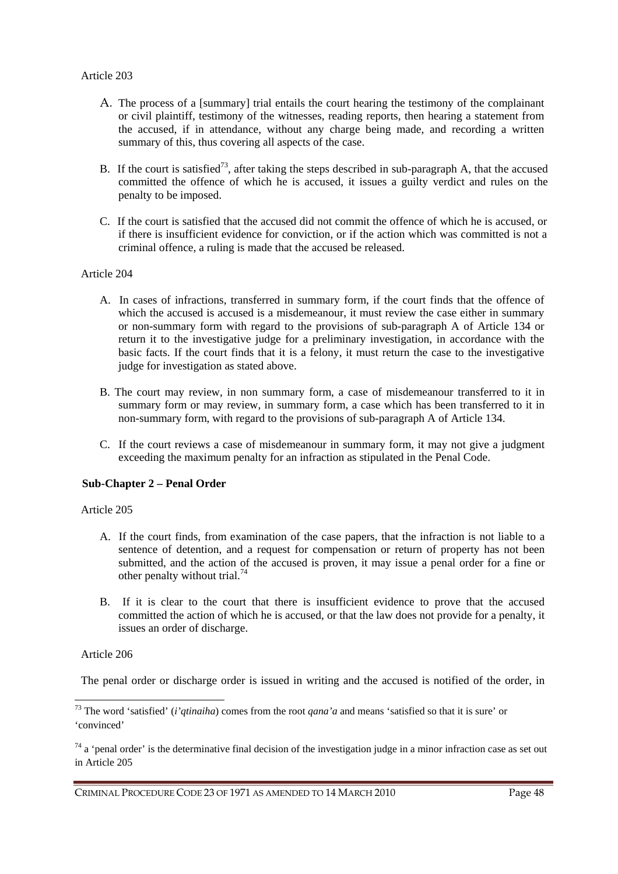- A. The process of a [summary] trial entails the court hearing the testimony of the complainant or civil plaintiff, testimony of the witnesses, reading reports, then hearing a statement from the accused, if in attendance, without any charge being made, and recording a written summary of this, thus covering all aspects of the case.
- B. If the court is satisfied<sup>73</sup>, after taking the steps described in sub-paragraph A, that the accused committed the offence of which he is accused, it issues a guilty verdict and rules on the penalty to be imposed.
- C. If the court is satisfied that the accused did not commit the offence of which he is accused, or if there is insufficient evidence for conviction, or if the action which was committed is not a criminal offence, a ruling is made that the accused be released.

- A. In cases of infractions, transferred in summary form, if the court finds that the offence of which the accused is accused is a misdemeanour, it must review the case either in summary or non-summary form with regard to the provisions of sub-paragraph A of Article 134 or return it to the investigative judge for a preliminary investigation, in accordance with the basic facts. If the court finds that it is a felony, it must return the case to the investigative judge for investigation as stated above.
- B. The court may review, in non summary form, a case of misdemeanour transferred to it in summary form or may review, in summary form, a case which has been transferred to it in non-summary form, with regard to the provisions of sub-paragraph A of Article 134.
- C. If the court reviews a case of misdemeanour in summary form, it may not give a judgment exceeding the maximum penalty for an infraction as stipulated in the Penal Code.

# **Sub-Chapter 2 – Penal Order**

Article 205

- A. If the court finds, from examination of the case papers, that the infraction is not liable to a sentence of detention, and a request for compensation or return of property has not been submitted, and the action of the accused is proven, it may issue a penal order for a fine or other penalty without trial.<sup>74</sup>
- B. If it is clear to the court that there is insufficient evidence to prove that the accused committed the action of which he is accused, or that the law does not provide for a penalty, it issues an order of discharge.

### Article 206

 $\overline{a}$ 

The penal order or discharge order is issued in writing and the accused is notified of the order, in

<sup>73</sup> The word 'satisfied' (*i'qtinaiha*) comes from the root *qana'a* and means 'satisfied so that it is sure' or 'convinced'

 $74$  a 'penal order' is the determinative final decision of the investigation judge in a minor infraction case as set out in Article 205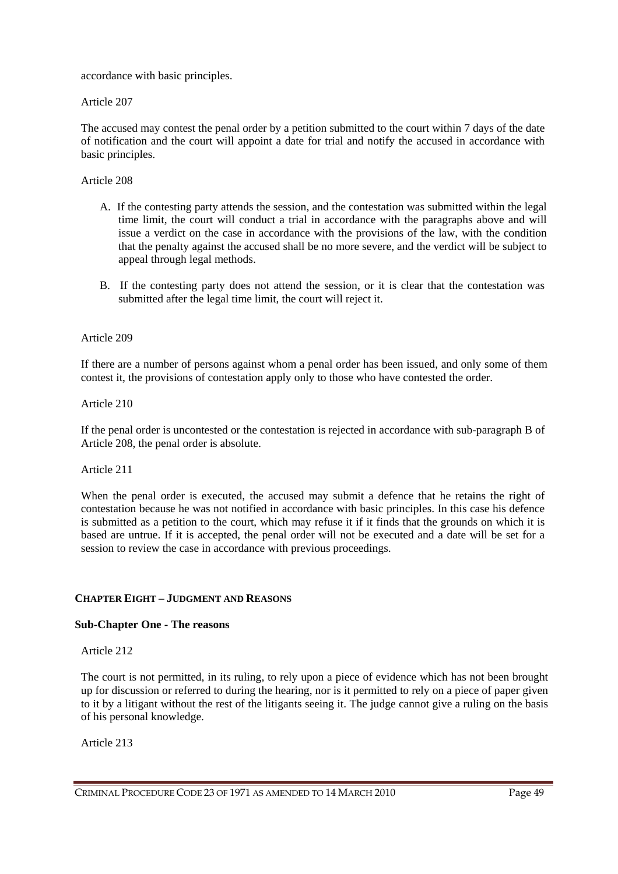accordance with basic principles.

Article 207

The accused may contest the penal order by a petition submitted to the court within 7 days of the date of notification and the court will appoint a date for trial and notify the accused in accordance with basic principles.

Article 208

- A. If the contesting party attends the session, and the contestation was submitted within the legal time limit, the court will conduct a trial in accordance with the paragraphs above and will issue a verdict on the case in accordance with the provisions of the law, with the condition that the penalty against the accused shall be no more severe, and the verdict will be subject to appeal through legal methods.
- B. If the contesting party does not attend the session, or it is clear that the contestation was submitted after the legal time limit, the court will reject it.

Article 209

If there are a number of persons against whom a penal order has been issued, and only some of them contest it, the provisions of contestation apply only to those who have contested the order.

Article 210

If the penal order is uncontested or the contestation is rejected in accordance with sub-paragraph B of Article 208, the penal order is absolute.

Article 211

When the penal order is executed, the accused may submit a defence that he retains the right of contestation because he was not notified in accordance with basic principles. In this case his defence is submitted as a petition to the court, which may refuse it if it finds that the grounds on which it is based are untrue. If it is accepted, the penal order will not be executed and a date will be set for a session to review the case in accordance with previous proceedings.

# **CHAPTER EIGHT – JUDGMENT AND REASONS**

### **Sub-Chapter One - The reasons**

Article 212

The court is not permitted, in its ruling, to rely upon a piece of evidence which has not been brought up for discussion or referred to during the hearing, nor is it permitted to rely on a piece of paper given to it by a litigant without the rest of the litigants seeing it. The judge cannot give a ruling on the basis of his personal knowledge.

Article 213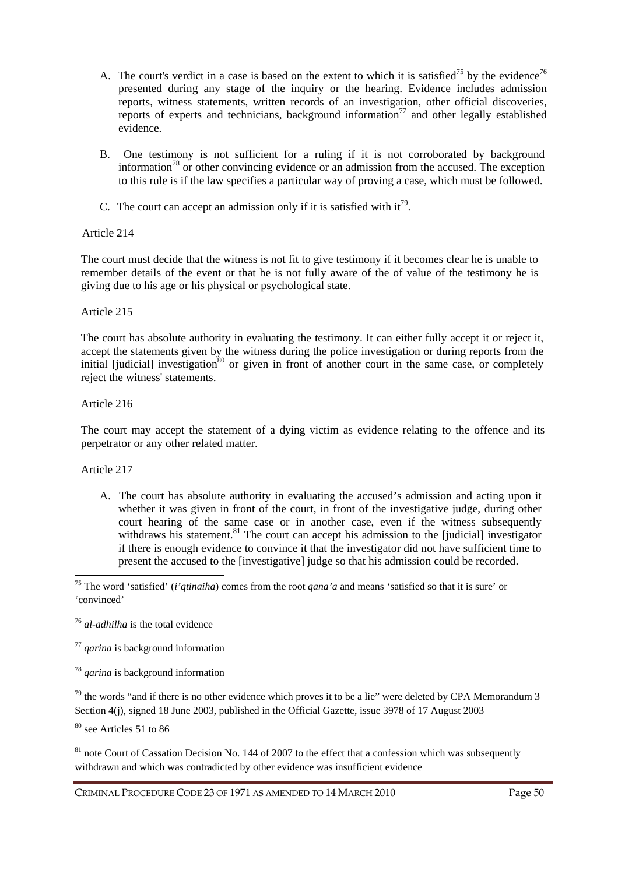- A. The court's verdict in a case is based on the extent to which it is satisfied<sup>75</sup> by the evidence<sup>76</sup> presented during any stage of the inquiry or the hearing. Evidence includes admission reports, witness statements, written records of an investigation, other official discoveries, reports of experts and technicians, background information<sup>77</sup> and other legally established evidence.
- B. One testimony is not sufficient for a ruling if it is not corroborated by background information<sup>78</sup> or other convincing evidence or an admission from the accused. The exception to this rule is if the law specifies a particular way of proving a case, which must be followed.
- C. The court can accept an admission only if it is satisfied with  $it^{79}$ .

The court must decide that the witness is not fit to give testimony if it becomes clear he is unable to remember details of the event or that he is not fully aware of the of value of the testimony he is giving due to his age or his physical or psychological state.

# Article 215

The court has absolute authority in evaluating the testimony. It can either fully accept it or reject it, accept the statements given by the witness during the police investigation or during reports from the initial [judicial] investigation $80$  or given in front of another court in the same case, or completely reject the witness' statements.

# Article 216

The court may accept the statement of a dying victim as evidence relating to the offence and its perpetrator or any other related matter.

Article 217

 $\overline{a}$ 

A. The court has absolute authority in evaluating the accused's admission and acting upon it whether it was given in front of the court, in front of the investigative judge, during other court hearing of the same case or in another case, even if the witness subsequently withdraws his statement. $81$  The court can accept his admission to the [judicial] investigator if there is enough evidence to convince it that the investigator did not have sufficient time to present the accused to the [investigative] judge so that his admission could be recorded.

<sup>80</sup> see Articles 51 to 86

 $81$  note Court of Cassation Decision No. 144 of 2007 to the effect that a confession which was subsequently withdrawn and which was contradicted by other evidence was insufficient evidence

<sup>75</sup> The word 'satisfied' (*i'qtinaiha*) comes from the root *qana'a* and means 'satisfied so that it is sure' or 'convinced'

<sup>76</sup> *al-adhilha* is the total evidence

<sup>77</sup> *qarina* is background information

<sup>78</sup> *qarina* is background information

 $79$  the words "and if there is no other evidence which proves it to be a lie" were deleted by CPA Memorandum 3 Section 4(j), signed 18 June 2003, published in the Official Gazette, issue 3978 of 17 August 2003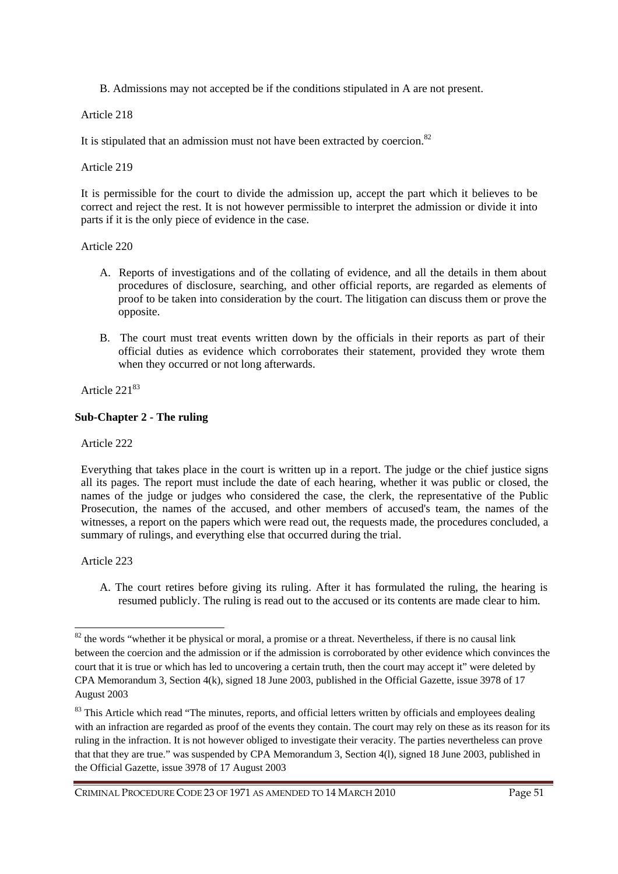B. Admissions may not accepted be if the conditions stipulated in A are not present.

Article 218

It is stipulated that an admission must not have been extracted by coercion. $82$ 

Article 219

It is permissible for the court to divide the admission up, accept the part which it believes to be correct and reject the rest. It is not however permissible to interpret the admission or divide it into parts if it is the only piece of evidence in the case.

### Article 220

- A. Reports of investigations and of the collating of evidence, and all the details in them about procedures of disclosure, searching, and other official reports, are regarded as elements of proof to be taken into consideration by the court. The litigation can discuss them or prove the opposite.
- B. The court must treat events written down by the officials in their reports as part of their official duties as evidence which corroborates their statement, provided they wrote them when they occurred or not long afterwards.

Article 221<sup>83</sup>

# **Sub-Chapter 2 - The ruling**

Article 222

Everything that takes place in the court is written up in a report. The judge or the chief justice signs all its pages. The report must include the date of each hearing, whether it was public or closed, the names of the judge or judges who considered the case, the clerk, the representative of the Public Prosecution, the names of the accused, and other members of accused's team, the names of the witnesses, a report on the papers which were read out, the requests made, the procedures concluded, a summary of rulings, and everything else that occurred during the trial.

Article 223

 $\overline{a}$ 

A. The court retires before giving its ruling. After it has formulated the ruling, the hearing is resumed publicly. The ruling is read out to the accused or its contents are made clear to him.

 $82$  the words "whether it be physical or moral, a promise or a threat. Nevertheless, if there is no causal link between the coercion and the admission or if the admission is corroborated by other evidence which convinces the court that it is true or which has led to uncovering a certain truth, then the court may accept it" were deleted by CPA Memorandum 3, Section 4(k), signed 18 June 2003, published in the Official Gazette, issue 3978 of 17 August 2003

<sup>&</sup>lt;sup>83</sup> This Article which read "The minutes, reports, and official letters written by officials and employees dealing with an infraction are regarded as proof of the events they contain. The court may rely on these as its reason for its ruling in the infraction. It is not however obliged to investigate their veracity. The parties nevertheless can prove that that they are true." was suspended by CPA Memorandum 3, Section 4(l), signed 18 June 2003, published in the Official Gazette, issue 3978 of 17 August 2003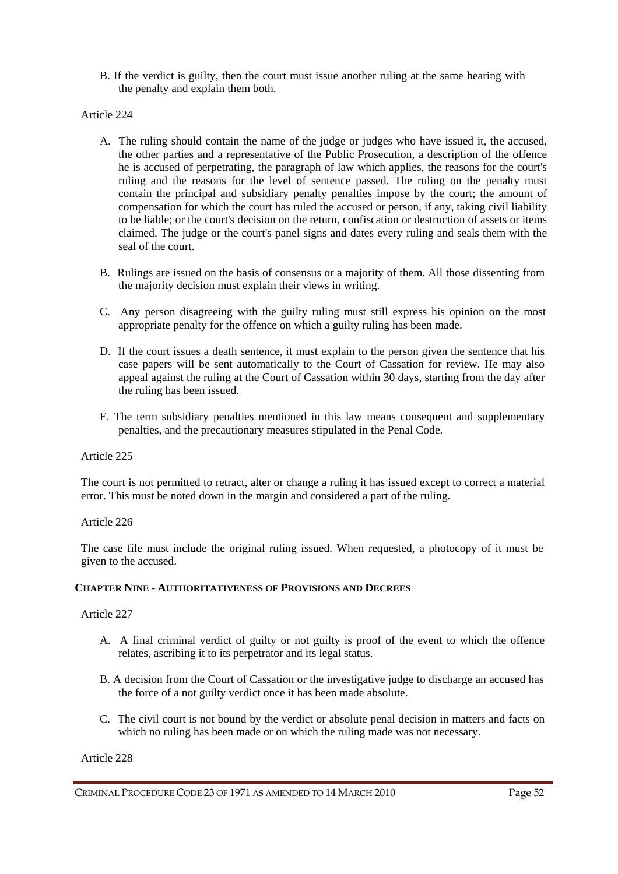B. If the verdict is guilty, then the court must issue another ruling at the same hearing with the penalty and explain them both.

## Article 224

- A. The ruling should contain the name of the judge or judges who have issued it, the accused, the other parties and a representative of the Public Prosecution, a description of the offence he is accused of perpetrating, the paragraph of law which applies, the reasons for the court's ruling and the reasons for the level of sentence passed. The ruling on the penalty must contain the principal and subsidiary penalty penalties impose by the court; the amount of compensation for which the court has ruled the accused or person, if any, taking civil liability to be liable; or the court's decision on the return, confiscation or destruction of assets or items claimed. The judge or the court's panel signs and dates every ruling and seals them with the seal of the court.
- B. Rulings are issued on the basis of consensus or a majority of them. All those dissenting from the majority decision must explain their views in writing.
- C. Any person disagreeing with the guilty ruling must still express his opinion on the most appropriate penalty for the offence on which a guilty ruling has been made.
- D. If the court issues a death sentence, it must explain to the person given the sentence that his case papers will be sent automatically to the Court of Cassation for review. He may also appeal against the ruling at the Court of Cassation within 30 days, starting from the day after the ruling has been issued.
- E. The term subsidiary penalties mentioned in this law means consequent and supplementary penalties, and the precautionary measures stipulated in the Penal Code.

### Article 225

The court is not permitted to retract, alter or change a ruling it has issued except to correct a material error. This must be noted down in the margin and considered a part of the ruling.

### Article 226

The case file must include the original ruling issued. When requested, a photocopy of it must be given to the accused.

#### **CHAPTER NINE - AUTHORITATIVENESS OF PROVISIONS AND DECREES**

### Article 227

- A. A final criminal verdict of guilty or not guilty is proof of the event to which the offence relates, ascribing it to its perpetrator and its legal status.
- B. A decision from the Court of Cassation or the investigative judge to discharge an accused has the force of a not guilty verdict once it has been made absolute.
- C. The civil court is not bound by the verdict or absolute penal decision in matters and facts on which no ruling has been made or on which the ruling made was not necessary.

Article 228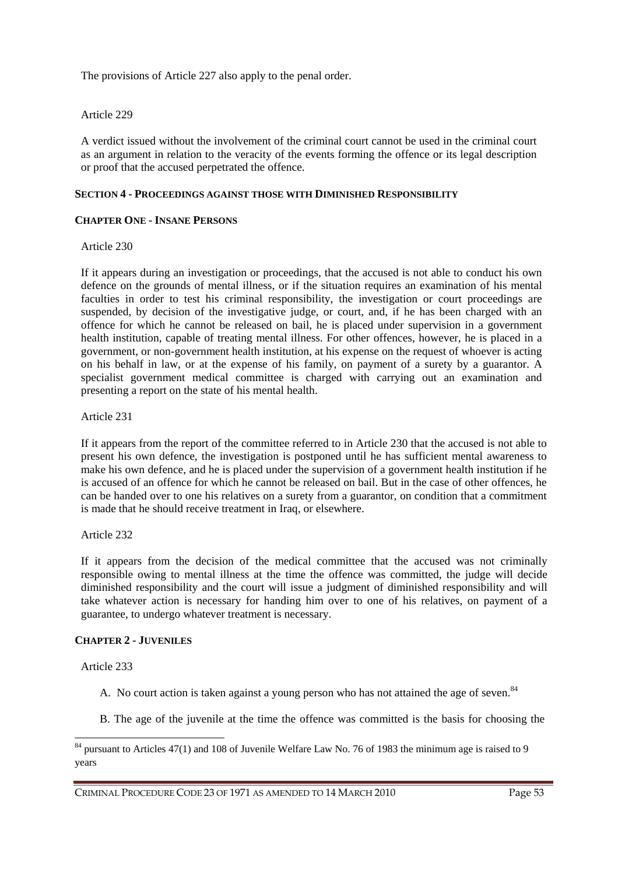The provisions of Article 227 also apply to the penal order.

## Article 229

A verdict issued without the involvement of the criminal court cannot be used in the criminal court as an argument in relation to the veracity of the events forming the offence or its legal description or proof that the accused perpetrated the offence.

# **SECTION 4 - PROCEEDINGS AGAINST THOSE WITH DIMINISHED RESPONSIBILITY**

### **CHAPTER ONE - INSANE PERSONS**

### Article 230

If it appears during an investigation or proceedings, that the accused is not able to conduct his own defence on the grounds of mental illness, or if the situation requires an examination of his mental faculties in order to test his criminal responsibility, the investigation or court proceedings are suspended, by decision of the investigative judge, or court, and, if he has been charged with an offence for which he cannot be released on bail, he is placed under supervision in a government health institution, capable of treating mental illness. For other offences, however, he is placed in a government, or non-government health institution, at his expense on the request of whoever is acting on his behalf in law, or at the expense of his family, on payment of a surety by a guarantor. A specialist government medical committee is charged with carrying out an examination and presenting a report on the state of his mental health.

Article 231

If it appears from the report of the committee referred to in Article 230 that the accused is not able to present his own defence, the investigation is postponed until he has sufficient mental awareness to make his own defence, and he is placed under the supervision of a government health institution if he is accused of an offence for which he cannot be released on bail. But in the case of other offences, he can be handed over to one his relatives on a surety from a guarantor, on condition that a commitment is made that he should receive treatment in Iraq, or elsewhere.

Article 232

If it appears from the decision of the medical committee that the accused was not criminally responsible owing to mental illness at the time the offence was committed, the judge will decide diminished responsibility and the court will issue a judgment of diminished responsibility and will take whatever action is necessary for handing him over to one of his relatives, on payment of a guarantee, to undergo whatever treatment is necessary.

### **CHAPTER 2 - JUVENILES**

Article 233

 $\overline{a}$ 

- A. No court action is taken against a young person who has not attained the age of seven.<sup>84</sup>
- B. The age of the juvenile at the time the offence was committed is the basis for choosing the

<sup>&</sup>lt;sup>84</sup> pursuant to Articles 47(1) and 108 of Juvenile Welfare Law No. 76 of 1983 the minimum age is raised to 9 years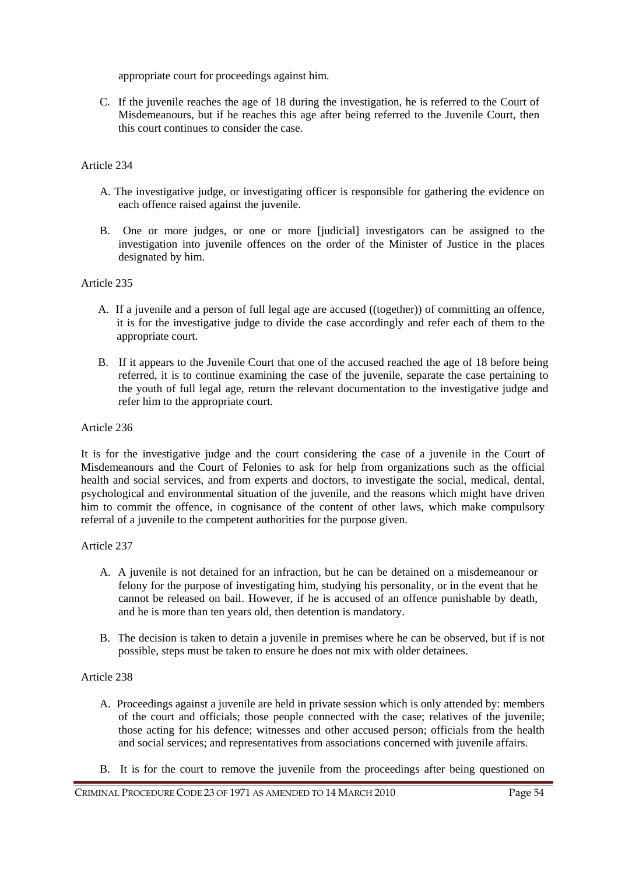appropriate court for proceedings against him.

C. If the juvenile reaches the age of 18 during the investigation, he is referred to the Court of Misdemeanours, but if he reaches this age after being referred to the Juvenile Court, then this court continues to consider the case.

# Article 234

- A. The investigative judge, or investigating officer is responsible for gathering the evidence on each offence raised against the juvenile.
- B. One or more judges, or one or more [judicial] investigators can be assigned to the investigation into juvenile offences on the order of the Minister of Justice in the places designated by him.

# Article 235

- A. If a juvenile and a person of full legal age are accused ((together)) of committing an offence, it is for the investigative judge to divide the case accordingly and refer each of them to the appropriate court.
- B. If it appears to the Juvenile Court that one of the accused reached the age of 18 before being referred, it is to continue examining the case of the juvenile, separate the case pertaining to the youth of full legal age, return the relevant documentation to the investigative judge and refer him to the appropriate court.

## Article 236

It is for the investigative judge and the court considering the case of a juvenile in the Court of Misdemeanours and the Court of Felonies to ask for help from organizations such as the official health and social services, and from experts and doctors, to investigate the social, medical, dental, psychological and environmental situation of the juvenile, and the reasons which might have driven him to commit the offence, in cognisance of the content of other laws, which make compulsory referral of a juvenile to the competent authorities for the purpose given.

# Article 237

- A. A juvenile is not detained for an infraction, but he can be detained on a misdemeanour or felony for the purpose of investigating him, studying his personality, or in the event that he cannot be released on bail. However, if he is accused of an offence punishable by death, and he is more than ten years old, then detention is mandatory.
- B. The decision is taken to detain a juvenile in premises where he can be observed, but if is not possible, steps must be taken to ensure he does not mix with older detainees.

# Article 238

- A. Proceedings against a juvenile are held in private session which is only attended by: members of the court and officials; those people connected with the case; relatives of the juvenile; those acting for his defence; witnesses and other accused person; officials from the health and social services; and representatives from associations concerned with juvenile affairs.
- B. It is for the court to remove the juvenile from the proceedings after being questioned on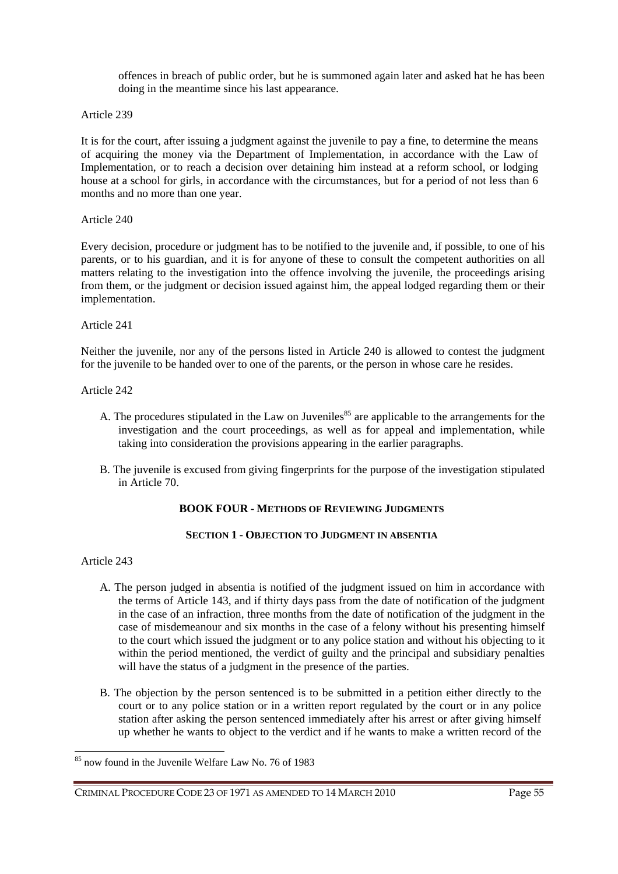offences in breach of public order, but he is summoned again later and asked hat he has been doing in the meantime since his last appearance.

Article 239

It is for the court, after issuing a judgment against the juvenile to pay a fine, to determine the means of acquiring the money via the Department of Implementation, in accordance with the Law of Implementation, or to reach a decision over detaining him instead at a reform school, or lodging house at a school for girls, in accordance with the circumstances, but for a period of not less than 6 months and no more than one year.

Article 240

Every decision, procedure or judgment has to be notified to the juvenile and, if possible, to one of his parents, or to his guardian, and it is for anyone of these to consult the competent authorities on all matters relating to the investigation into the offence involving the juvenile, the proceedings arising from them, or the judgment or decision issued against him, the appeal lodged regarding them or their implementation.

Article 241

Neither the juvenile, nor any of the persons listed in Article 240 is allowed to contest the judgment for the juvenile to be handed over to one of the parents, or the person in whose care he resides.

Article 242

- A. The procedures stipulated in the Law on Juveniles<sup>85</sup> are applicable to the arrangements for the investigation and the court proceedings, as well as for appeal and implementation, while taking into consideration the provisions appearing in the earlier paragraphs.
- B. The juvenile is excused from giving fingerprints for the purpose of the investigation stipulated in Article 70.

# **BOOK FOUR - METHODS OF REVIEWING JUDGMENTS**

# **SECTION 1 - OBJECTION TO JUDGMENT IN ABSENTIA**

Article 243

 $\overline{a}$ 

- A. The person judged in absentia is notified of the judgment issued on him in accordance with the terms of Article 143, and if thirty days pass from the date of notification of the judgment in the case of an infraction, three months from the date of notification of the judgment in the case of misdemeanour and six months in the case of a felony without his presenting himself to the court which issued the judgment or to any police station and without his objecting to it within the period mentioned, the verdict of guilty and the principal and subsidiary penalties will have the status of a judgment in the presence of the parties.
- B. The objection by the person sentenced is to be submitted in a petition either directly to the court or to any police station or in a written report regulated by the court or in any police station after asking the person sentenced immediately after his arrest or after giving himself up whether he wants to object to the verdict and if he wants to make a written record of the

<sup>85</sup> now found in the Juvenile Welfare Law No. 76 of 1983

CRIMINAL PROCEDURE CODE 23 OF 1971 AS AMENDED TO 14 MARCH 2010 Page 55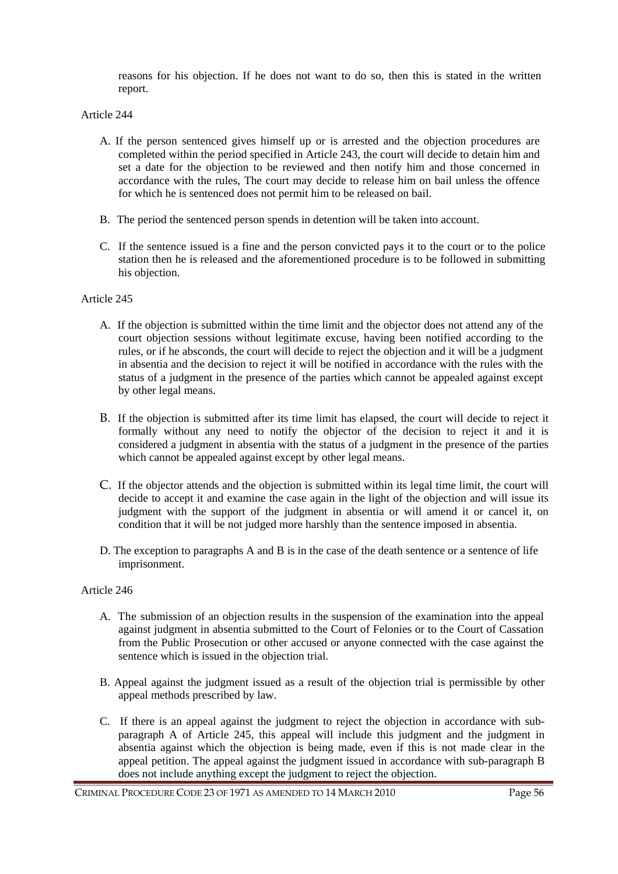reasons for his objection. If he does not want to do so, then this is stated in the written report.

Article 244

- A. If the person sentenced gives himself up or is arrested and the objection procedures are completed within the period specified in Article 243, the court will decide to detain him and set a date for the objection to be reviewed and then notify him and those concerned in accordance with the rules, The court may decide to release him on bail unless the offence for which he is sentenced does not permit him to be released on bail.
- B. The period the sentenced person spends in detention will be taken into account.
- C. If the sentence issued is a fine and the person convicted pays it to the court or to the police station then he is released and the aforementioned procedure is to be followed in submitting his objection.

## Article 245

- A. If the objection is submitted within the time limit and the objector does not attend any of the court objection sessions without legitimate excuse, having been notified according to the rules, or if he absconds, the court will decide to reject the objection and it will be a judgment in absentia and the decision to reject it will be notified in accordance with the rules with the status of a judgment in the presence of the parties which cannot be appealed against except by other legal means.
- B. If the objection is submitted after its time limit has elapsed, the court will decide to reject it formally without any need to notify the objector of the decision to reject it and it is considered a judgment in absentia with the status of a judgment in the presence of the parties which cannot be appealed against except by other legal means.
- C. If the objector attends and the objection is submitted within its legal time limit, the court will decide to accept it and examine the case again in the light of the objection and will issue its judgment with the support of the judgment in absentia or will amend it or cancel it, on condition that it will be not judged more harshly than the sentence imposed in absentia.
- D. The exception to paragraphs A and B is in the case of the death sentence or a sentence of life imprisonment.

# Article 246

- A. The submission of an objection results in the suspension of the examination into the appeal against judgment in absentia submitted to the Court of Felonies or to the Court of Cassation from the Public Prosecution or other accused or anyone connected with the case against the sentence which is issued in the objection trial.
- B. Appeal against the judgment issued as a result of the objection trial is permissible by other appeal methods prescribed by law.
- C. If there is an appeal against the judgment to reject the objection in accordance with subparagraph A of Article 245, this appeal will include this judgment and the judgment in absentia against which the objection is being made, even if this is not made clear in the appeal petition. The appeal against the judgment issued in accordance with sub-paragraph B does not include anything except the judgment to reject the objection.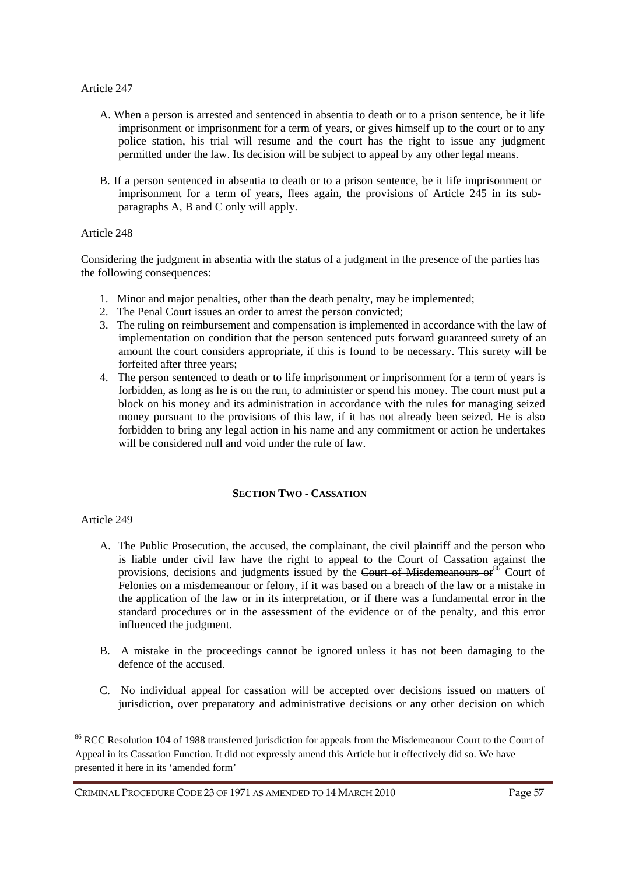- A. When a person is arrested and sentenced in absentia to death or to a prison sentence, be it life imprisonment or imprisonment for a term of years, or gives himself up to the court or to any police station, his trial will resume and the court has the right to issue any judgment permitted under the law. Its decision will be subject to appeal by any other legal means.
- B. If a person sentenced in absentia to death or to a prison sentence, be it life imprisonment or imprisonment for a term of years, flees again, the provisions of Article 245 in its subparagraphs A, B and C only will apply.

#### Article 248

Considering the judgment in absentia with the status of a judgment in the presence of the parties has the following consequences:

- 1. Minor and major penalties, other than the death penalty, may be implemented;
- 2. The Penal Court issues an order to arrest the person convicted;
- 3. The ruling on reimbursement and compensation is implemented in accordance with the law of implementation on condition that the person sentenced puts forward guaranteed surety of an amount the court considers appropriate, if this is found to be necessary. This surety will be forfeited after three years;
- 4. The person sentenced to death or to life imprisonment or imprisonment for a term of years is forbidden, as long as he is on the run, to administer or spend his money. The court must put a block on his money and its administration in accordance with the rules for managing seized money pursuant to the provisions of this law, if it has not already been seized. He is also forbidden to bring any legal action in his name and any commitment or action he undertakes will be considered null and void under the rule of law.

### **SECTION TWO - CASSATION**

### Article 249

 $\overline{a}$ 

- A. The Public Prosecution, the accused, the complainant, the civil plaintiff and the person who is liable under civil law have the right to appeal to the Court of Cassation against the provisions, decisions and judgments issued by the Court of Misdemeanours or  $86$  Court of Felonies on a misdemeanour or felony, if it was based on a breach of the law or a mistake in the application of the law or in its interpretation, or if there was a fundamental error in the standard procedures or in the assessment of the evidence or of the penalty, and this error influenced the judgment.
- B. A mistake in the proceedings cannot be ignored unless it has not been damaging to the defence of the accused.
- C. No individual appeal for cassation will be accepted over decisions issued on matters of jurisdiction, over preparatory and administrative decisions or any other decision on which

<sup>&</sup>lt;sup>86</sup> RCC Resolution 104 of 1988 transferred jurisdiction for appeals from the Misdemeanour Court to the Court of Appeal in its Cassation Function. It did not expressly amend this Article but it effectively did so. We have presented it here in its 'amended form'

CRIMINAL PROCEDURE CODE 23 OF 1971 AS AMENDED TO 14 MARCH 2010 Page 57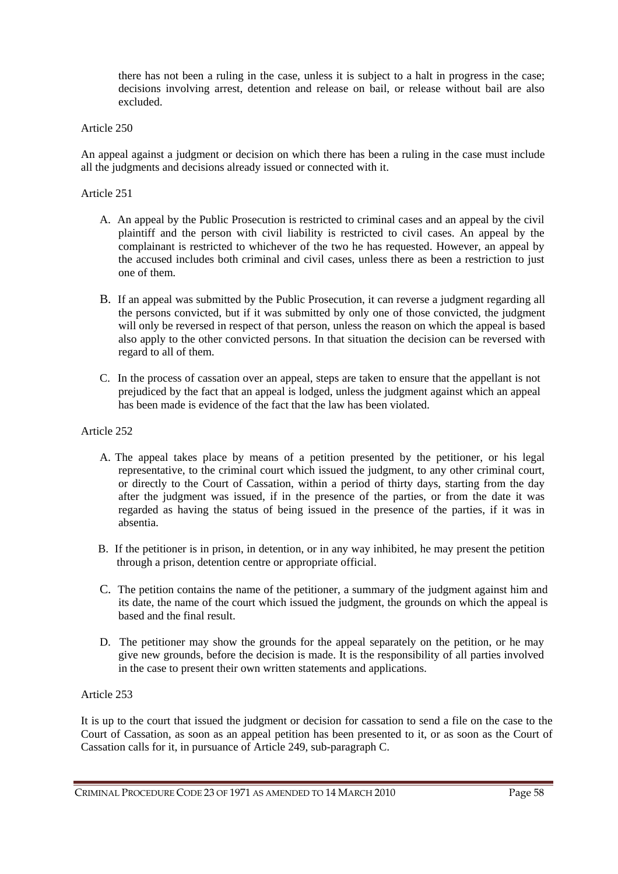there has not been a ruling in the case, unless it is subject to a halt in progress in the case; decisions involving arrest, detention and release on bail, or release without bail are also excluded.

## Article 250

An appeal against a judgment or decision on which there has been a ruling in the case must include all the judgments and decisions already issued or connected with it.

## Article 251

- A. An appeal by the Public Prosecution is restricted to criminal cases and an appeal by the civil plaintiff and the person with civil liability is restricted to civil cases. An appeal by the complainant is restricted to whichever of the two he has requested. However, an appeal by the accused includes both criminal and civil cases, unless there as been a restriction to just one of them.
- B. If an appeal was submitted by the Public Prosecution, it can reverse a judgment regarding all the persons convicted, but if it was submitted by only one of those convicted, the judgment will only be reversed in respect of that person, unless the reason on which the appeal is based also apply to the other convicted persons. In that situation the decision can be reversed with regard to all of them.
- C. In the process of cassation over an appeal, steps are taken to ensure that the appellant is not prejudiced by the fact that an appeal is lodged, unless the judgment against which an appeal has been made is evidence of the fact that the law has been violated.

### Article 252

- A. The appeal takes place by means of a petition presented by the petitioner, or his legal representative, to the criminal court which issued the judgment, to any other criminal court, or directly to the Court of Cassation, within a period of thirty days, starting from the day after the judgment was issued, if in the presence of the parties, or from the date it was regarded as having the status of being issued in the presence of the parties, if it was in absentia.
- B. If the petitioner is in prison, in detention, or in any way inhibited, he may present the petition through a prison, detention centre or appropriate official.
- C. The petition contains the name of the petitioner, a summary of the judgment against him and its date, the name of the court which issued the judgment, the grounds on which the appeal is based and the final result.
- D. The petitioner may show the grounds for the appeal separately on the petition, or he may give new grounds, before the decision is made. It is the responsibility of all parties involved in the case to present their own written statements and applications.

Article 253

It is up to the court that issued the judgment or decision for cassation to send a file on the case to the Court of Cassation, as soon as an appeal petition has been presented to it, or as soon as the Court of Cassation calls for it, in pursuance of Article 249, sub-paragraph C.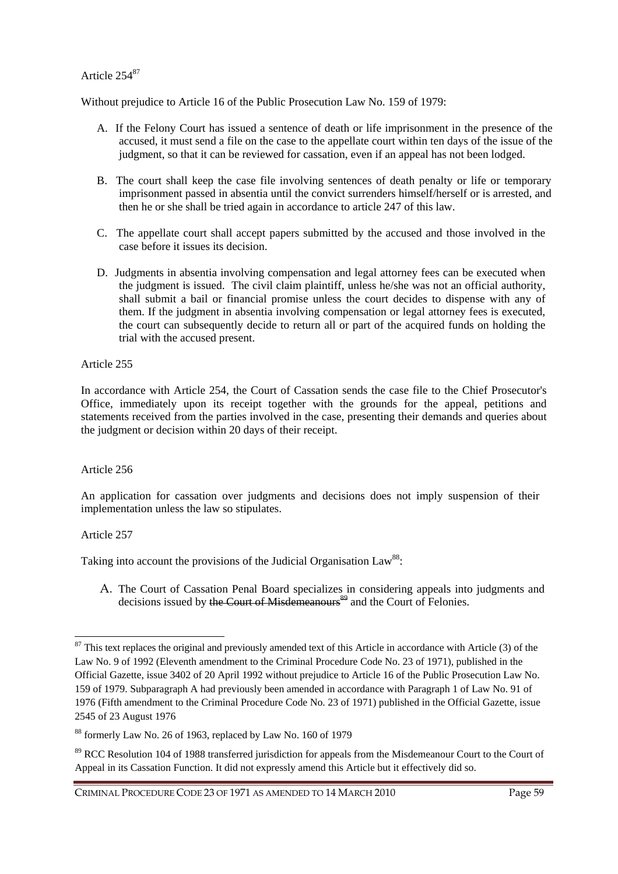# Article 254<sup>87</sup>

Without prejudice to Article 16 of the Public Prosecution Law No. 159 of 1979:

- A. If the Felony Court has issued a sentence of death or life imprisonment in the presence of the accused, it must send a file on the case to the appellate court within ten days of the issue of the judgment, so that it can be reviewed for cassation, even if an appeal has not been lodged.
- B. The court shall keep the case file involving sentences of death penalty or life or temporary imprisonment passed in absentia until the convict surrenders himself/herself or is arrested, and then he or she shall be tried again in accordance to article 247 of this law.
- C. The appellate court shall accept papers submitted by the accused and those involved in the case before it issues its decision.
- D. Judgments in absentia involving compensation and legal attorney fees can be executed when the judgment is issued. The civil claim plaintiff, unless he/she was not an official authority, shall submit a bail or financial promise unless the court decides to dispense with any of them. If the judgment in absentia involving compensation or legal attorney fees is executed, the court can subsequently decide to return all or part of the acquired funds on holding the trial with the accused present.

Article 255

In accordance with Article 254, the Court of Cassation sends the case file to the Chief Prosecutor's Office, immediately upon its receipt together with the grounds for the appeal, petitions and statements received from the parties involved in the case, presenting their demands and queries about the judgment or decision within 20 days of their receipt.

Article 256

An application for cassation over judgments and decisions does not imply suspension of their implementation unless the law so stipulates.

Article 257

 $\overline{a}$ 

Taking into account the provisions of the Judicial Organisation  $Law^{88}$ :

A. The Court of Cassation Penal Board specializes in considering appeals into judgments and decisions issued by the Court of Misdemeanours<sup>89</sup> and the Court of Felonies.

CRIMINAL PROCEDURE CODE 23 OF 1971 AS AMENDED TO 14 MARCH 2010 Page 59

 $87$  This text replaces the original and previously amended text of this Article in accordance with Article (3) of the Law No. 9 of 1992 (Eleventh amendment to the Criminal Procedure Code No. 23 of 1971), published in the Official Gazette, issue 3402 of 20 April 1992 without prejudice to Article 16 of the Public Prosecution Law No. 159 of 1979. Subparagraph A had previously been amended in accordance with Paragraph 1 of Law No. 91 of 1976 (Fifth amendment to the Criminal Procedure Code No. 23 of 1971) published in the Official Gazette, issue 2545 of 23 August 1976

<sup>88</sup> formerly Law No. 26 of 1963, replaced by Law No. 160 of 1979

<sup>&</sup>lt;sup>89</sup> RCC Resolution 104 of 1988 transferred jurisdiction for appeals from the Misdemeanour Court to the Court of Appeal in its Cassation Function. It did not expressly amend this Article but it effectively did so.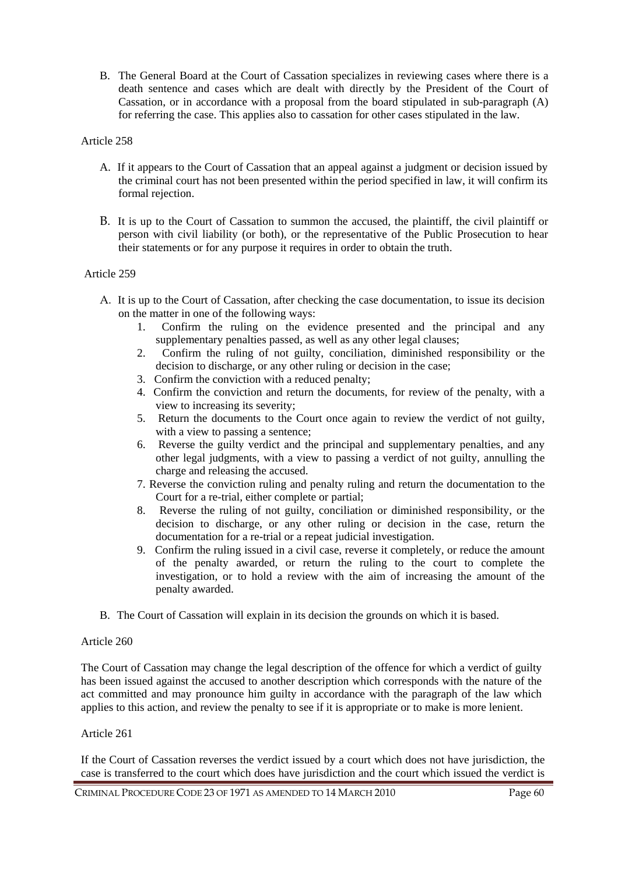B. The General Board at the Court of Cassation specializes in reviewing cases where there is a death sentence and cases which are dealt with directly by the President of the Court of Cassation, or in accordance with a proposal from the board stipulated in sub-paragraph (A) for referring the case. This applies also to cassation for other cases stipulated in the law.

## Article 258

- A. If it appears to the Court of Cassation that an appeal against a judgment or decision issued by the criminal court has not been presented within the period specified in law, it will confirm its formal rejection.
- B. It is up to the Court of Cassation to summon the accused, the plaintiff, the civil plaintiff or person with civil liability (or both), or the representative of the Public Prosecution to hear their statements or for any purpose it requires in order to obtain the truth.

## Article 259

- A. It is up to the Court of Cassation, after checking the case documentation, to issue its decision on the matter in one of the following ways:
	- 1. Confirm the ruling on the evidence presented and the principal and any supplementary penalties passed, as well as any other legal clauses;
	- 2. Confirm the ruling of not guilty, conciliation, diminished responsibility or the decision to discharge, or any other ruling or decision in the case;
	- 3. Confirm the conviction with a reduced penalty;
	- 4. Confirm the conviction and return the documents, for review of the penalty, with a view to increasing its severity;
	- 5. Return the documents to the Court once again to review the verdict of not guilty, with a view to passing a sentence:
	- 6. Reverse the guilty verdict and the principal and supplementary penalties, and any other legal judgments, with a view to passing a verdict of not guilty, annulling the charge and releasing the accused.
	- 7. Reverse the conviction ruling and penalty ruling and return the documentation to the Court for a re-trial, either complete or partial;
	- 8. Reverse the ruling of not guilty, conciliation or diminished responsibility, or the decision to discharge, or any other ruling or decision in the case, return the documentation for a re-trial or a repeat judicial investigation.
	- 9. Confirm the ruling issued in a civil case, reverse it completely, or reduce the amount of the penalty awarded, or return the ruling to the court to complete the investigation, or to hold a review with the aim of increasing the amount of the penalty awarded.
- B. The Court of Cassation will explain in its decision the grounds on which it is based.

### Article 260

The Court of Cassation may change the legal description of the offence for which a verdict of guilty has been issued against the accused to another description which corresponds with the nature of the act committed and may pronounce him guilty in accordance with the paragraph of the law which applies to this action, and review the penalty to see if it is appropriate or to make is more lenient.

### Article 261

If the Court of Cassation reverses the verdict issued by a court which does not have jurisdiction, the case is transferred to the court which does have jurisdiction and the court which issued the verdict is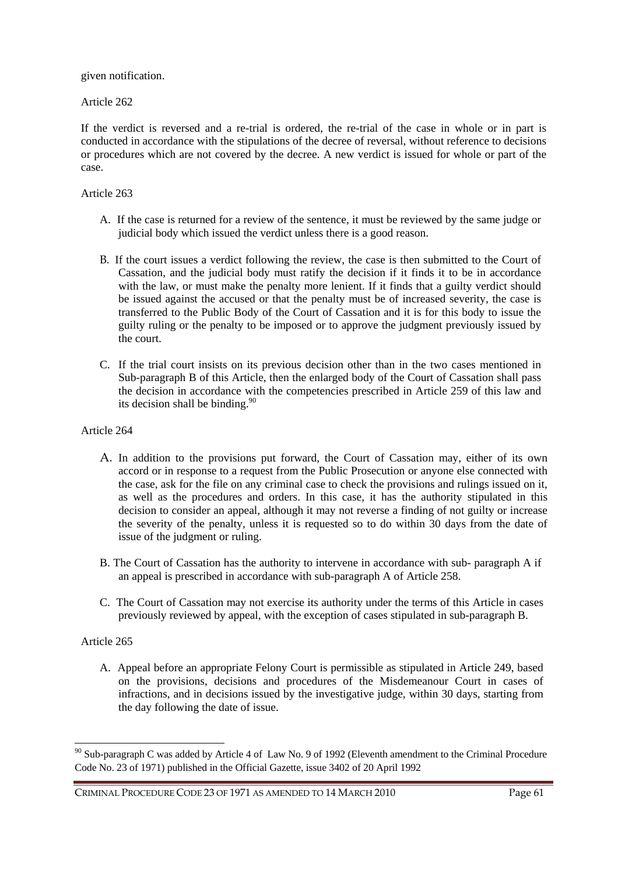given notification.

Article 262

If the verdict is reversed and a re-trial is ordered, the re-trial of the case in whole or in part is conducted in accordance with the stipulations of the decree of reversal, without reference to decisions or procedures which are not covered by the decree. A new verdict is issued for whole or part of the case.

# Article 263

- A. If the case is returned for a review of the sentence, it must be reviewed by the same judge or judicial body which issued the verdict unless there is a good reason.
- B. If the court issues a verdict following the review, the case is then submitted to the Court of Cassation, and the judicial body must ratify the decision if it finds it to be in accordance with the law, or must make the penalty more lenient. If it finds that a guilty verdict should be issued against the accused or that the penalty must be of increased severity, the case is transferred to the Public Body of the Court of Cassation and it is for this body to issue the guilty ruling or the penalty to be imposed or to approve the judgment previously issued by the court.
- C. If the trial court insists on its previous decision other than in the two cases mentioned in Sub-paragraph B of this Article, then the enlarged body of the Court of Cassation shall pass the decision in accordance with the competencies prescribed in Article 259 of this law and its decision shall be binding. $90$

## Article 264

- A. In addition to the provisions put forward, the Court of Cassation may, either of its own accord or in response to a request from the Public Prosecution or anyone else connected with the case, ask for the file on any criminal case to check the provisions and rulings issued on it, as well as the procedures and orders. In this case, it has the authority stipulated in this decision to consider an appeal, although it may not reverse a finding of not guilty or increase the severity of the penalty, unless it is requested so to do within 30 days from the date of issue of the judgment or ruling.
- B. The Court of Cassation has the authority to intervene in accordance with sub- paragraph A if an appeal is prescribed in accordance with sub-paragraph A of Article 258.
- C. The Court of Cassation may not exercise its authority under the terms of this Article in cases previously reviewed by appeal, with the exception of cases stipulated in sub-paragraph B.

### Article 265

 $\overline{a}$ 

A. Appeal before an appropriate Felony Court is permissible as stipulated in Article 249, based on the provisions, decisions and procedures of the Misdemeanour Court in cases of infractions, and in decisions issued by the investigative judge, within 30 days, starting from the day following the date of issue.

<sup>&</sup>lt;sup>90</sup> Sub-paragraph C was added by Article 4 of Law No. 9 of 1992 (Eleventh amendment to the Criminal Procedure Code No. 23 of 1971) published in the Official Gazette, issue 3402 of 20 April 1992

CRIMINAL PROCEDURE CODE 23 OF 1971 AS AMENDED TO 14 MARCH 2010 Page 61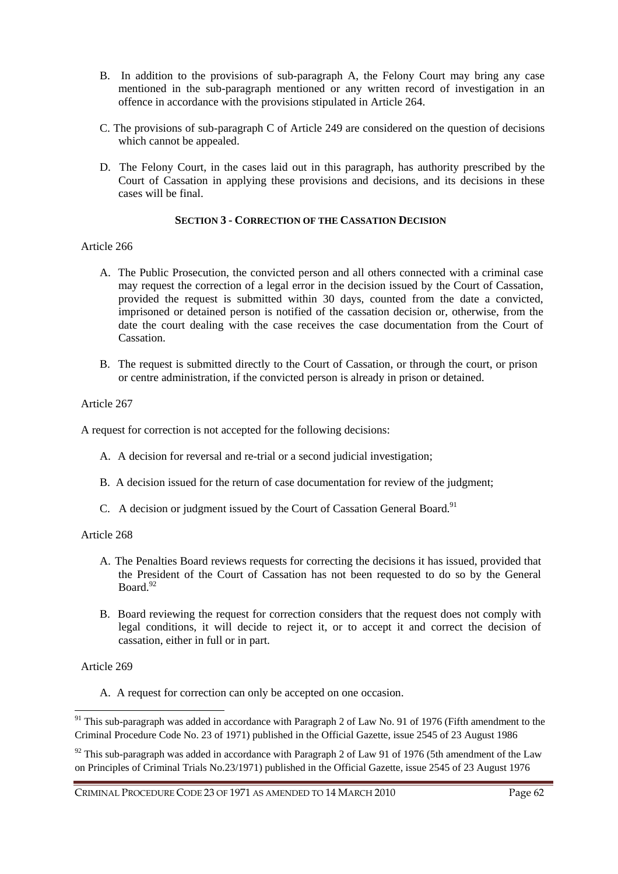- B. In addition to the provisions of sub-paragraph A, the Felony Court may bring any case mentioned in the sub-paragraph mentioned or any written record of investigation in an offence in accordance with the provisions stipulated in Article 264.
- C. The provisions of sub-paragraph C of Article 249 are considered on the question of decisions which cannot be appealed.
- D. The Felony Court, in the cases laid out in this paragraph, has authority prescribed by the Court of Cassation in applying these provisions and decisions, and its decisions in these cases will be final.

## **SECTION 3 - CORRECTION OF THE CASSATION DECISION**

## Article 266

- A. The Public Prosecution, the convicted person and all others connected with a criminal case may request the correction of a legal error in the decision issued by the Court of Cassation, provided the request is submitted within 30 days, counted from the date a convicted, imprisoned or detained person is notified of the cassation decision or, otherwise, from the date the court dealing with the case receives the case documentation from the Court of Cassation.
- B. The request is submitted directly to the Court of Cassation, or through the court, or prison or centre administration, if the convicted person is already in prison or detained.

## Article 267

A request for correction is not accepted for the following decisions:

- A. A decision for reversal and re-trial or a second judicial investigation;
- B. A decision issued for the return of case documentation for review of the judgment;
- C. A decision or judgment issued by the Court of Cassation General Board.<sup>91</sup>

### Article 268

- A. The Penalties Board reviews requests for correcting the decisions it has issued, provided that the President of the Court of Cassation has not been requested to do so by the General  $Board<sup>92</sup>$
- B. Board reviewing the request for correction considers that the request does not comply with legal conditions, it will decide to reject it, or to accept it and correct the decision of cassation, either in full or in part.

# Article 269

 $\overline{a}$ 

A. A request for correction can only be accepted on one occasion.

<sup>&</sup>lt;sup>91</sup> This sub-paragraph was added in accordance with Paragraph 2 of Law No. 91 of 1976 (Fifth amendment to the Criminal Procedure Code No. 23 of 1971) published in the Official Gazette, issue 2545 of 23 August 1986

 $92$  This sub-paragraph was added in accordance with Paragraph 2 of Law 91 of 1976 (5th amendment of the Law on Principles of Criminal Trials No.23/1971) published in the Official Gazette, issue 2545 of 23 August 1976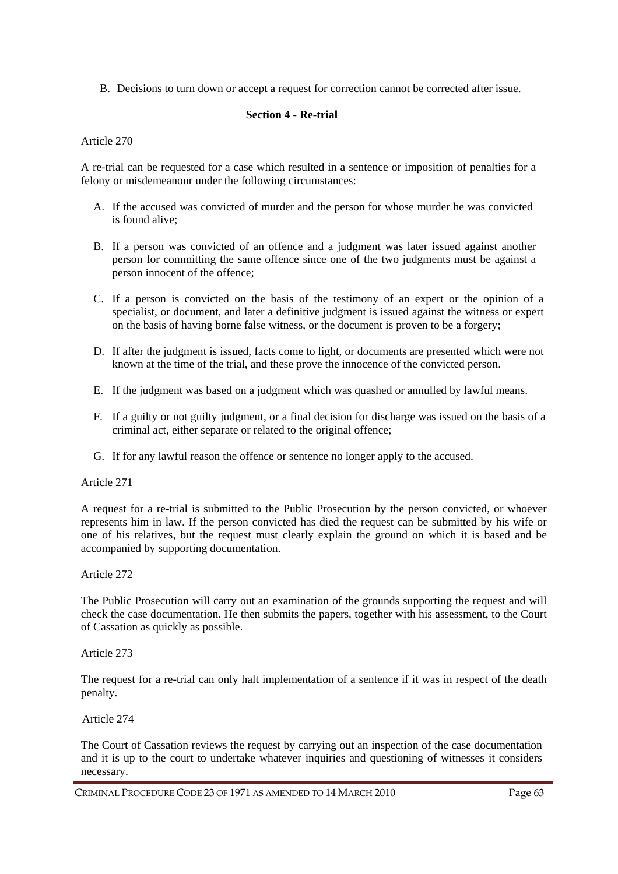B. Decisions to turn down or accept a request for correction cannot be corrected after issue.

# **Section 4 - Re-trial**

Article 270

A re-trial can be requested for a case which resulted in a sentence or imposition of penalties for a felony or misdemeanour under the following circumstances:

- A. If the accused was convicted of murder and the person for whose murder he was convicted is found alive;
- B. If a person was convicted of an offence and a judgment was later issued against another person for committing the same offence since one of the two judgments must be against a person innocent of the offence;
- C. If a person is convicted on the basis of the testimony of an expert or the opinion of a specialist, or document, and later a definitive judgment is issued against the witness or expert on the basis of having borne false witness, or the document is proven to be a forgery;
- D. If after the judgment is issued, facts come to light, or documents are presented which were not known at the time of the trial, and these prove the innocence of the convicted person.
- E. If the judgment was based on a judgment which was quashed or annulled by lawful means.
- F. If a guilty or not guilty judgment, or a final decision for discharge was issued on the basis of a criminal act, either separate or related to the original offence;
- G. If for any lawful reason the offence or sentence no longer apply to the accused.

### Article 271

A request for a re-trial is submitted to the Public Prosecution by the person convicted, or whoever represents him in law. If the person convicted has died the request can be submitted by his wife or one of his relatives, but the request must clearly explain the ground on which it is based and be accompanied by supporting documentation.

### Article 272

The Public Prosecution will carry out an examination of the grounds supporting the request and will check the case documentation. He then submits the papers, together with his assessment, to the Court of Cassation as quickly as possible.

Article 273

The request for a re-trial can only halt implementation of a sentence if it was in respect of the death penalty.

Article 274

The Court of Cassation reviews the request by carrying out an inspection of the case documentation and it is up to the court to undertake whatever inquiries and questioning of witnesses it considers necessary.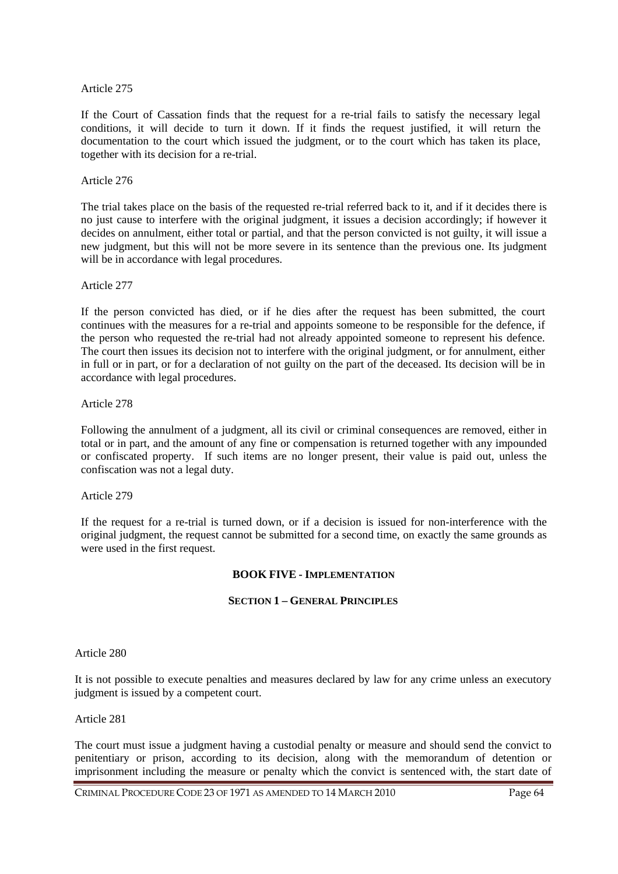If the Court of Cassation finds that the request for a re-trial fails to satisfy the necessary legal conditions, it will decide to turn it down. If it finds the request justified, it will return the documentation to the court which issued the judgment, or to the court which has taken its place, together with its decision for a re-trial.

#### Article 276

The trial takes place on the basis of the requested re-trial referred back to it, and if it decides there is no just cause to interfere with the original judgment, it issues a decision accordingly; if however it decides on annulment, either total or partial, and that the person convicted is not guilty, it will issue a new judgment, but this will not be more severe in its sentence than the previous one. Its judgment will be in accordance with legal procedures.

Article 277

If the person convicted has died, or if he dies after the request has been submitted, the court continues with the measures for a re-trial and appoints someone to be responsible for the defence, if the person who requested the re-trial had not already appointed someone to represent his defence. The court then issues its decision not to interfere with the original judgment, or for annulment, either in full or in part, or for a declaration of not guilty on the part of the deceased. Its decision will be in accordance with legal procedures.

Article 278

Following the annulment of a judgment, all its civil or criminal consequences are removed, either in total or in part, and the amount of any fine or compensation is returned together with any impounded or confiscated property. If such items are no longer present, their value is paid out, unless the confiscation was not a legal duty.

### Article 279

If the request for a re-trial is turned down, or if a decision is issued for non-interference with the original judgment, the request cannot be submitted for a second time, on exactly the same grounds as were used in the first request.

### **BOOK FIVE - IMPLEMENTATION**

### **SECTION 1 – GENERAL PRINCIPLES**

Article 280

It is not possible to execute penalties and measures declared by law for any crime unless an executory judgment is issued by a competent court.

#### Article 281

The court must issue a judgment having a custodial penalty or measure and should send the convict to penitentiary or prison, according to its decision, along with the memorandum of detention or imprisonment including the measure or penalty which the convict is sentenced with, the start date of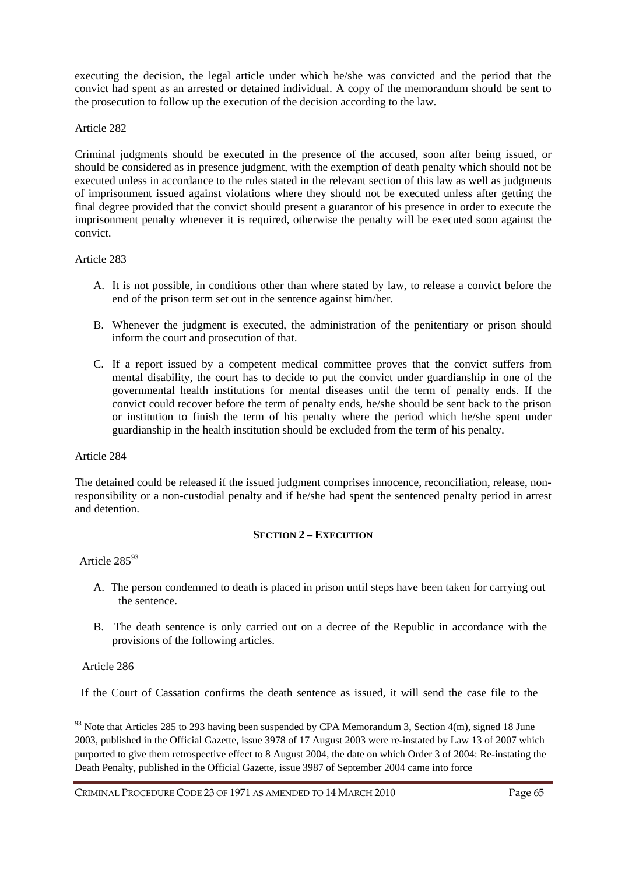executing the decision, the legal article under which he/she was convicted and the period that the convict had spent as an arrested or detained individual. A copy of the memorandum should be sent to the prosecution to follow up the execution of the decision according to the law.

## Article 282

Criminal judgments should be executed in the presence of the accused, soon after being issued, or should be considered as in presence judgment, with the exemption of death penalty which should not be executed unless in accordance to the rules stated in the relevant section of this law as well as judgments of imprisonment issued against violations where they should not be executed unless after getting the final degree provided that the convict should present a guarantor of his presence in order to execute the imprisonment penalty whenever it is required, otherwise the penalty will be executed soon against the convict.

## Article 283

- A. It is not possible, in conditions other than where stated by law, to release a convict before the end of the prison term set out in the sentence against him/her.
- B. Whenever the judgment is executed, the administration of the penitentiary or prison should inform the court and prosecution of that.
- C. If a report issued by a competent medical committee proves that the convict suffers from mental disability, the court has to decide to put the convict under guardianship in one of the governmental health institutions for mental diseases until the term of penalty ends. If the convict could recover before the term of penalty ends, he/she should be sent back to the prison or institution to finish the term of his penalty where the period which he/she spent under guardianship in the health institution should be excluded from the term of his penalty.

### Article 284

The detained could be released if the issued judgment comprises innocence, reconciliation, release, nonresponsibility or a non-custodial penalty and if he/she had spent the sentenced penalty period in arrest and detention.

# **SECTION 2 – EXECUTION**

# Article 285<sup>93</sup>

- A. The person condemned to death is placed in prison until steps have been taken for carrying out the sentence.
- B. The death sentence is only carried out on a decree of the Republic in accordance with the provisions of the following articles.

# Article 286

 $\overline{a}$ 

If the Court of Cassation confirms the death sentence as issued, it will send the case file to the

 $93$  Note that Articles 285 to 293 having been suspended by CPA Memorandum 3, Section 4(m), signed 18 June 2003, published in the Official Gazette, issue 3978 of 17 August 2003 were re-instated by Law 13 of 2007 which purported to give them retrospective effect to 8 August 2004, the date on which Order 3 of 2004: Re-instating the Death Penalty, published in the Official Gazette, issue 3987 of September 2004 came into force

CRIMINAL PROCEDURE CODE 23 OF 1971 AS AMENDED TO 14 MARCH 2010 Page 65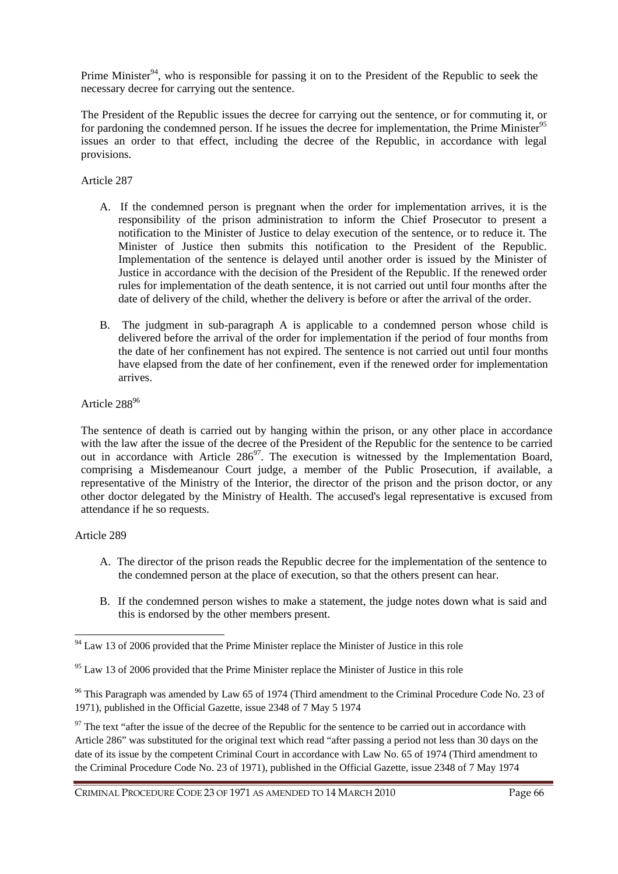Prime Minister<sup>94</sup>, who is responsible for passing it on to the President of the Republic to seek the necessary decree for carrying out the sentence.

The President of the Republic issues the decree for carrying out the sentence, or for commuting it, or for pardoning the condemned person. If he issues the decree for implementation, the Prime Minister<sup>95</sup> issues an order to that effect, including the decree of the Republic, in accordance with legal provisions.

## Article 287

- A. If the condemned person is pregnant when the order for implementation arrives, it is the responsibility of the prison administration to inform the Chief Prosecutor to present a notification to the Minister of Justice to delay execution of the sentence, or to reduce it. The Minister of Justice then submits this notification to the President of the Republic. Implementation of the sentence is delayed until another order is issued by the Minister of Justice in accordance with the decision of the President of the Republic. If the renewed order rules for implementation of the death sentence, it is not carried out until four months after the date of delivery of the child, whether the delivery is before or after the arrival of the order.
- B. The judgment in sub-paragraph A is applicable to a condemned person whose child is delivered before the arrival of the order for implementation if the period of four months from the date of her confinement has not expired. The sentence is not carried out until four months have elapsed from the date of her confinement, even if the renewed order for implementation arrives.

## Article 288<sup>96</sup>

The sentence of death is carried out by hanging within the prison, or any other place in accordance with the law after the issue of the decree of the President of the Republic for the sentence to be carried out in accordance with Article  $286^{97}$ . The execution is witnessed by the Implementation Board, comprising a Misdemeanour Court judge, a member of the Public Prosecution, if available, a representative of the Ministry of the Interior, the director of the prison and the prison doctor, or any other doctor delegated by the Ministry of Health. The accused's legal representative is excused from attendance if he so requests.

### Article 289

 $\overline{a}$ 

- A. The director of the prison reads the Republic decree for the implementation of the sentence to the condemned person at the place of execution, so that the others present can hear.
- B. If the condemned person wishes to make a statement, the judge notes down what is said and this is endorsed by the other members present.

<sup>96</sup> This Paragraph was amended by Law 65 of 1974 (Third amendment to the Criminal Procedure Code No. 23 of 1971), published in the Official Gazette, issue 2348 of 7 May 5 1974

 $97$  The text "after the issue of the decree of the Republic for the sentence to be carried out in accordance with Article 286" was substituted for the original text which read "after passing a period not less than 30 days on the date of its issue by the competent Criminal Court in accordance with Law No. 65 of 1974 (Third amendment to the Criminal Procedure Code No. 23 of 1971), published in the Official Gazette, issue 2348 of 7 May 1974

 $94$  Law 13 of 2006 provided that the Prime Minister replace the Minister of Justice in this role

 $95$  Law 13 of 2006 provided that the Prime Minister replace the Minister of Justice in this role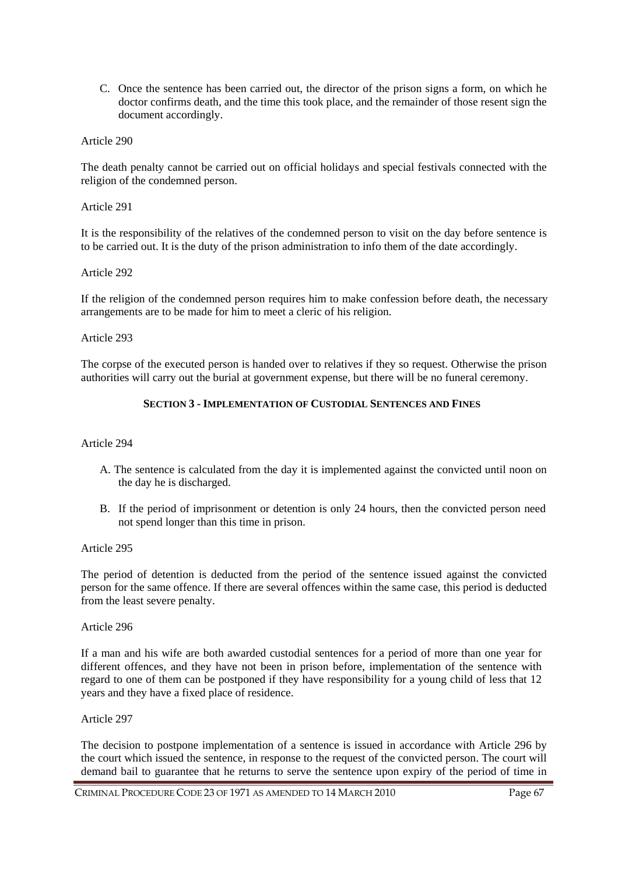C. Once the sentence has been carried out, the director of the prison signs a form, on which he doctor confirms death, and the time this took place, and the remainder of those resent sign the document accordingly.

### Article 290

The death penalty cannot be carried out on official holidays and special festivals connected with the religion of the condemned person.

Article 291

It is the responsibility of the relatives of the condemned person to visit on the day before sentence is to be carried out. It is the duty of the prison administration to info them of the date accordingly.

### Article 292

If the religion of the condemned person requires him to make confession before death, the necessary arrangements are to be made for him to meet a cleric of his religion.

### Article 293

The corpse of the executed person is handed over to relatives if they so request. Otherwise the prison authorities will carry out the burial at government expense, but there will be no funeral ceremony.

## **SECTION 3 - IMPLEMENTATION OF CUSTODIAL SENTENCES AND FINES**

### Article 294

- A. The sentence is calculated from the day it is implemented against the convicted until noon on the day he is discharged.
- B. If the period of imprisonment or detention is only 24 hours, then the convicted person need not spend longer than this time in prison.

Article 295

The period of detention is deducted from the period of the sentence issued against the convicted person for the same offence. If there are several offences within the same case, this period is deducted from the least severe penalty.

### Article 296

If a man and his wife are both awarded custodial sentences for a period of more than one year for different offences, and they have not been in prison before, implementation of the sentence with regard to one of them can be postponed if they have responsibility for a young child of less that 12 years and they have a fixed place of residence.

### Article 297

The decision to postpone implementation of a sentence is issued in accordance with Article 296 by the court which issued the sentence, in response to the request of the convicted person. The court will demand bail to guarantee that he returns to serve the sentence upon expiry of the period of time in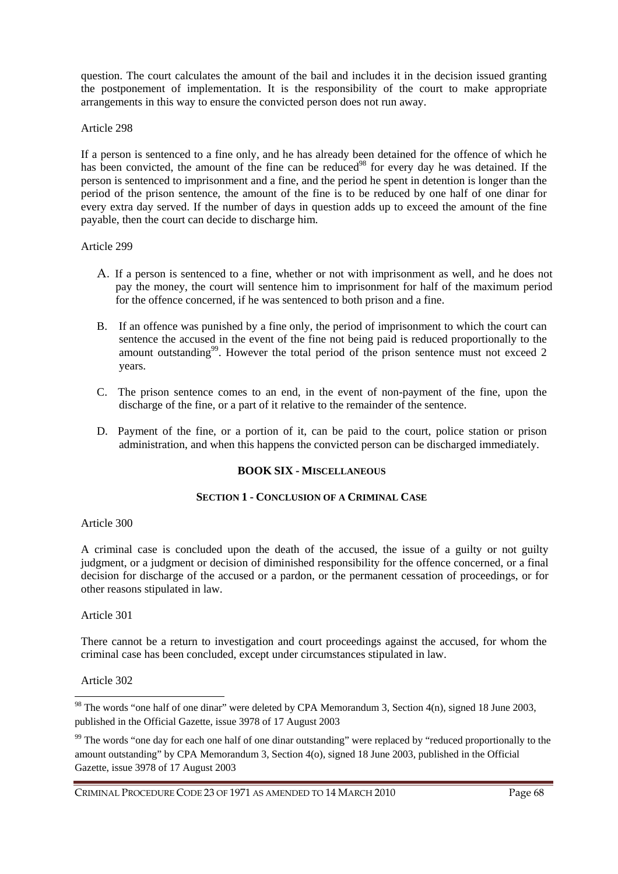question. The court calculates the amount of the bail and includes it in the decision issued granting the postponement of implementation. It is the responsibility of the court to make appropriate arrangements in this way to ensure the convicted person does not run away.

### Article 298

If a person is sentenced to a fine only, and he has already been detained for the offence of which he has been convicted, the amount of the fine can be reduced<sup>98</sup> for every day he was detained. If the person is sentenced to imprisonment and a fine, and the period he spent in detention is longer than the period of the prison sentence, the amount of the fine is to be reduced by one half of one dinar for every extra day served. If the number of days in question adds up to exceed the amount of the fine payable, then the court can decide to discharge him.

### Article 299

- A. If a person is sentenced to a fine, whether or not with imprisonment as well, and he does not pay the money, the court will sentence him to imprisonment for half of the maximum period for the offence concerned, if he was sentenced to both prison and a fine.
- B. If an offence was punished by a fine only, the period of imprisonment to which the court can sentence the accused in the event of the fine not being paid is reduced proportionally to the amount outstanding<sup>99</sup>. However the total period of the prison sentence must not exceed 2 years.
- C. The prison sentence comes to an end, in the event of non-payment of the fine, upon the discharge of the fine, or a part of it relative to the remainder of the sentence.
- D. Payment of the fine, or a portion of it, can be paid to the court, police station or prison administration, and when this happens the convicted person can be discharged immediately.

# **BOOK SIX - MISCELLANEOUS**

## **SECTION 1 - CONCLUSION OF A CRIMINAL CASE**

### Article 300

A criminal case is concluded upon the death of the accused, the issue of a guilty or not guilty judgment, or a judgment or decision of diminished responsibility for the offence concerned, or a final decision for discharge of the accused or a pardon, or the permanent cessation of proceedings, or for other reasons stipulated in law.

Article 301

There cannot be a return to investigation and court proceedings against the accused, for whom the criminal case has been concluded, except under circumstances stipulated in law.

### Article 302

 $\overline{a}$ 

CRIMINAL PROCEDURE CODE 23 OF 1971 AS AMENDED TO 14 MARCH 2010 Page 68

<sup>&</sup>lt;sup>98</sup> The words "one half of one dinar" were deleted by CPA Memorandum 3, Section 4(n), signed 18 June 2003, published in the Official Gazette, issue 3978 of 17 August 2003

<sup>&</sup>lt;sup>99</sup> The words "one day for each one half of one dinar outstanding" were replaced by "reduced proportionally to the amount outstanding" by CPA Memorandum 3, Section 4(o), signed 18 June 2003, published in the Official Gazette, issue 3978 of 17 August 2003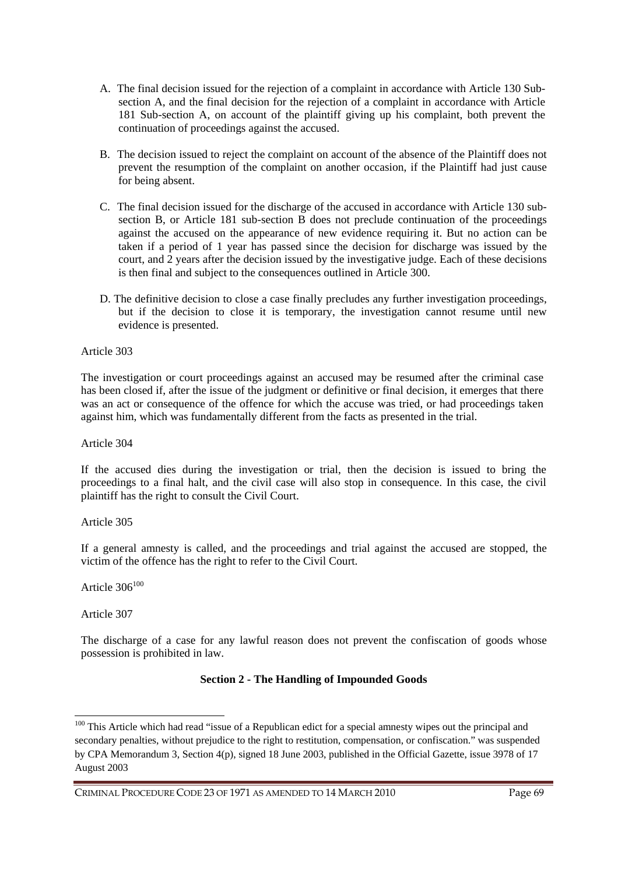- A. The final decision issued for the rejection of a complaint in accordance with Article 130 Subsection A, and the final decision for the rejection of a complaint in accordance with Article 181 Sub-section A, on account of the plaintiff giving up his complaint, both prevent the continuation of proceedings against the accused.
- B. The decision issued to reject the complaint on account of the absence of the Plaintiff does not prevent the resumption of the complaint on another occasion, if the Plaintiff had just cause for being absent.
- C. The final decision issued for the discharge of the accused in accordance with Article 130 subsection B, or Article 181 sub-section B does not preclude continuation of the proceedings against the accused on the appearance of new evidence requiring it. But no action can be taken if a period of 1 year has passed since the decision for discharge was issued by the court, and 2 years after the decision issued by the investigative judge. Each of these decisions is then final and subject to the consequences outlined in Article 300.
- D. The definitive decision to close a case finally precludes any further investigation proceedings, but if the decision to close it is temporary, the investigation cannot resume until new evidence is presented.

The investigation or court proceedings against an accused may be resumed after the criminal case has been closed if, after the issue of the judgment or definitive or final decision, it emerges that there was an act or consequence of the offence for which the accuse was tried, or had proceedings taken against him, which was fundamentally different from the facts as presented in the trial.

Article 304

If the accused dies during the investigation or trial, then the decision is issued to bring the proceedings to a final halt, and the civil case will also stop in consequence. In this case, the civil plaintiff has the right to consult the Civil Court.

Article 305

If a general amnesty is called, and the proceedings and trial against the accused are stopped, the victim of the offence has the right to refer to the Civil Court.

Article  $306^{100}$ 

Article 307

 $\overline{a}$ 

The discharge of a case for any lawful reason does not prevent the confiscation of goods whose possession is prohibited in law.

### **Section 2 - The Handling of Impounded Goods**

<sup>&</sup>lt;sup>100</sup> This Article which had read "issue of a Republican edict for a special amnesty wipes out the principal and secondary penalties, without prejudice to the right to restitution, compensation, or confiscation." was suspended by CPA Memorandum 3, Section 4(p), signed 18 June 2003, published in the Official Gazette, issue 3978 of 17 August 2003

CRIMINAL PROCEDURE CODE 23 OF 1971 AS AMENDED TO 14 MARCH 2010 Page 69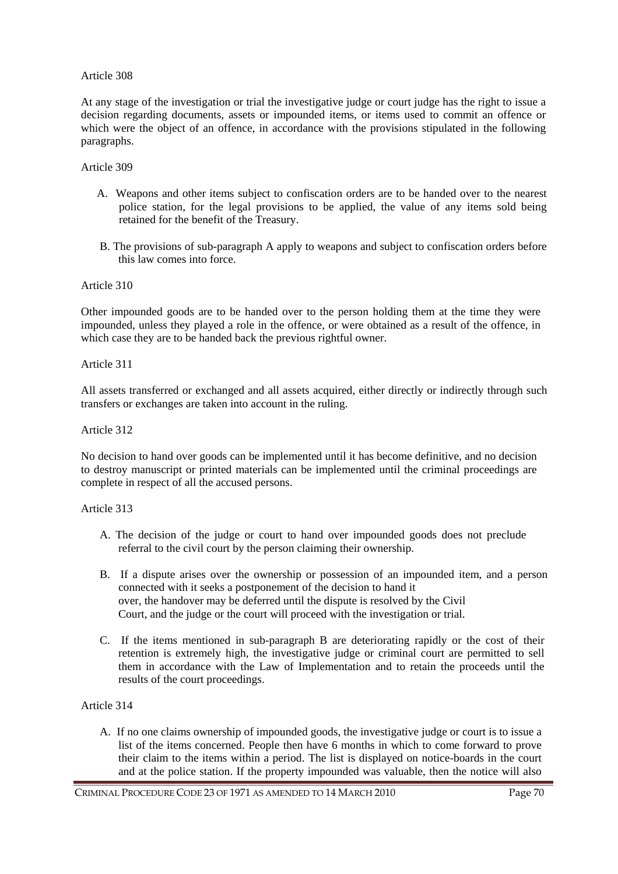At any stage of the investigation or trial the investigative judge or court judge has the right to issue a decision regarding documents, assets or impounded items, or items used to commit an offence or which were the object of an offence, in accordance with the provisions stipulated in the following paragraphs.

## Article 309

- A. Weapons and other items subject to confiscation orders are to be handed over to the nearest police station, for the legal provisions to be applied, the value of any items sold being retained for the benefit of the Treasury.
- B. The provisions of sub-paragraph A apply to weapons and subject to confiscation orders before this law comes into force.

### Article 310

Other impounded goods are to be handed over to the person holding them at the time they were impounded, unless they played a role in the offence, or were obtained as a result of the offence, in which case they are to be handed back the previous rightful owner.

### Article 311

All assets transferred or exchanged and all assets acquired, either directly or indirectly through such transfers or exchanges are taken into account in the ruling.

## Article 312

No decision to hand over goods can be implemented until it has become definitive, and no decision to destroy manuscript or printed materials can be implemented until the criminal proceedings are complete in respect of all the accused persons.

### Article 313

- A. The decision of the judge or court to hand over impounded goods does not preclude referral to the civil court by the person claiming their ownership.
- B. If a dispute arises over the ownership or possession of an impounded item, and a person connected with it seeks a postponement of the decision to hand it over, the handover may be deferred until the dispute is resolved by the Civil Court, and the judge or the court will proceed with the investigation or trial.
- C. If the items mentioned in sub-paragraph B are deteriorating rapidly or the cost of their retention is extremely high, the investigative judge or criminal court are permitted to sell them in accordance with the Law of Implementation and to retain the proceeds until the results of the court proceedings.

# Article 314

A. If no one claims ownership of impounded goods, the investigative judge or court is to issue a list of the items concerned. People then have 6 months in which to come forward to prove their claim to the items within a period. The list is displayed on notice-boards in the court and at the police station. If the property impounded was valuable, then the notice will also

CRIMINAL PROCEDURE CODE 23 OF 1971 AS AMENDED TO 14 MARCH 2010 Page 70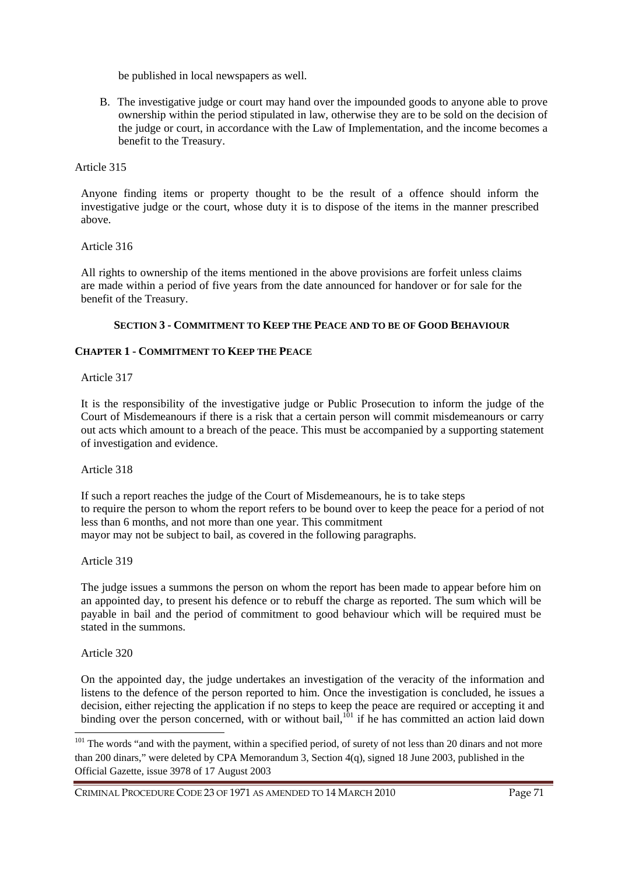be published in local newspapers as well.

B. The investigative judge or court may hand over the impounded goods to anyone able to prove ownership within the period stipulated in law, otherwise they are to be sold on the decision of the judge or court, in accordance with the Law of Implementation, and the income becomes a benefit to the Treasury.

Article 315

Anyone finding items or property thought to be the result of a offence should inform the investigative judge or the court, whose duty it is to dispose of the items in the manner prescribed above.

Article 316

All rights to ownership of the items mentioned in the above provisions are forfeit unless claims are made within a period of five years from the date announced for handover or for sale for the benefit of the Treasury.

## **SECTION 3 - COMMITMENT TO KEEP THE PEACE AND TO BE OF GOOD BEHAVIOUR**

### **CHAPTER 1 - COMMITMENT TO KEEP THE PEACE**

Article 317

It is the responsibility of the investigative judge or Public Prosecution to inform the judge of the Court of Misdemeanours if there is a risk that a certain person will commit misdemeanours or carry out acts which amount to a breach of the peace. This must be accompanied by a supporting statement of investigation and evidence.

Article 318

If such a report reaches the judge of the Court of Misdemeanours, he is to take steps to require the person to whom the report refers to be bound over to keep the peace for a period of not less than 6 months, and not more than one year. This commitment mayor may not be subject to bail, as covered in the following paragraphs.

Article 319

The judge issues a summons the person on whom the report has been made to appear before him on an appointed day, to present his defence or to rebuff the charge as reported. The sum which will be payable in bail and the period of commitment to good behaviour which will be required must be stated in the summons.

Article 320

 $\overline{a}$ 

On the appointed day, the judge undertakes an investigation of the veracity of the information and listens to the defence of the person reported to him. Once the investigation is concluded, he issues a decision, either rejecting the application if no steps to keep the peace are required or accepting it and binding over the person concerned, with or without bail, $101$  if he has committed an action laid down

CRIMINAL PROCEDURE CODE 23 OF 1971 AS AMENDED TO 14 MARCH 2010 Page 71

<sup>&</sup>lt;sup>101</sup> The words "and with the payment, within a specified period, of surety of not less than 20 dinars and not more than 200 dinars," were deleted by CPA Memorandum 3, Section 4(q), signed 18 June 2003, published in the Official Gazette, issue 3978 of 17 August 2003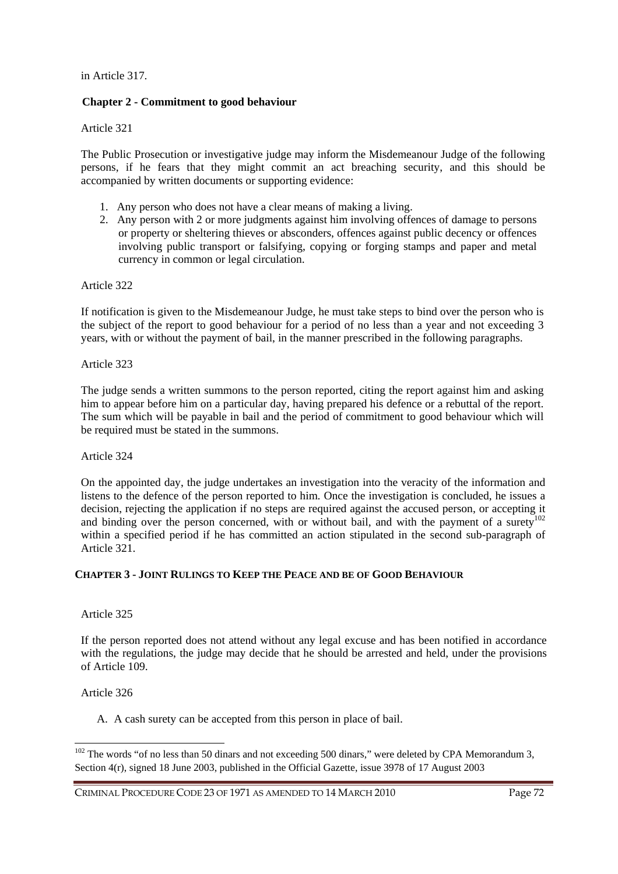in Article 317.

# **Chapter 2 - Commitment to good behaviour**

Article 321

The Public Prosecution or investigative judge may inform the Misdemeanour Judge of the following persons, if he fears that they might commit an act breaching security, and this should be accompanied by written documents or supporting evidence:

- 1. Any person who does not have a clear means of making a living.
- 2. Any person with 2 or more judgments against him involving offences of damage to persons or property or sheltering thieves or absconders, offences against public decency or offences involving public transport or falsifying, copying or forging stamps and paper and metal currency in common or legal circulation.

Article 322

If notification is given to the Misdemeanour Judge, he must take steps to bind over the person who is the subject of the report to good behaviour for a period of no less than a year and not exceeding 3 years, with or without the payment of bail, in the manner prescribed in the following paragraphs.

Article 323

The judge sends a written summons to the person reported, citing the report against him and asking him to appear before him on a particular day, having prepared his defence or a rebuttal of the report. The sum which will be payable in bail and the period of commitment to good behaviour which will be required must be stated in the summons.

Article 324

On the appointed day, the judge undertakes an investigation into the veracity of the information and listens to the defence of the person reported to him. Once the investigation is concluded, he issues a decision, rejecting the application if no steps are required against the accused person, or accepting it and binding over the person concerned, with or without bail, and with the payment of a surety<sup>102</sup> within a specified period if he has committed an action stipulated in the second sub-paragraph of Article 321.

# **CHAPTER 3 - JOINT RULINGS TO KEEP THE PEACE AND BE OF GOOD BEHAVIOUR**

### Article 325

If the person reported does not attend without any legal excuse and has been notified in accordance with the regulations, the judge may decide that he should be arrested and held, under the provisions of Article 109.

Article 326

 $\overline{a}$ 

A. A cash surety can be accepted from this person in place of bail.

<sup>&</sup>lt;sup>102</sup> The words "of no less than 50 dinars and not exceeding 500 dinars," were deleted by CPA Memorandum 3, Section 4(r), signed 18 June 2003, published in the Official Gazette, issue 3978 of 17 August 2003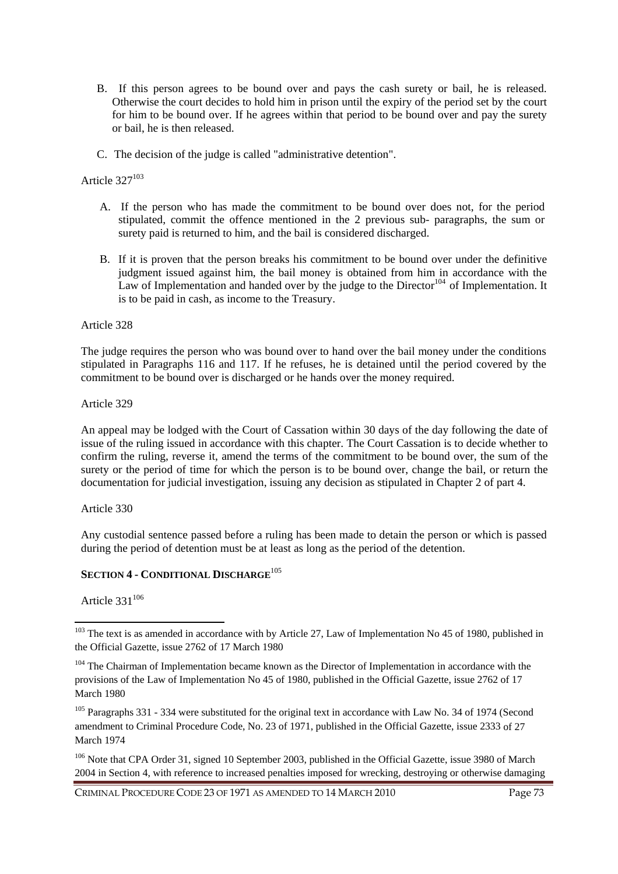- B. If this person agrees to be bound over and pays the cash surety or bail, he is released. Otherwise the court decides to hold him in prison until the expiry of the period set by the court for him to be bound over. If he agrees within that period to be bound over and pay the surety or bail, he is then released.
- C. The decision of the judge is called "administrative detention".

## Article 327<sup>103</sup>

- A. If the person who has made the commitment to be bound over does not, for the period stipulated, commit the offence mentioned in the 2 previous sub- paragraphs, the sum or surety paid is returned to him, and the bail is considered discharged.
- B. If it is proven that the person breaks his commitment to be bound over under the definitive judgment issued against him, the bail money is obtained from him in accordance with the Law of Implementation and handed over by the judge to the Director<sup>104</sup> of Implementation. It is to be paid in cash, as income to the Treasury.

#### Article 328

The judge requires the person who was bound over to hand over the bail money under the conditions stipulated in Paragraphs 116 and 117. If he refuses, he is detained until the period covered by the commitment to be bound over is discharged or he hands over the money required.

Article 329

An appeal may be lodged with the Court of Cassation within 30 days of the day following the date of issue of the ruling issued in accordance with this chapter. The Court Cassation is to decide whether to confirm the ruling, reverse it, amend the terms of the commitment to be bound over, the sum of the surety or the period of time for which the person is to be bound over, change the bail, or return the documentation for judicial investigation, issuing any decision as stipulated in Chapter 2 of part 4.

Article 330

Any custodial sentence passed before a ruling has been made to detain the person or which is passed during the period of detention must be at least as long as the period of the detention.

# **SECTION 4 - CONDITIONAL DISCHARGE**<sup>105</sup>

Article  $331^{106}$ 

<sup>&</sup>lt;sup>103</sup> The text is as amended in accordance with by Article 27, Law of Implementation No 45 of 1980, published in the Official Gazette, issue 2762 of 17 March 1980

<sup>&</sup>lt;sup>104</sup> The Chairman of Implementation became known as the Director of Implementation in accordance with the provisions of the Law of Implementation No 45 of 1980, published in the Official Gazette, issue 2762 of 17 March 1980

<sup>&</sup>lt;sup>105</sup> Paragraphs 331 - 334 were substituted for the original text in accordance with Law No. 34 of 1974 (Second amendment to Criminal Procedure Code, No. 23 of 1971, published in the Official Gazette, issue 2333 of 27 March 1974

<sup>&</sup>lt;sup>106</sup> Note that CPA Order 31, signed 10 September 2003, published in the Official Gazette, issue 3980 of March 2004 in Section 4, with reference to increased penalties imposed for wrecking, destroying or otherwise damaging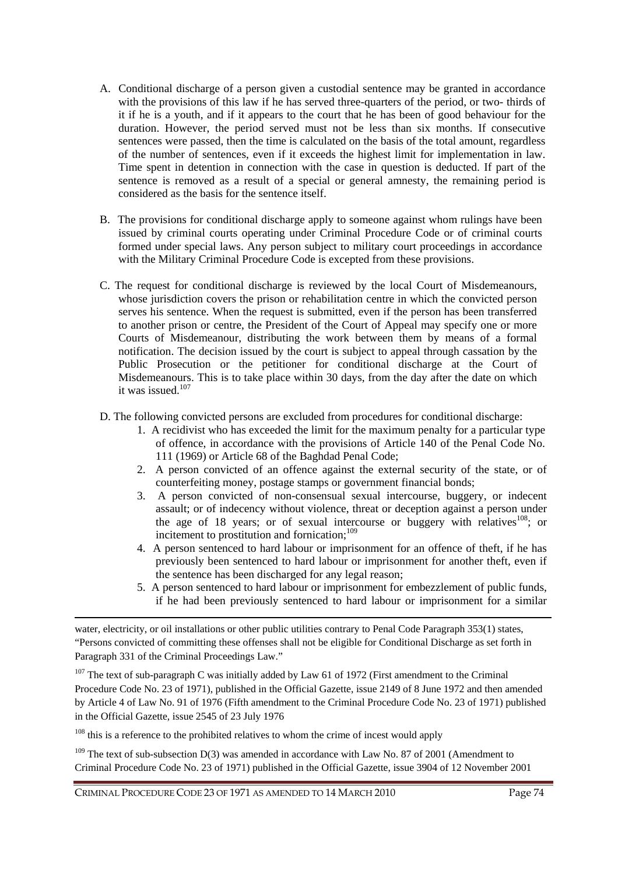- A. Conditional discharge of a person given a custodial sentence may be granted in accordance with the provisions of this law if he has served three-quarters of the period, or two- thirds of it if he is a youth, and if it appears to the court that he has been of good behaviour for the duration. However, the period served must not be less than six months. If consecutive sentences were passed, then the time is calculated on the basis of the total amount, regardless of the number of sentences, even if it exceeds the highest limit for implementation in law. Time spent in detention in connection with the case in question is deducted. If part of the sentence is removed as a result of a special or general amnesty, the remaining period is considered as the basis for the sentence itself.
- B. The provisions for conditional discharge apply to someone against whom rulings have been issued by criminal courts operating under Criminal Procedure Code or of criminal courts formed under special laws. Any person subject to military court proceedings in accordance with the Military Criminal Procedure Code is excepted from these provisions.
- C. The request for conditional discharge is reviewed by the local Court of Misdemeanours, whose jurisdiction covers the prison or rehabilitation centre in which the convicted person serves his sentence. When the request is submitted, even if the person has been transferred to another prison or centre, the President of the Court of Appeal may specify one or more Courts of Misdemeanour, distributing the work between them by means of a formal notification. The decision issued by the court is subject to appeal through cassation by the Public Prosecution or the petitioner for conditional discharge at the Court of Misdemeanours. This is to take place within 30 days, from the day after the date on which it was issued.<sup>107</sup>
- D. The following convicted persons are excluded from procedures for conditional discharge:
	- 1. A recidivist who has exceeded the limit for the maximum penalty for a particular type of offence, in accordance with the provisions of Article 140 of the Penal Code No. 111 (1969) or Article 68 of the Baghdad Penal Code;
	- 2. A person convicted of an offence against the external security of the state, or of counterfeiting money, postage stamps or government financial bonds;
	- 3. A person convicted of non-consensual sexual intercourse, buggery, or indecent assault; or of indecency without violence, threat or deception against a person under the age of 18 years; or of sexual intercourse or buggery with relatives<sup>108</sup>; or incitement to prostitution and fornication; $109$
	- 4. A person sentenced to hard labour or imprisonment for an offence of theft, if he has previously been sentenced to hard labour or imprisonment for another theft, even if the sentence has been discharged for any legal reason;
	- 5. A person sentenced to hard labour or imprisonment for embezzlement of public funds, if he had been previously sentenced to hard labour or imprisonment for a similar

<sup>107</sup> The text of sub-paragraph C was initially added by Law 61 of 1972 (First amendment to the Criminal Procedure Code No. 23 of 1971), published in the Official Gazette, issue 2149 of 8 June 1972 and then amended by Article 4 of Law No. 91 of 1976 (Fifth amendment to the Criminal Procedure Code No. 23 of 1971) published in the Official Gazette, issue 2545 of 23 July 1976

<sup>108</sup> this is a reference to the prohibited relatives to whom the crime of incest would apply

<sup>109</sup> The text of sub-subsection D(3) was amended in accordance with Law No. 87 of 2001 (Amendment to Criminal Procedure Code No. 23 of 1971) published in the Official Gazette, issue 3904 of 12 November 2001

CRIMINAL PROCEDURE CODE 23 OF 1971 AS AMENDED TO 14 MARCH 2010 Page 74

water, electricity, or oil installations or other public utilities contrary to Penal Code Paragraph 353(1) states, "Persons convicted of committing these offenses shall not be eligible for Conditional Discharge as set forth in Paragraph 331 of the Criminal Proceedings Law."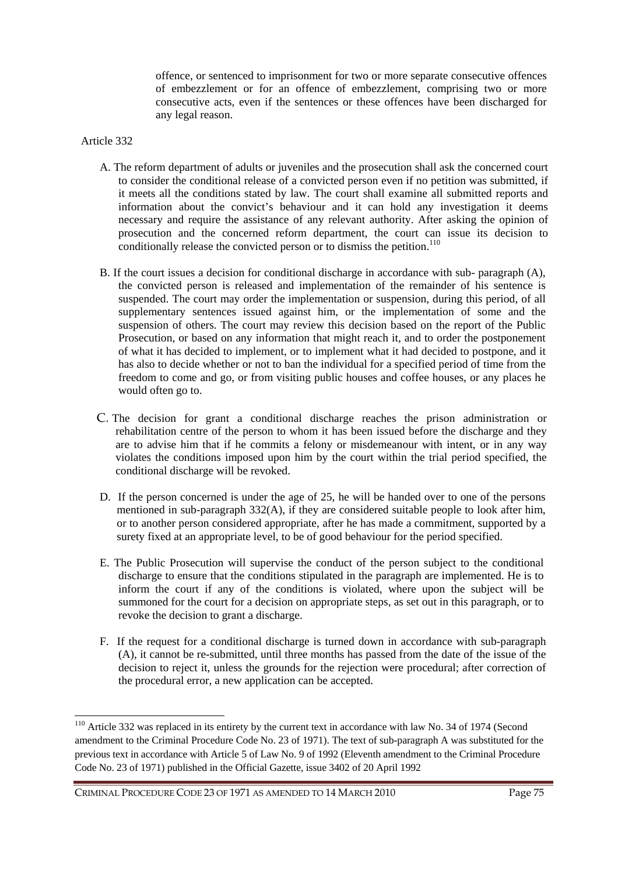offence, or sentenced to imprisonment for two or more separate consecutive offences of embezzlement or for an offence of embezzlement, comprising two or more consecutive acts, even if the sentences or these offences have been discharged for any legal reason.

### Article 332

- A. The reform department of adults or juveniles and the prosecution shall ask the concerned court to consider the conditional release of a convicted person even if no petition was submitted, if it meets all the conditions stated by law. The court shall examine all submitted reports and information about the convict's behaviour and it can hold any investigation it deems necessary and require the assistance of any relevant authority. After asking the opinion of prosecution and the concerned reform department, the court can issue its decision to conditionally release the convicted person or to dismiss the petition.<sup>110</sup>
- B. If the court issues a decision for conditional discharge in accordance with sub- paragraph (A), the convicted person is released and implementation of the remainder of his sentence is suspended. The court may order the implementation or suspension, during this period, of all supplementary sentences issued against him, or the implementation of some and the suspension of others. The court may review this decision based on the report of the Public Prosecution, or based on any information that might reach it, and to order the postponement of what it has decided to implement, or to implement what it had decided to postpone, and it has also to decide whether or not to ban the individual for a specified period of time from the freedom to come and go, or from visiting public houses and coffee houses, or any places he would often go to.
- C. The decision for grant a conditional discharge reaches the prison administration or rehabilitation centre of the person to whom it has been issued before the discharge and they are to advise him that if he commits a felony or misdemeanour with intent, or in any way violates the conditions imposed upon him by the court within the trial period specified, the conditional discharge will be revoked.
- D. If the person concerned is under the age of 25, he will be handed over to one of the persons mentioned in sub-paragraph  $332(A)$ , if they are considered suitable people to look after him. or to another person considered appropriate, after he has made a commitment, supported by a surety fixed at an appropriate level, to be of good behaviour for the period specified.
- E. The Public Prosecution will supervise the conduct of the person subject to the conditional discharge to ensure that the conditions stipulated in the paragraph are implemented. He is to inform the court if any of the conditions is violated, where upon the subject will be summoned for the court for a decision on appropriate steps, as set out in this paragraph, or to revoke the decision to grant a discharge.
- F. If the request for a conditional discharge is turned down in accordance with sub-paragraph (A), it cannot be re-submitted, until three months has passed from the date of the issue of the decision to reject it, unless the grounds for the rejection were procedural; after correction of the procedural error, a new application can be accepted.

<sup>&</sup>lt;sup>110</sup> Article 332 was replaced in its entirety by the current text in accordance with law No. 34 of 1974 (Second amendment to the Criminal Procedure Code No. 23 of 1971). The text of sub-paragraph A was substituted for the previous text in accordance with Article 5 of Law No. 9 of 1992 (Eleventh amendment to the Criminal Procedure Code No. 23 of 1971) published in the Official Gazette, issue 3402 of 20 April 1992

CRIMINAL PROCEDURE CODE 23 OF 1971 AS AMENDED TO 14 MARCH 2010 Page 75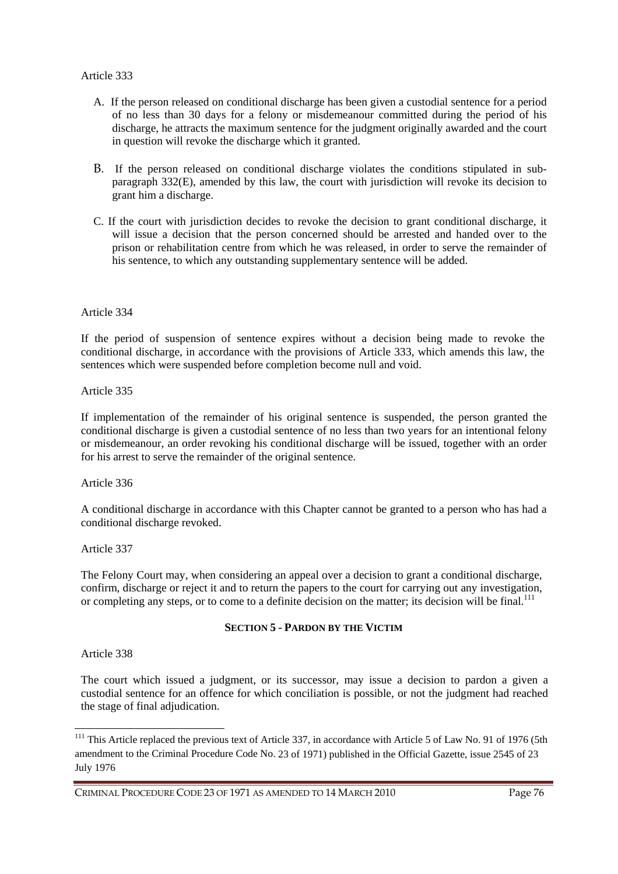- A. If the person released on conditional discharge has been given a custodial sentence for a period of no less than 30 days for a felony or misdemeanour committed during the period of his discharge, he attracts the maximum sentence for the judgment originally awarded and the court in question will revoke the discharge which it granted.
- B. If the person released on conditional discharge violates the conditions stipulated in subparagraph 332(E), amended by this law, the court with jurisdiction will revoke its decision to grant him a discharge.
- C. If the court with jurisdiction decides to revoke the decision to grant conditional discharge, it will issue a decision that the person concerned should be arrested and handed over to the prison or rehabilitation centre from which he was released, in order to serve the remainder of his sentence, to which any outstanding supplementary sentence will be added.

## Article 334

If the period of suspension of sentence expires without a decision being made to revoke the conditional discharge, in accordance with the provisions of Article 333, which amends this law, the sentences which were suspended before completion become null and void.

Article 335

If implementation of the remainder of his original sentence is suspended, the person granted the conditional discharge is given a custodial sentence of no less than two years for an intentional felony or misdemeanour, an order revoking his conditional discharge will be issued, together with an order for his arrest to serve the remainder of the original sentence.

Article 336

A conditional discharge in accordance with this Chapter cannot be granted to a person who has had a conditional discharge revoked.

Article 337

The Felony Court may, when considering an appeal over a decision to grant a conditional discharge, confirm, discharge or reject it and to return the papers to the court for carrying out any investigation, or completing any steps, or to come to a definite decision on the matter; its decision will be final.<sup>111</sup>

#### **SECTION 5 - PARDON BY THE VICTIM**

Article 338

 $\overline{a}$ 

The court which issued a judgment, or its successor, may issue a decision to pardon a given a custodial sentence for an offence for which conciliation is possible, or not the judgment had reached the stage of final adjudication.

<sup>&</sup>lt;sup>111</sup> This Article replaced the previous text of Article 337, in accordance with Article 5 of Law No. 91 of 1976 (5th amendment to the Criminal Procedure Code No. 23 of 1971) published in the Official Gazette, issue 2545 of 23 July 1976

CRIMINAL PROCEDURE CODE 23 OF 1971 AS AMENDED TO 14 MARCH 2010 Page 76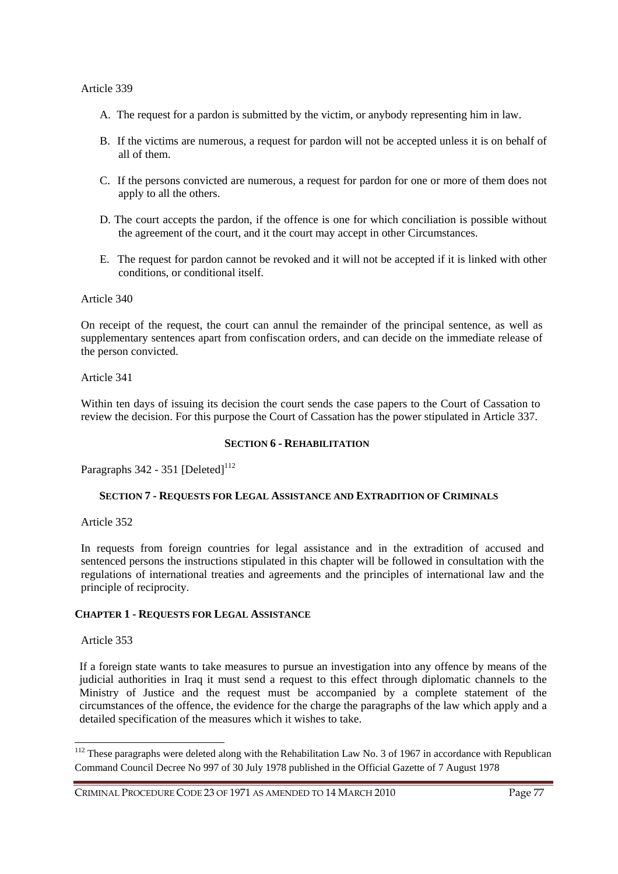- A. The request for a pardon is submitted by the victim, or anybody representing him in law.
- B. If the victims are numerous, a request for pardon will not be accepted unless it is on behalf of all of them.
- C. If the persons convicted are numerous, a request for pardon for one or more of them does not apply to all the others.
- D. The court accepts the pardon, if the offence is one for which conciliation is possible without the agreement of the court, and it the court may accept in other Circumstances.
- E. The request for pardon cannot be revoked and it will not be accepted if it is linked with other conditions, or conditional itself.

#### Article 340

On receipt of the request, the court can annul the remainder of the principal sentence, as well as supplementary sentences apart from confiscation orders, and can decide on the immediate release of the person convicted.

#### Article 341

Within ten days of issuing its decision the court sends the case papers to the Court of Cassation to review the decision. For this purpose the Court of Cassation has the power stipulated in Article 337.

#### **SECTION 6 - REHABILITATION**

Paragraphs  $342 - 351$  [Deleted]<sup>112</sup>

#### **SECTION 7 - REQUESTS FOR LEGAL ASSISTANCE AND EXTRADITION OF CRIMINALS**

Article 352

In requests from foreign countries for legal assistance and in the extradition of accused and sentenced persons the instructions stipulated in this chapter will be followed in consultation with the regulations of international treaties and agreements and the principles of international law and the principle of reciprocity.

#### **CHAPTER 1 - REQUESTS FOR LEGAL ASSISTANCE**

#### Article 353

 $\overline{a}$ 

If a foreign state wants to take measures to pursue an investigation into any offence by means of the judicial authorities in Iraq it must send a request to this effect through diplomatic channels to the Ministry of Justice and the request must be accompanied by a complete statement of the circumstances of the offence, the evidence for the charge the paragraphs of the law which apply and a detailed specification of the measures which it wishes to take.

<sup>&</sup>lt;sup>112</sup> These paragraphs were deleted along with the Rehabilitation Law No. 3 of 1967 in accordance with Republican Command Council Decree No 997 of 30 July 1978 published in the Official Gazette of 7 August 1978

CRIMINAL PROCEDURE CODE 23 OF 1971 AS AMENDED TO 14 MARCH 2010 Page 77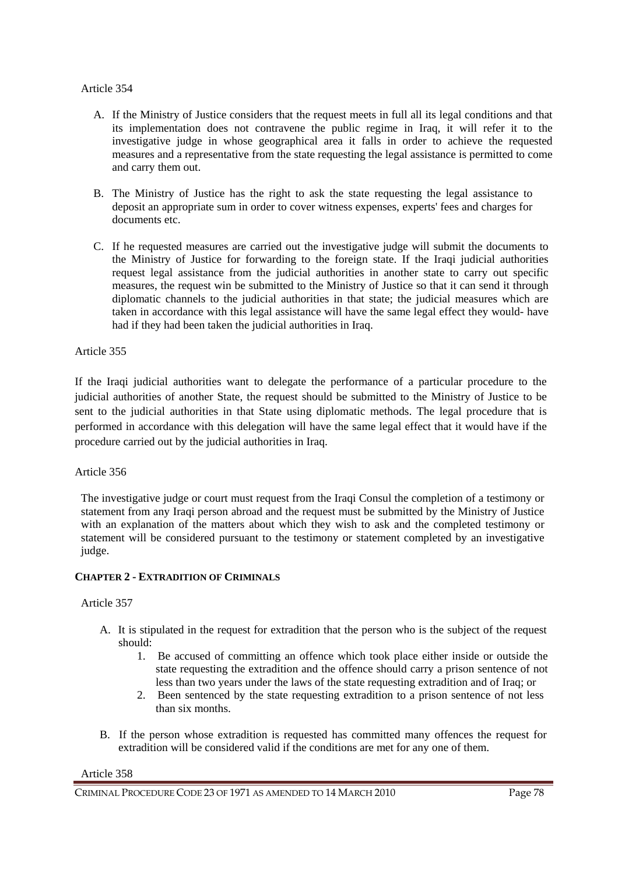- A. If the Ministry of Justice considers that the request meets in full all its legal conditions and that its implementation does not contravene the public regime in Iraq, it will refer it to the investigative judge in whose geographical area it falls in order to achieve the requested measures and a representative from the state requesting the legal assistance is permitted to come and carry them out.
- B. The Ministry of Justice has the right to ask the state requesting the legal assistance to deposit an appropriate sum in order to cover witness expenses, experts' fees and charges for documents etc.
- C. If he requested measures are carried out the investigative judge will submit the documents to the Ministry of Justice for forwarding to the foreign state. If the Iraqi judicial authorities request legal assistance from the judicial authorities in another state to carry out specific measures, the request win be submitted to the Ministry of Justice so that it can send it through diplomatic channels to the judicial authorities in that state; the judicial measures which are taken in accordance with this legal assistance will have the same legal effect they would- have had if they had been taken the judicial authorities in Iraq.

### Article 355

If the Iraqi judicial authorities want to delegate the performance of a particular procedure to the judicial authorities of another State, the request should be submitted to the Ministry of Justice to be sent to the judicial authorities in that State using diplomatic methods. The legal procedure that is performed in accordance with this delegation will have the same legal effect that it would have if the procedure carried out by the judicial authorities in Iraq.

#### Article 356

The investigative judge or court must request from the Iraqi Consul the completion of a testimony or statement from any Iraqi person abroad and the request must be submitted by the Ministry of Justice with an explanation of the matters about which they wish to ask and the completed testimony or statement will be considered pursuant to the testimony or statement completed by an investigative judge.

## **CHAPTER 2 - EXTRADITION OF CRIMINALS**

## Article 357

- A. It is stipulated in the request for extradition that the person who is the subject of the request should:
	- 1. Be accused of committing an offence which took place either inside or outside the state requesting the extradition and the offence should carry a prison sentence of not less than two years under the laws of the state requesting extradition and of Iraq; or
	- 2. Been sentenced by the state requesting extradition to a prison sentence of not less than six months.
- B. If the person whose extradition is requested has committed many offences the request for extradition will be considered valid if the conditions are met for any one of them.

Article 358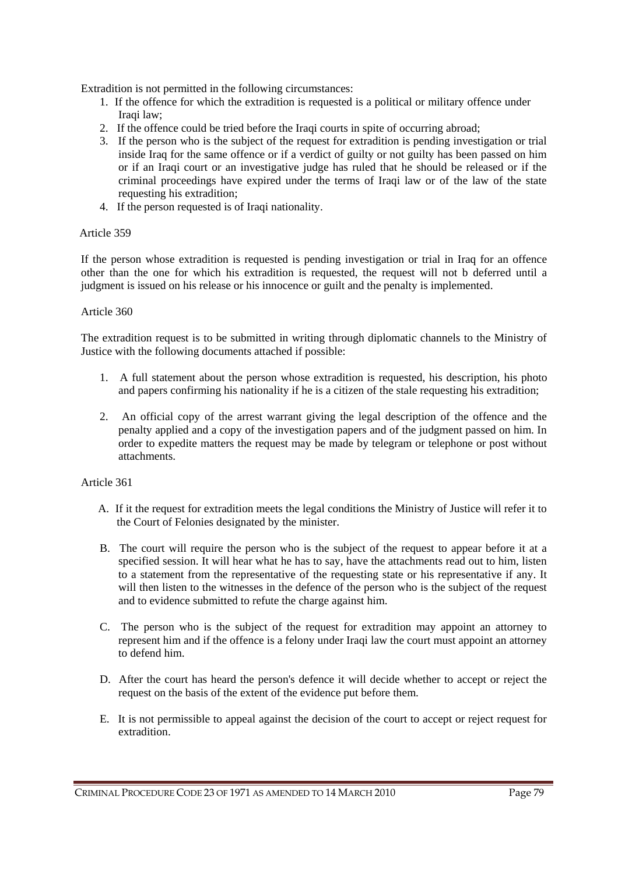Extradition is not permitted in the following circumstances:

- 1. If the offence for which the extradition is requested is a political or military offence under Iraqi law;
- 2. If the offence could be tried before the Iraqi courts in spite of occurring abroad;
- 3. If the person who is the subject of the request for extradition is pending investigation or trial inside Iraq for the same offence or if a verdict of guilty or not guilty has been passed on him or if an Iraqi court or an investigative judge has ruled that he should be released or if the criminal proceedings have expired under the terms of Iraqi law or of the law of the state requesting his extradition;
- 4. If the person requested is of Iraqi nationality.

### Article 359

If the person whose extradition is requested is pending investigation or trial in Iraq for an offence other than the one for which his extradition is requested, the request will not b deferred until a judgment is issued on his release or his innocence or guilt and the penalty is implemented.

### Article 360

The extradition request is to be submitted in writing through diplomatic channels to the Ministry of Justice with the following documents attached if possible:

- 1. A full statement about the person whose extradition is requested, his description, his photo and papers confirming his nationality if he is a citizen of the stale requesting his extradition;
- 2. An official copy of the arrest warrant giving the legal description of the offence and the penalty applied and a copy of the investigation papers and of the judgment passed on him. In order to expedite matters the request may be made by telegram or telephone or post without attachments.

## Article 361

- A. If it the request for extradition meets the legal conditions the Ministry of Justice will refer it to the Court of Felonies designated by the minister.
- B. The court will require the person who is the subject of the request to appear before it at a specified session. It will hear what he has to say, have the attachments read out to him, listen to a statement from the representative of the requesting state or his representative if any. It will then listen to the witnesses in the defence of the person who is the subject of the request and to evidence submitted to refute the charge against him.
- C. The person who is the subject of the request for extradition may appoint an attorney to represent him and if the offence is a felony under Iraqi law the court must appoint an attorney to defend him.
- D. After the court has heard the person's defence it will decide whether to accept or reject the request on the basis of the extent of the evidence put before them.
- E. It is not permissible to appeal against the decision of the court to accept or reject request for extradition.

CRIMINAL PROCEDURE CODE 23 OF 1971 AS AMENDED TO 14 MARCH 2010 Page 79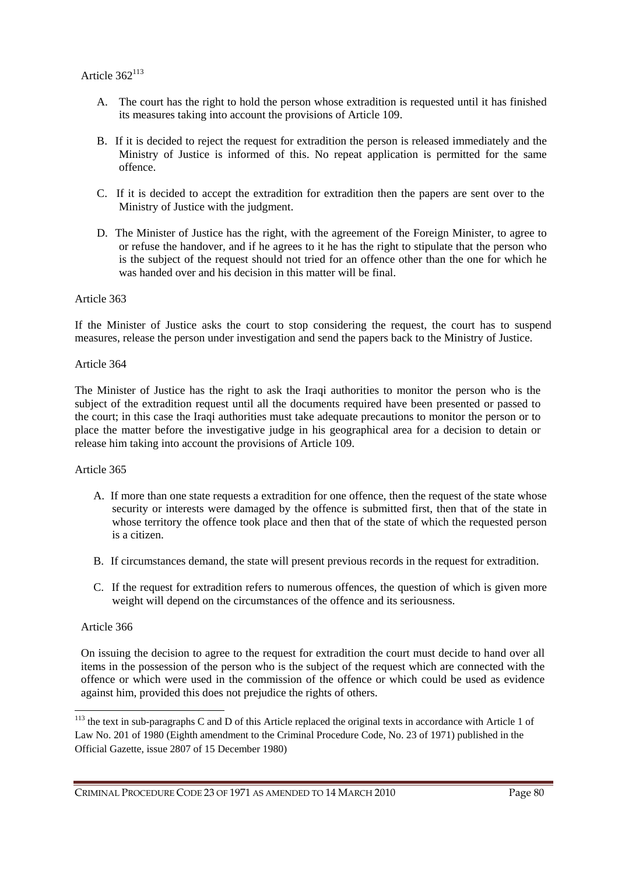- A. The court has the right to hold the person whose extradition is requested until it has finished its measures taking into account the provisions of Article 109.
- B. If it is decided to reject the request for extradition the person is released immediately and the Ministry of Justice is informed of this. No repeat application is permitted for the same offence.
- C. If it is decided to accept the extradition for extradition then the papers are sent over to the Ministry of Justice with the judgment.
- D. The Minister of Justice has the right, with the agreement of the Foreign Minister, to agree to or refuse the handover, and if he agrees to it he has the right to stipulate that the person who is the subject of the request should not tried for an offence other than the one for which he was handed over and his decision in this matter will be final.

If the Minister of Justice asks the court to stop considering the request, the court has to suspend measures, release the person under investigation and send the papers back to the Ministry of Justice.

#### Article 364

The Minister of Justice has the right to ask the Iraqi authorities to monitor the person who is the subject of the extradition request until all the documents required have been presented or passed to the court; in this case the Iraqi authorities must take adequate precautions to monitor the person or to place the matter before the investigative judge in his geographical area for a decision to detain or release him taking into account the provisions of Article 109.

#### Article 365

- A. If more than one state requests a extradition for one offence, then the request of the state whose security or interests were damaged by the offence is submitted first, then that of the state in whose territory the offence took place and then that of the state of which the requested person is a citizen.
- B. If circumstances demand, the state will present previous records in the request for extradition.
- C. If the request for extradition refers to numerous offences, the question of which is given more weight will depend on the circumstances of the offence and its seriousness.

#### Article 366

 $\overline{a}$ 

On issuing the decision to agree to the request for extradition the court must decide to hand over all items in the possession of the person who is the subject of the request which are connected with the offence or which were used in the commission of the offence or which could be used as evidence against him, provided this does not prejudice the rights of others.

<sup>&</sup>lt;sup>113</sup> the text in sub-paragraphs C and D of this Article replaced the original texts in accordance with Article 1 of Law No. 201 of 1980 (Eighth amendment to the Criminal Procedure Code, No. 23 of 1971) published in the Official Gazette, issue 2807 of 15 December 1980)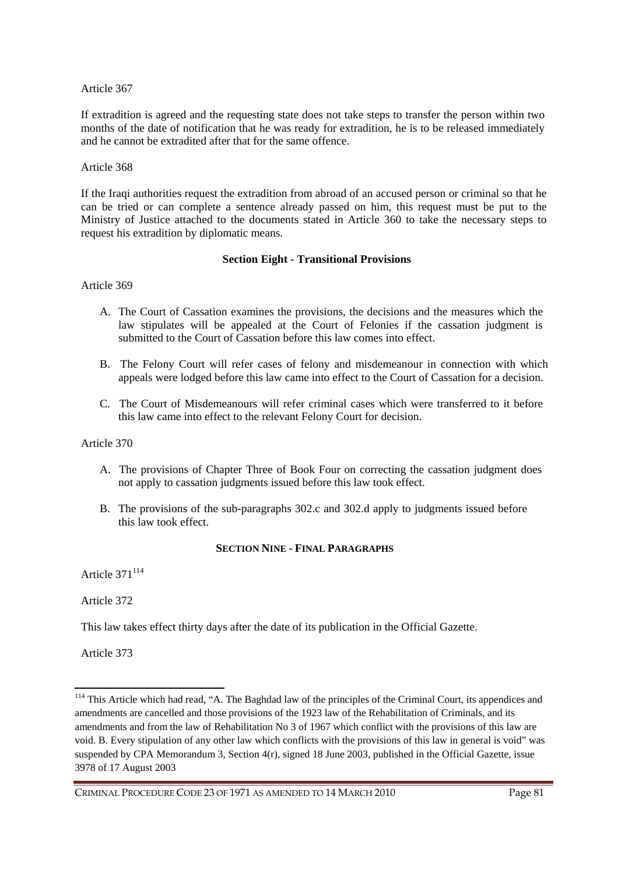If extradition is agreed and the requesting state does not take steps to transfer the person within two months of the date of notification that he was ready for extradition, he is to be released immediately and he cannot be extradited after that for the same offence.

#### Article 368

If the Iraqi authorities request the extradition from abroad of an accused person or criminal so that he can be tried or can complete a sentence already passed on him, this request must be put to the Ministry of Justice attached to the documents stated in Article 360 to take the necessary steps to request his extradition by diplomatic means.

#### **Section Eight - Transitional Provisions**

Article 369

- A. The Court of Cassation examines the provisions, the decisions and the measures which the law stipulates will be appealed at the Court of Felonies if the cassation judgment is submitted to the Court of Cassation before this law comes into effect.
- B. The Felony Court will refer cases of felony and misdemeanour in connection with which appeals were lodged before this law came into effect to the Court of Cassation for a decision.
- C. The Court of Misdemeanours will refer criminal cases which were transferred to it before this law came into effect to the relevant Felony Court for decision.

Article 370

- A. The provisions of Chapter Three of Book Four on correcting the cassation judgment does not apply to cassation judgments issued before this law took effect.
- B. The provisions of the sub-paragraphs 302.c and 302.d apply to judgments issued before this law took effect.

#### **SECTION NINE - FINAL PARAGRAPHS**

Article 371<sup>114</sup>

Article 372

This law takes effect thirty days after the date of its publication in the Official Gazette.

Article 373

<sup>&</sup>lt;sup>114</sup> This Article which had read, "A. The Baghdad law of the principles of the Criminal Court, its appendices and amendments are cancelled and those provisions of the 1923 law of the Rehabilitation of Criminals, and its amendments and from the law of Rehabilitation No 3 of 1967 which conflict with the provisions of this law are void. B. Every stipulation of any other law which conflicts with the provisions of this law in general is void" was suspended by CPA Memorandum 3, Section 4(r), signed 18 June 2003, published in the Official Gazette, issue 3978 of 17 August 2003